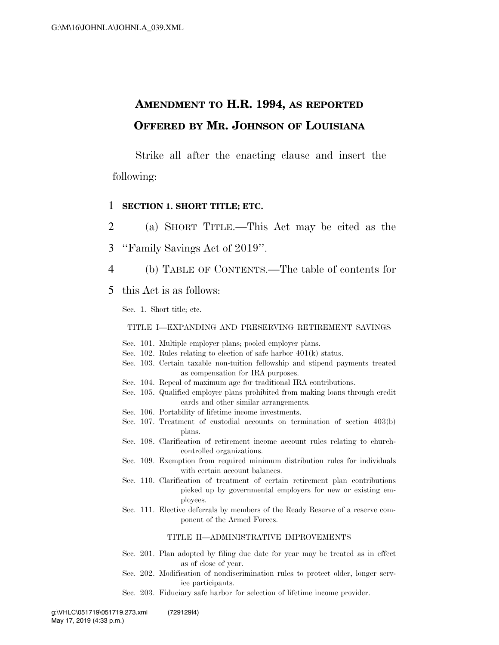### **AMENDMENT TO H.R. 1994, AS REPORTED OFFERED BY MR. JOHNSON OF LOUISIANA**

Strike all after the enacting clause and insert the following:

#### 1 **SECTION 1. SHORT TITLE; ETC.**

2 (a) SHORT TITLE.—This Act may be cited as the 3 ''Family Savings Act of 2019''.

- 4 (b) TABLE OF CONTENTS.—The table of contents for
- 5 this Act is as follows:

Sec. 1. Short title; etc.

TITLE I—EXPANDING AND PRESERVING RETIREMENT SAVINGS

- Sec. 101. Multiple employer plans; pooled employer plans.
- Sec. 102. Rules relating to election of safe harbor 401(k) status.
- Sec. 103. Certain taxable non-tuition fellowship and stipend payments treated as compensation for IRA purposes.
- Sec. 104. Repeal of maximum age for traditional IRA contributions.
- Sec. 105. Qualified employer plans prohibited from making loans through credit cards and other similar arrangements.
- Sec. 106. Portability of lifetime income investments.
- Sec. 107. Treatment of custodial accounts on termination of section 403(b) plans.
- Sec. 108. Clarification of retirement income account rules relating to churchcontrolled organizations.
- Sec. 109. Exemption from required minimum distribution rules for individuals with certain account balances.
- Sec. 110. Clarification of treatment of certain retirement plan contributions picked up by governmental employers for new or existing employees.
- Sec. 111. Elective deferrals by members of the Ready Reserve of a reserve component of the Armed Forces.

#### TITLE II—ADMINISTRATIVE IMPROVEMENTS

- Sec. 201. Plan adopted by filing due date for year may be treated as in effect as of close of year.
- Sec. 202. Modification of nondiscrimination rules to protect older, longer service participants.
- Sec. 203. Fiduciary safe harbor for selection of lifetime income provider.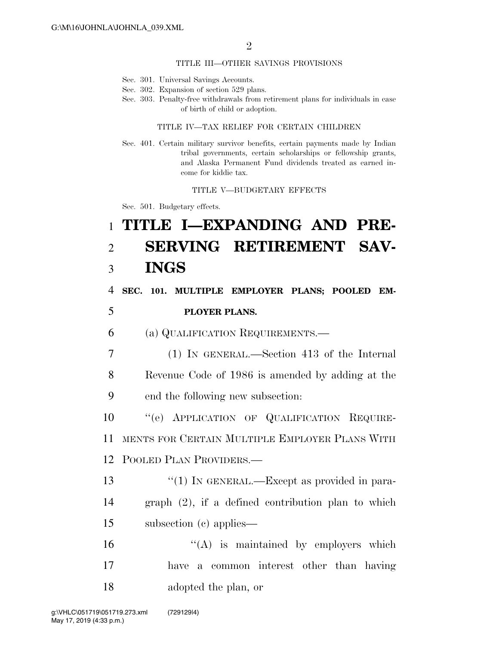#### TITLE III—OTHER SAVINGS PROVISIONS

- Sec. 301. Universal Savings Accounts.
- Sec. 302. Expansion of section 529 plans.
- Sec. 303. Penalty-free withdrawals from retirement plans for individuals in case of birth of child or adoption.

#### TITLE IV—TAX RELIEF FOR CERTAIN CHILDREN

Sec. 401. Certain military survivor benefits, certain payments made by Indian tribal governments, certain scholarships or fellowship grants, and Alaska Permanent Fund dividends treated as earned income for kiddie tax.

TITLE V—BUDGETARY EFFECTS

Sec. 501. Budgetary effects.

# 1 **TITLE I—EXPANDING AND PRE-**2 **SERVING RETIREMENT SAV-**3 **INGS**

4 **SEC. 101. MULTIPLE EMPLOYER PLANS; POOLED EM-**

### 5 **PLOYER PLANS.**

6 (a) QUALIFICATION REQUIREMENTS.—

7 (1) IN GENERAL.—Section 413 of the Internal 8 Revenue Code of 1986 is amended by adding at the 9 end the following new subsection:

10 ''(e) APPLICATION OF QUALIFICATION REQUIRE-11 MENTS FOR CERTAIN MULTIPLE EMPLOYER PLANS WITH 12 POOLED PLAN PROVIDERS.—

13 "(1) IN GENERAL.—Except as provided in para-14 graph (2), if a defined contribution plan to which 15 subsection (c) applies—

16  $"({\rm A})$  is maintained by employers which 17 have a common interest other than having 18 adopted the plan, or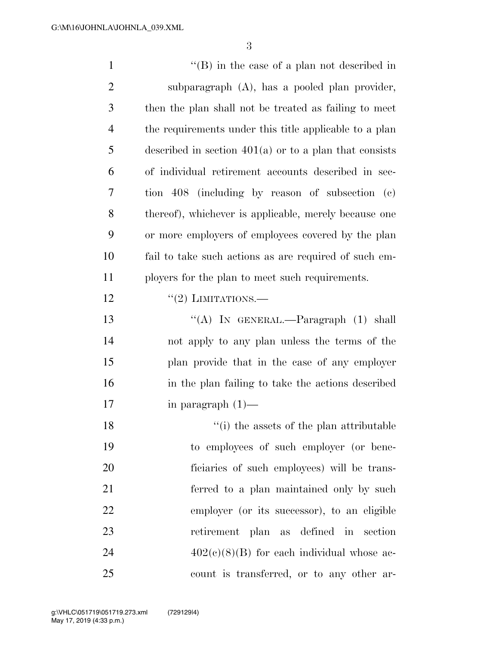''(B) in the case of a plan not described in subparagraph (A), has a pooled plan provider, then the plan shall not be treated as failing to meet the requirements under this title applicable to a plan described in section 401(a) or to a plan that consists of individual retirement accounts described in sec- tion 408 (including by reason of subsection (c) thereof), whichever is applicable, merely because one or more employers of employees covered by the plan fail to take such actions as are required of such em- ployers for the plan to meet such requirements.  $\frac{((2) \text{ LIMITATIONS}}{((2) \text{ LIMITATIONS}}$ 13 "(A) IN GENERAL.—Paragraph (1) shall not apply to any plan unless the terms of the plan provide that in the case of any employer in the plan failing to take the actions described in paragraph (1)— 18 ''(i) the assets of the plan attributable to employees of such employer (or bene- ficiaries of such employees) will be trans- ferred to a plan maintained only by such employer (or its successor), to an eligible retirement plan as defined in section  $402(c)(8)(B)$  for each individual whose ac-count is transferred, or to any other ar-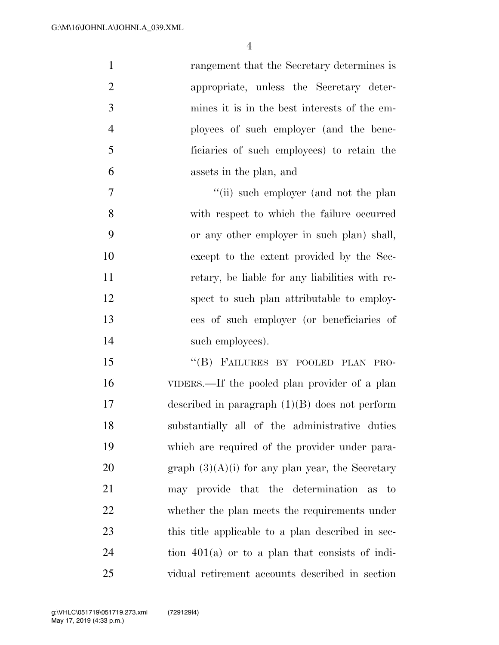| $\mathbf{1}$   | rangement that the Secretary determines is         |
|----------------|----------------------------------------------------|
| $\mathfrak{2}$ | appropriate, unless the Secretary deter-           |
| 3              | mines it is in the best interests of the em-       |
| $\overline{4}$ | ployees of such employer (and the bene-            |
| 5              | ficiaries of such employees) to retain the         |
| 6              | assets in the plan, and                            |
| 7              | "(ii) such employer (and not the plan              |
| 8              | with respect to which the failure occurred         |
| 9              | or any other employer in such plan) shall,         |
| 10             | except to the extent provided by the Sec-          |
| 11             | retary, be liable for any liabilities with re-     |
| 12             | spect to such plan attributable to employ-         |
| 13             | ees of such employer (or beneficiaries of          |
| 14             | such employees).                                   |
| 15             | "(B) FAILURES BY POOLED PLAN PRO-                  |
| 16             | VIDERS.—If the pooled plan provider of a plan      |
| 17             | described in paragraph $(1)(B)$ does not perform   |
| 18             | substantially all of the administrative duties     |
| 19             | which are required of the provider under para-     |
| 20             | graph $(3)(A)(i)$ for any plan year, the Secretary |
| 21             | may provide that the determination as to           |
| 22             | whether the plan meets the requirements under      |
| 23             | this title applicable to a plan described in sec-  |
| 24             | tion $401(a)$ or to a plan that consists of indi-  |
| 25             | vidual retirement accounts described in section    |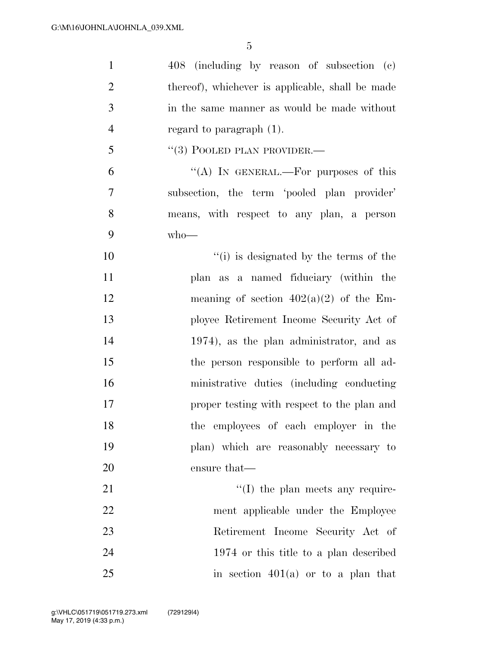| $\mathbf{1}$   | 408 (including by reason of subsection (c)       |
|----------------|--------------------------------------------------|
| $\overline{2}$ | thereof), whichever is applicable, shall be made |
| 3              | in the same manner as would be made without      |
| $\overline{4}$ | regard to paragraph $(1)$ .                      |
| 5              | $``(3)$ POOLED PLAN PROVIDER.—                   |
| 6              | "(A) IN GENERAL.—For purposes of this            |
| 7              | subsection, the term 'pooled plan provider'      |
| 8              | means, with respect to any plan, a person        |
| 9              | $who$ —                                          |
| 10             | "(i) is designated by the terms of the           |
| 11             | plan as a named fiduciary (within the            |
| 12             | meaning of section $402(a)(2)$ of the Em-        |
| 13             | ployee Retirement Income Security Act of         |
| 14             | 1974), as the plan administrator, and as         |
| 15             | the person responsible to perform all ad-        |
| 16             | ministrative duties (including conducting        |
| 17             | proper testing with respect to the plan and      |
| 18             | the employees of each employer in the            |
| 19             | plan) which are reasonably necessary to          |
| 20             | ensure that—                                     |
| 21             | $\lq\lq$ (I) the plan meets any require-         |
| 22             | ment applicable under the Employee               |
| 23             | Retirement Income Security Act of                |
| 24             | 1974 or this title to a plan described           |
| 25             | in section $401(a)$ or to a plan that            |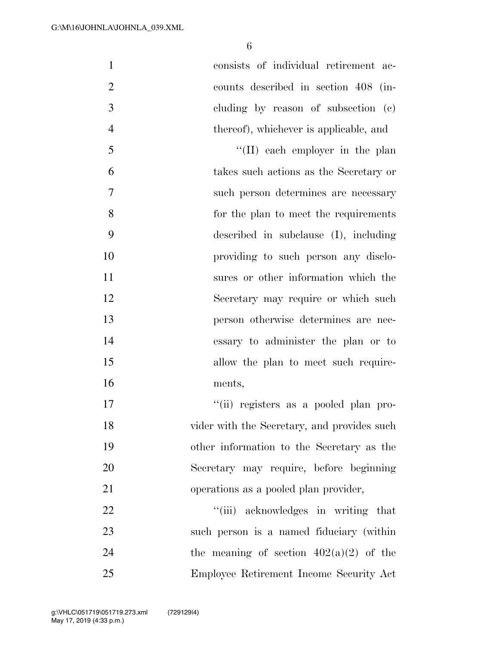| $\mathbf{1}$   | consists of individual retirement ac-       |
|----------------|---------------------------------------------|
| $\overline{2}$ | counts described in section 408 (in-        |
| 3              | cluding by reason of subsection (c)         |
| $\overline{4}$ | thereof), whichever is applicable, and      |
| 5              | "(II) each employer in the plan             |
| 6              | takes such actions as the Secretary or      |
| 7              | such person determines are necessary        |
| 8              | for the plan to meet the requirements       |
| 9              | described in subclause $(I)$ , including    |
| 10             | providing to such person any disclo-        |
| 11             | sures or other information which the        |
| 12             | Secretary may require or which such         |
| 13             | person otherwise determines are nec-        |
| 14             | essary to administer the plan or to         |
| 15             | allow the plan to meet such require-        |
| 16             | ments,                                      |
| 17             | "(ii) registers as a pooled plan pro-       |
| 18             | vider with the Secretary, and provides such |
| 19             | other information to the Secretary as the   |
| 20             | Secretary may require, before beginning     |
| 21             | operations as a pooled plan provider,       |
| 22             | "(iii) acknowledges in writing that         |
| 23             | such person is a named fiduciary (within    |
| 24             | the meaning of section $402(a)(2)$ of the   |
| 25             | Employee Retirement Income Security Act     |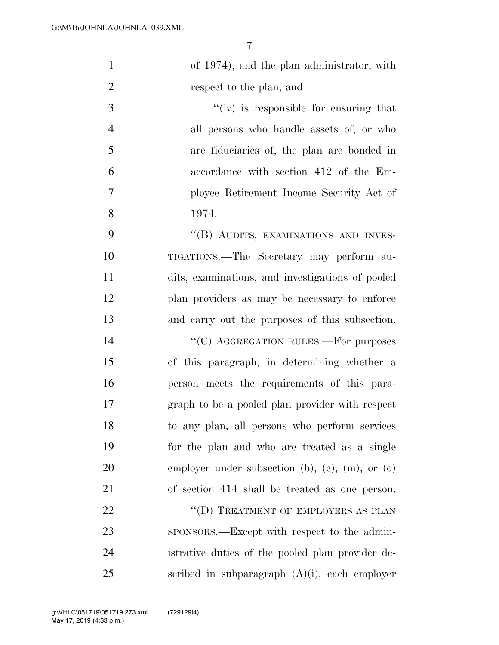| $\mathbf{1}$   | of 1974), and the plan administrator, with       |
|----------------|--------------------------------------------------|
| $\overline{2}$ | respect to the plan, and                         |
| 3              | "(iv) is responsible for ensuring that           |
| $\overline{4}$ | all persons who handle assets of, or who         |
| 5              | are fiduciaries of, the plan are bonded in       |
| 6              | accordance with section 412 of the Em-           |
| 7              | ployee Retirement Income Security Act of         |
| 8              | 1974.                                            |
| 9              | "(B) AUDITS, EXAMINATIONS AND INVES-             |
| 10             | TIGATIONS.—The Secretary may perform au-         |
| 11             | dits, examinations, and investigations of pooled |
| 12             | plan providers as may be necessary to enforce    |
| 13             | and carry out the purposes of this subsection.   |
| 14             | "(C) AGGREGATION RULES.—For purposes             |
| 15             | of this paragraph, in determining whether a      |
| 16             | person meets the requirements of this para-      |
| 17             | graph to be a pooled plan provider with respect  |
| 18             | to any plan, all persons who perform services    |
| 19             | for the plan and who are treated as a single     |
| 20             | employer under subsection (b), (c), (m), or (o)  |
| 21             | of section 414 shall be treated as one person.   |
| 22             | "(D) TREATMENT OF EMPLOYERS AS PLAN              |
| 23             | sponsorts.—Except with respect to the admin-     |
| 24             | istrative duties of the pooled plan provider de- |
| 25             | scribed in subparagraph $(A)(i)$ , each employer |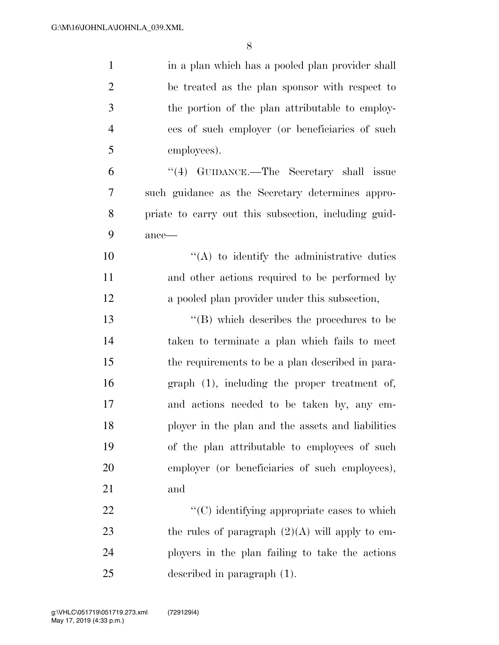| $\mathbf{1}$   | in a plan which has a pooled plan provider shall     |
|----------------|------------------------------------------------------|
| $\overline{2}$ | be treated as the plan sponsor with respect to       |
| $\mathfrak{Z}$ | the portion of the plan attributable to employ-      |
| $\overline{4}$ | ees of such employer (or beneficiaries of such       |
| 5              | employees).                                          |
| 6              | "(4) GUIDANCE.—The Secretary shall issue             |
| 7              | such guidance as the Secretary determines appro-     |
| 8              | priate to carry out this subsection, including guid- |
| 9              | $ance$ —                                             |
| 10             | $\lq\lq$ to identify the administrative duties       |
| 11             | and other actions required to be performed by        |
| 12             | a pooled plan provider under this subsection,        |
| 13             | $\lq\lq$ which describes the procedures to be        |
| 14             | taken to terminate a plan which fails to meet        |
| 15             | the requirements to be a plan described in para-     |
| 16             | $graph(1)$ , including the proper treatment of,      |
| 17             | and actions needed to be taken by, any em-           |
| 18             | ployer in the plan and the assets and liabilities    |
| 19             | of the plan attributable to employees of such        |
| 20             | employer (or beneficiaries of such employees),       |
| 21             | and                                                  |
| 22             | $"$ (C) identifying appropriate cases to which       |
| 23             | the rules of paragraph $(2)(A)$ will apply to em-    |
| 24             | ployers in the plan failing to take the actions      |
| 25             | described in paragraph $(1)$ .                       |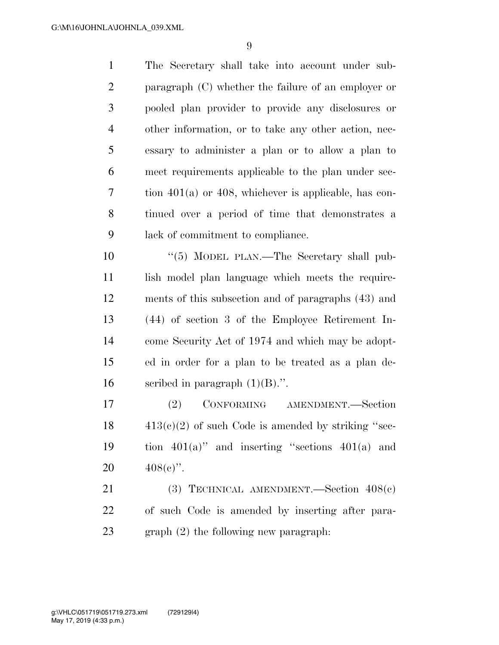| $\mathbf{1}$   | The Secretary shall take into account under sub-           |
|----------------|------------------------------------------------------------|
| $\overline{2}$ | paragraph $(C)$ whether the failure of an employer or      |
| 3              | pooled plan provider to provide any disclosures or         |
| $\overline{4}$ | other information, or to take any other action, nec-       |
| 5              | essary to administer a plan or to allow a plan to          |
| 6              | meet requirements applicable to the plan under sec-        |
| 7              | tion $401(a)$ or $408$ , whichever is applicable, has con- |
| 8              | tinued over a period of time that demonstrates a           |
| 9              | lack of commitment to compliance.                          |
| 10             | "(5) MODEL PLAN.—The Secretary shall pub-                  |
| 11             | lish model plan language which meets the require-          |
| 12             | ments of this subsection and of paragraphs (43) and        |
| 13             | $(44)$ of section 3 of the Employee Retirement In-         |
| 14             | come Security Act of 1974 and which may be adopt-          |
| 15             | ed in order for a plan to be treated as a plan de-         |
| 16             | scribed in paragraph $(1)(B)$ .".                          |
| 17             | CONFORMING<br>AMENDMENT.-Section<br>(2)                    |
| 18             | $413(c)(2)$ of such Code is amended by striking "sec-      |
| 19             | tion $401(a)$ " and inserting "sections $401(a)$ and       |
| 20             | $408(e)$ ".                                                |
| 21             | (3) TECHNICAL AMENDMENT. Section $408(e)$                  |
| 22             | of such Code is amended by inserting after para-           |
| 23             | $graph(2)$ the following new paragraph:                    |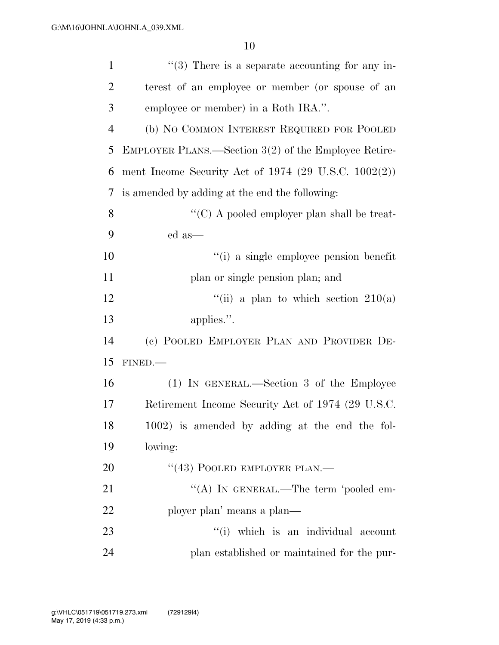| $\mathbf{1}$   | $\lq(3)$ There is a separate accounting for any in-             |
|----------------|-----------------------------------------------------------------|
| $\overline{2}$ | terest of an employee or member (or spouse of an                |
| 3              | employee or member) in a Roth IRA.".                            |
| $\overline{4}$ | (b) NO COMMON INTEREST REQUIRED FOR POOLED                      |
| 5              | EMPLOYER PLANS.—Section 3(2) of the Employee Retire-            |
| 6              | ment Income Security Act of 1974 $(29 \text{ U.S.C. } 1002(2))$ |
| 7              | is amended by adding at the end the following:                  |
| 8              | "(C) A pooled employer plan shall be treat-                     |
| 9              | ed as—                                                          |
| 10             | "(i) a single employee pension benefit                          |
| 11             | plan or single pension plan; and                                |
| 12             | "(ii) a plan to which section $210(a)$                          |
| 13             | applies.".                                                      |
| 14             | (c) POOLED EMPLOYER PLAN AND PROVIDER DE-                       |
| 15             | FINED.-                                                         |
| 16             | (1) IN GENERAL.—Section 3 of the Employee                       |
| 17             | Retirement Income Security Act of 1974 (29 U.S.C.               |
| 18             | 1002) is amended by adding at the end the fol-                  |
| 19             | lowing:                                                         |
| <b>20</b>      |                                                                 |
|                | "(43) POOLED EMPLOYER PLAN.—                                    |
| 21             | "(A) IN GENERAL.—The term 'pooled em-                           |
| 22             | ployer plan' means a plan—                                      |
| 23             | "(i) which is an individual account                             |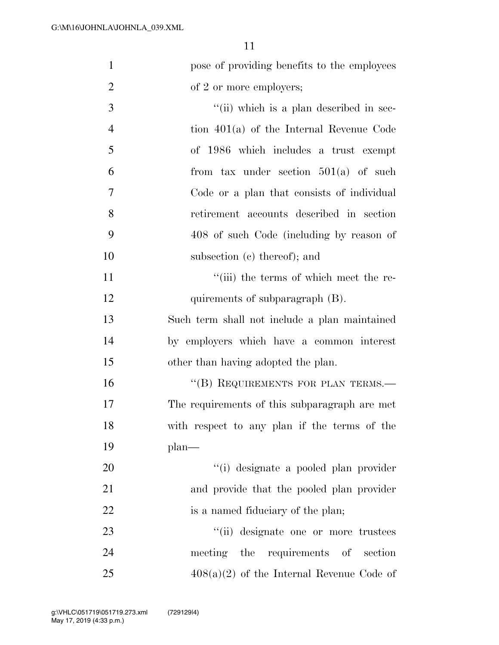| $\mathbf{1}$   | pose of providing benefits to the employees   |
|----------------|-----------------------------------------------|
| $\overline{2}$ | of 2 or more employers;                       |
| 3              | "(ii) which is a plan described in sec-       |
| $\overline{4}$ | tion $401(a)$ of the Internal Revenue Code    |
| 5              | of 1986 which includes a trust exempt         |
| 6              | from tax under section $501(a)$ of such       |
| 7              | Code or a plan that consists of individual    |
| 8              | retirement accounts described in section      |
| 9              | 408 of such Code (including by reason of      |
| 10             | subsection (c) thereof); and                  |
| 11             | "(iii) the terms of which meet the re-        |
| 12             | quirements of subparagraph (B).               |
| 13             | Such term shall not include a plan maintained |
| 14             | by employers which have a common interest     |
| 15             | other than having adopted the plan.           |
| 16             | "(B) REQUIREMENTS FOR PLAN TERMS.-            |
| 17             | The requirements of this subparagraph are met |
| 18             | with respect to any plan if the terms of the  |
| 19             | $plan$ —                                      |
| 20             | "(i) designate a pooled plan provider         |
| 21             | and provide that the pooled plan provider     |
| 22             | is a named fiduciary of the plan;             |
| 23             | "(ii) designate one or more trustees          |
| 24             | meeting the requirements of section           |
| 25             | $408(a)(2)$ of the Internal Revenue Code of   |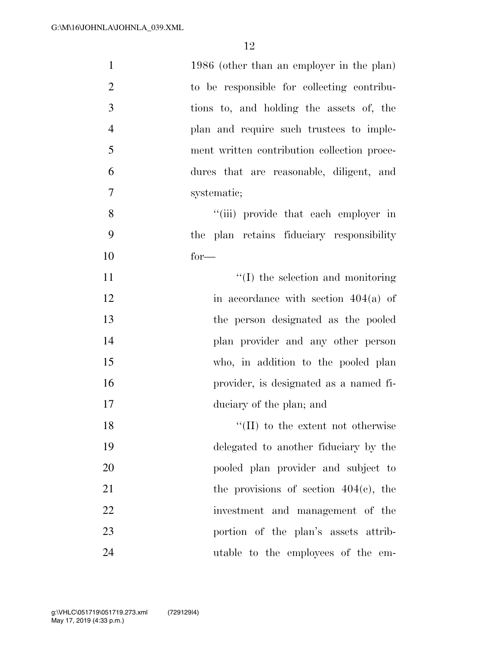| $\mathbf{1}$   | 1986 (other than an employer in the plan)   |
|----------------|---------------------------------------------|
| $\overline{2}$ | to be responsible for collecting contribu-  |
| 3              | tions to, and holding the assets of, the    |
| $\overline{4}$ | plan and require such trustees to imple-    |
| 5              | ment written contribution collection proce- |
| 6              | dures that are reasonable, diligent, and    |
| $\tau$         | systematic;                                 |
| 8              | "(iii) provide that each employer in        |
| 9              | the plan retains fiduciary responsibility   |
| 10             | $for-$                                      |
| 11             | $\lq\lq$ (I) the selection and monitoring   |
| 12             | in accordance with section $404(a)$ of      |
| 13             | the person designated as the pooled         |
| 14             | plan provider and any other person          |
| 15             | who, in addition to the pooled plan         |
| 16             | provider, is designated as a named fi-      |
| 17             | duciary of the plan; and                    |
| 18             | $\lq\lq$ (II) to the extent not otherwise   |
| 19             | delegated to another fiduciary by the       |
| 20             | pooled plan provider and subject to         |
| 21             | the provisions of section $404(c)$ , the    |
| 22             | investment and management of the            |
| 23             | portion of the plan's assets attrib-        |
| 24             | utable to the employees of the em-          |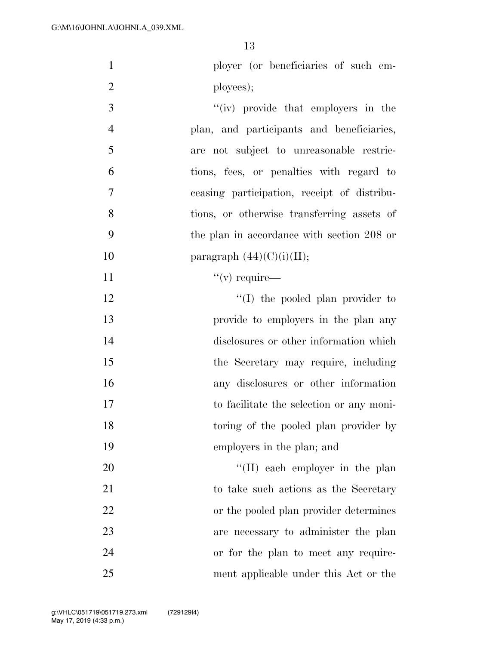| $\mathbf{1}$   | ployer (or beneficiaries of such em-        |
|----------------|---------------------------------------------|
| $\overline{2}$ | ployees);                                   |
| 3              | "(iv) provide that employers in the         |
| $\overline{4}$ | plan, and participants and beneficiaries,   |
| 5              | are not subject to unreasonable restric-    |
| 6              | tions, fees, or penalties with regard to    |
| 7              | ceasing participation, receipt of distribu- |
| 8              | tions, or otherwise transferring assets of  |
| 9              | the plan in accordance with section 208 or  |
| 10             | paragraph $(44)(C)(i)(II);$                 |
| 11             | $``(v)$ require—                            |
| 12             | "(I) the pooled plan provider to            |
| 13             | provide to employers in the plan any        |
| 14             | disclosures or other information which      |
| 15             | the Secretary may require, including        |
| 16             | any disclosures or other information        |
| 17             | to facilitate the selection or any moni-    |
| 18             | toring of the pooled plan provider by       |
| 19             | employers in the plan; and                  |
| 20             | $\lq\lq$ (II) each employer in the plan     |
| 21             | to take such actions as the Secretary       |
| 22             | or the pooled plan provider determines      |
| 23             | are necessary to administer the plan        |
| 24             | or for the plan to meet any require-        |
| 25             | ment applicable under this Act or the       |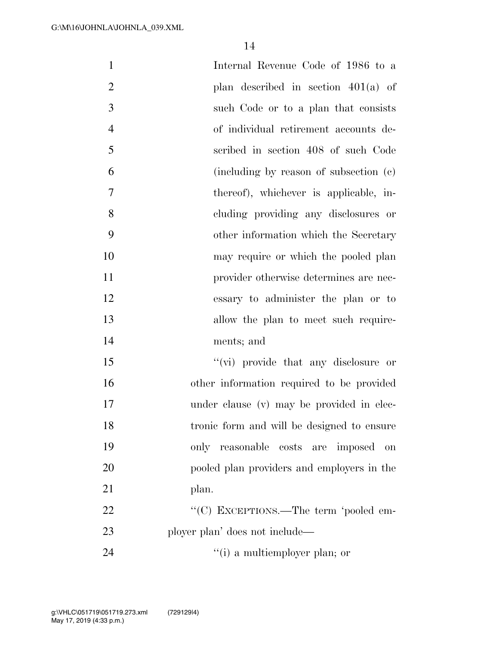| $\mathbf{1}$   | Internal Revenue Code of 1986 to a         |
|----------------|--------------------------------------------|
| $\overline{2}$ | plan described in section $401(a)$ of      |
| 3              | such Code or to a plan that consists       |
| $\overline{4}$ | of individual retirement accounts de-      |
| 5              | scribed in section 408 of such Code        |
| 6              | (including by reason of subsection (c)     |
| 7              | thereof), whichever is applicable, in-     |
| 8              | cluding providing any disclosures or       |
| 9              | other information which the Secretary      |
| 10             | may require or which the pooled plan       |
| 11             | provider otherwise determines are nec-     |
| 12             | essary to administer the plan or to        |
| 13             | allow the plan to meet such require-       |
| 14             | ments; and                                 |
| 15             | "(vi) provide that any disclosure or       |
| 16             | other information required to be provided  |
| 17             | under clause (v) may be provided in elec-  |
| 18             | tronic form and will be designed to ensure |
| 19             | only reasonable costs are imposed<br>on    |
| 20             | pooled plan providers and employers in the |
| 21             | plan.                                      |
| 22             | "(C) EXCEPTIONS.—The term 'pooled em-      |
| 23             | ployer plan' does not include—             |
| 24             | "(i) a multiemployer plan; or              |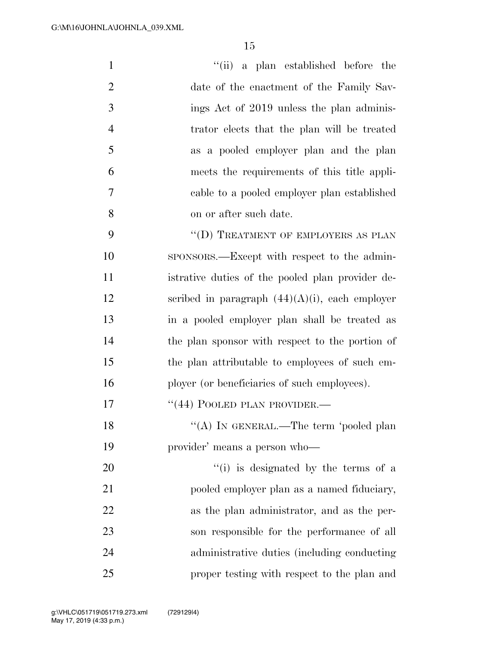| $\mathbf{1}$   | "(ii) a plan established before the               |
|----------------|---------------------------------------------------|
| $\overline{2}$ | date of the enactment of the Family Sav-          |
| 3              | ings Act of 2019 unless the plan adminis-         |
| $\overline{4}$ | trator elects that the plan will be treated       |
| 5              | as a pooled employer plan and the plan            |
| 6              | meets the requirements of this title appli-       |
| 7              | cable to a pooled employer plan established       |
| 8              | on or after such date.                            |
| 9              | "(D) TREATMENT OF EMPLOYERS AS PLAN               |
| 10             | sponsors.—Except with respect to the admin-       |
| 11             | istrative duties of the pooled plan provider de-  |
| 12             | scribed in paragraph $(44)(A)(i)$ , each employer |
| 13             | in a pooled employer plan shall be treated as     |
| 14             | the plan sponsor with respect to the portion of   |
| 15             | the plan attributable to employees of such em-    |
| 16             | ployer (or beneficiaries of such employees).      |
| 17             | "(44) POOLED PLAN PROVIDER.—                      |
| 18             | "(A) IN GENERAL.—The term 'pooled plan            |
| 19             | provider' means a person who-                     |
| 20             | "(i) is designated by the terms of a              |
| 21             | pooled employer plan as a named fiduciary,        |
| 22             | as the plan administrator, and as the per-        |
| 23             | son responsible for the performance of all        |
| 24             | administrative duties (including conducting       |

proper testing with respect to the plan and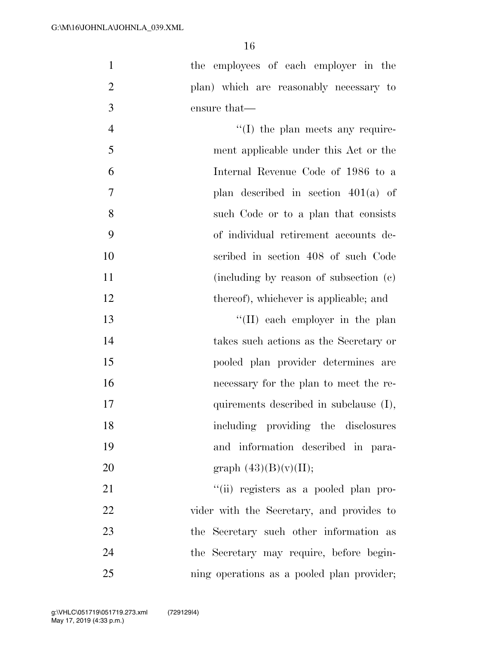|   | the employees of each employer in the    |
|---|------------------------------------------|
|   | plan) which are reasonably necessary to  |
| 3 | ensure that—                             |
|   | $\lq\lq$ (I) the plan meets any require- |

| 5  | ment applicable under this Act or the  |
|----|----------------------------------------|
| 6  | Internal Revenue Code of 1986 to a     |
| 7  | plan described in section $401(a)$ of  |
| 8  | such Code or to a plan that consists   |
| 9  | of individual retirement accounts de-  |
| 10 | scribed in section 408 of such Code    |
| 11 | (including by reason of subsection (c) |
| 12 | thereof), whichever is applicable; and |

13 ''(II) each employer in the plan takes such actions as the Secretary or pooled plan provider determines are necessary for the plan to meet the re-17 quirements described in subclause (I), including providing the disclosures and information described in para-20 graph  $(43)(B)(v)(II);$ 

 $"$ (ii) registers as a pooled plan pro-22 vider with the Secretary, and provides to the Secretary such other information as the Secretary may require, before begin-ning operations as a pooled plan provider;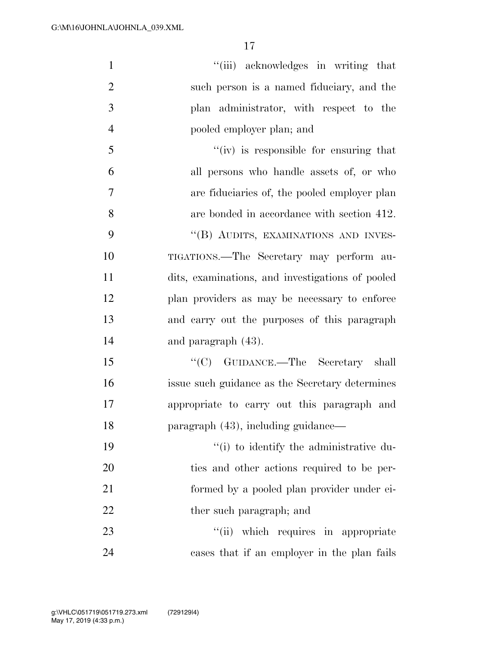| $\mathbf{1}$   | "(iii) acknowledges in writing that              |
|----------------|--------------------------------------------------|
| $\overline{2}$ | such person is a named fiduciary, and the        |
| 3              | plan administrator, with respect to the          |
| $\overline{4}$ | pooled employer plan; and                        |
| 5              | "(iv) is responsible for ensuring that           |
| 6              | all persons who handle assets of, or who         |
| 7              | are fiduciaries of, the pooled employer plan     |
| 8              | are bonded in accordance with section 412.       |
| 9              | "(B) AUDITS, EXAMINATIONS AND INVES-             |
| 10             | TIGATIONS.—The Secretary may perform au-         |
| 11             | dits, examinations, and investigations of pooled |
| 12             | plan providers as may be necessary to enforce    |
| 13             | and carry out the purposes of this paragraph     |
| 14             | and paragraph $(43)$ .                           |
| 15             | "(C) GUIDANCE.—The Secretary shall               |
| 16             | issue such guidance as the Secretary determines  |
| 17             | appropriate to carry out this paragraph and      |
| 18             | paragraph (43), including guidance—              |
| 19             | "(i) to identify the administrative du-          |
| 20             | ties and other actions required to be per-       |
| 21             | formed by a pooled plan provider under ei-       |
| 22             | ther such paragraph; and                         |
| 23             | "(ii) which requires in appropriate              |
| 24             | cases that if an employer in the plan fails      |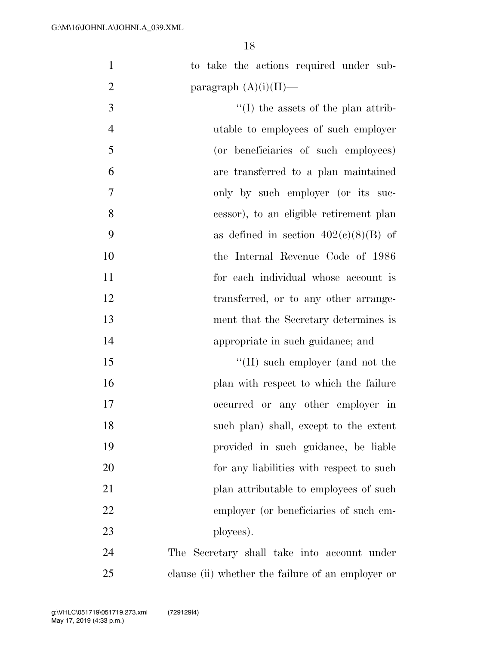| $\mathbf{1}$   | to take the actions required under sub-           |
|----------------|---------------------------------------------------|
| $\overline{2}$ | paragraph $(A)(i)(II)$ —                          |
| 3              | $\lq\lq$ (I) the assets of the plan attrib-       |
| $\overline{4}$ | utable to employees of such employer              |
| 5              | (or beneficiaries of such employees)              |
| 6              | are transferred to a plan maintained              |
| $\tau$         | only by such employer (or its suc-                |
| 8              | cessor), to an eligible retirement plan           |
| 9              | as defined in section $402(e)(8)(B)$ of           |
| 10             | the Internal Revenue Code of 1986                 |
| 11             | for each individual whose account is              |
| 12             | transferred, or to any other arrange-             |
| 13             | ment that the Secretary determines is             |
| 14             | appropriate in such guidance; and                 |
| 15             | $\lq\lq$ (II) such employer (and not the          |
| 16             | plan with respect to which the failure            |
| 17             | occurred or any other employer in                 |
| 18             | such plan) shall, except to the extent            |
| 19             | provided in such guidance, be liable              |
| 20             | for any liabilities with respect to such          |
| 21             | plan attributable to employees of such            |
| 22             | employer (or beneficiaries of such em-            |
| 23             | ployees).                                         |
| 24             | The Secretary shall take into account under       |
| 25             | clause (ii) whether the failure of an employer or |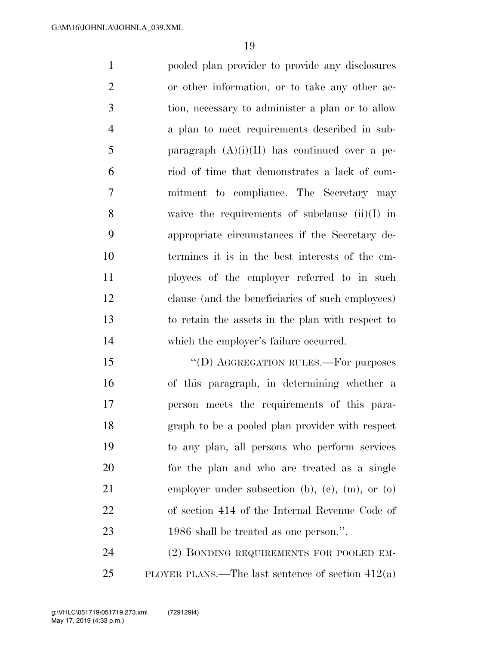pooled plan provider to provide any disclosures or other information, or to take any other ac- tion, necessary to administer a plan or to allow a plan to meet requirements described in sub-5 paragraph  $(A)(i)(II)$  has continued over a pe- riod of time that demonstrates a lack of com- mitment to compliance. The Secretary may waive the requirements of subclause (ii)(I) in appropriate circumstances if the Secretary de- termines it is in the best interests of the em- ployees of the employer referred to in such clause (and the beneficiaries of such employees) to retain the assets in the plan with respect to which the employer's failure occurred.

15 "(D) AGGREGATION RULES.—For purposes of this paragraph, in determining whether a person meets the requirements of this para- graph to be a pooled plan provider with respect to any plan, all persons who perform services for the plan and who are treated as a single employer under subsection (b), (c), (m), or (o) of section 414 of the Internal Revenue Code of 1986 shall be treated as one person.''.

 (2) BONDING REQUIREMENTS FOR POOLED EM-PLOYER PLANS.—The last sentence of section 412(a)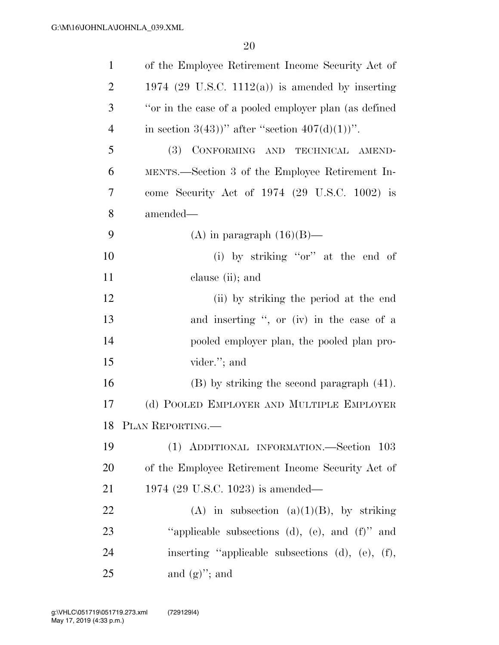| $\mathbf{1}$ | of the Employee Retirement Income Security Act of         |
|--------------|-----------------------------------------------------------|
| 2            | 1974 (29 U.S.C. 1112(a)) is amended by inserting          |
| 3            | "or in the case of a pooled employer plan (as defined     |
| 4            | in section 3(43))" after "section $407(d)(1)$ ".          |
| 5            | CONFORMING AND TECHNICAL AMEND-<br><b>(3)</b>             |
| 6            | MENTS.—Section 3 of the Employee Retirement In-           |
| 7            | come Security Act of 1974 (29 U.S.C. 1002) is             |
| 8            | amended—                                                  |
| 9            | (A) in paragraph $(16)(B)$ —                              |
| 10           | (i) by striking "or" at the end of                        |
| 11           | clause (ii); and                                          |
| 12           | (ii) by striking the period at the end                    |
| 13           | and inserting ", or (iv) in the case of a                 |
| 14           | pooled employer plan, the pooled plan pro-                |
| 15           | vider."; and                                              |
| 16           | $(B)$ by striking the second paragraph $(41)$ .           |
| 17           | (d) POOLED EMPLOYER AND MULTIPLE EMPLOYER                 |
|              | 18 PLAN REPORTING.                                        |
| 19           | (1) ADDITIONAL INFORMATION.-Section 103                   |
| 20           | of the Employee Retirement Income Security Act of         |
| 21           | 1974 (29 U.S.C. 1023) is amended—                         |
| 22           | (A) in subsection (a)(1)(B), by striking                  |
| 23           | "applicable subsections (d), (e), and $(f)$ " and         |
| 24           | inserting "applicable subsections $(d)$ , $(e)$ , $(f)$ , |
| 25           | and $(g)$ "; and                                          |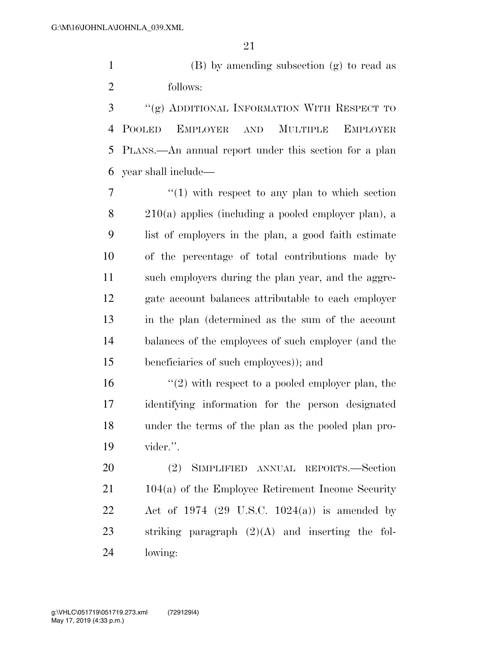1 (B) by amending subsection  $(g)$  to read as follows:

 ''(g) ADDITIONAL INFORMATION WITH RESPECT TO POOLED EMPLOYER AND MULTIPLE EMPLOYER PLANS.—An annual report under this section for a plan year shall include—

 $\frac{1}{1}$  with respect to any plan to which section 210(a) applies (including a pooled employer plan), a list of employers in the plan, a good faith estimate of the percentage of total contributions made by such employers during the plan year, and the aggre- gate account balances attributable to each employer in the plan (determined as the sum of the account balances of the employees of such employer (and the beneficiaries of such employees)); and

 $\frac{16}{2}$  with respect to a pooled employer plan, the identifying information for the person designated under the terms of the plan as the pooled plan pro-vider.''.

 (2) SIMPLIFIED ANNUAL REPORTS.—Section 104(a) of the Employee Retirement Income Security Act of 1974 (29 U.S.C. 1024(a)) is amended by striking paragraph (2)(A) and inserting the fol-lowing: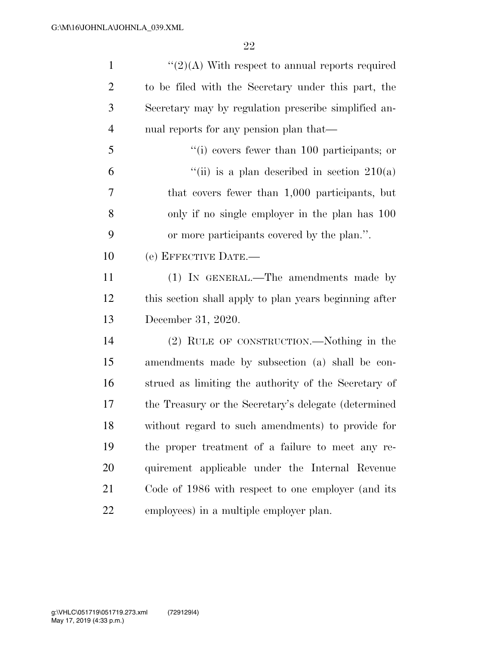| $\mathbf{1}$   | " $(2)(A)$ With respect to annual reports required     |
|----------------|--------------------------------------------------------|
| $\overline{2}$ | to be filed with the Secretary under this part, the    |
| $\mathfrak{Z}$ | Secretary may by regulation prescribe simplified an-   |
| $\overline{4}$ | nual reports for any pension plan that—                |
| 5              | $f'(i)$ covers fewer than 100 participants; or         |
| 6              | "(ii) is a plan described in section $210(a)$          |
| 7              | that covers fewer than 1,000 participants, but         |
| 8              | only if no single employer in the plan has 100         |
| 9              | or more participants covered by the plan.".            |
| 10             | (e) EFFECTIVE DATE.-                                   |
| 11             | (1) IN GENERAL.—The amendments made by                 |
| 12             | this section shall apply to plan years beginning after |
| 13             | December 31, 2020.                                     |
| 14             | (2) RULE OF CONSTRUCTION.—Nothing in the               |
| 15             | amendments made by subsection (a) shall be con-        |
| 16             | strued as limiting the authority of the Secretary of   |
| 17             | the Treasury or the Secretary's delegate (determined)  |
| 18             | without regard to such amendments) to provide for      |
| 19             | the proper treatment of a failure to meet any re-      |
| 20             | quirement applicable under the Internal Revenue        |
| 21             | Code of 1986 with respect to one employer (and its     |
| 22             | employees) in a multiple employer plan.                |
|                |                                                        |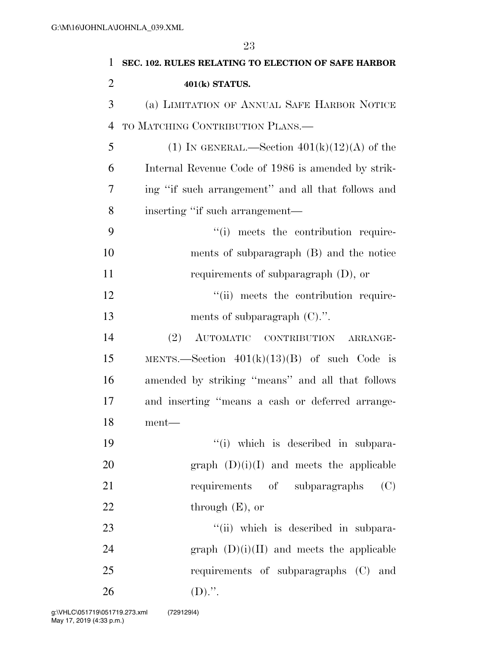| $\mathbf{1}$   | SEC. 102. RULES RELATING TO ELECTION OF SAFE HARBOR |
|----------------|-----------------------------------------------------|
| $\overline{2}$ | 401(k) STATUS.                                      |
| 3              | (a) LIMITATION OF ANNUAL SAFE HARBOR NOTICE         |
| $\overline{4}$ | TO MATCHING CONTRIBUTION PLANS.—                    |
| 5              | (1) IN GENERAL.—Section $401(k)(12)(A)$ of the      |
| 6              | Internal Revenue Code of 1986 is amended by strik-  |
| 7              | ing "if such arrangement" and all that follows and  |
| 8              | inserting "if such arrangement—                     |
| 9              | "(i) meets the contribution require-                |
| 10             | ments of subparagraph (B) and the notice            |
| 11             | requirements of subparagraph $(D)$ , or             |
| 12             | "(ii) meets the contribution require-               |
| 13             | ments of subparagraph $(C)$ .".                     |
| 14             | (2)<br>AUTOMATIC CONTRIBUTION ARRANGE-              |
| 15             | MENTS.—Section $401(k)(13)(B)$ of such Code is      |
| 16             | amended by striking "means" and all that follows    |
| 17             | and inserting "means a cash or deferred arrange-    |
| 18             | $\mathit{ment} \text{---}$                          |
| 19             | "(i) which is described in subpara-                 |
| 20             | graph $(D)(i)(I)$ and meets the applicable          |
| 21             | requirements of subparagraphs<br>(C)                |
| 22             | through $(E)$ , or                                  |
| 23             | "(ii) which is described in subpara-                |
| 24             | graph $(D)(i)(II)$ and meets the applicable         |
| 25             | requirements of subparagraphs (C) and               |
| 26             | $(D)$ .".                                           |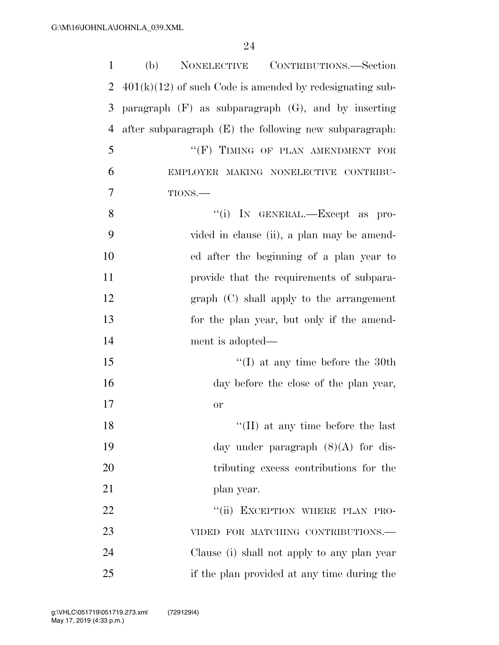| $\mathbf{1}$   | CONTRIBUTIONS.—Section<br>(b)<br><b>NONELECTIVE</b>        |
|----------------|------------------------------------------------------------|
| $\overline{2}$ | $401(k)(12)$ of such Code is amended by redesignating sub- |
| 3              | paragraph $(F)$ as subparagraph $(G)$ , and by inserting   |
| $\overline{4}$ | after subparagraph (E) the following new subparagraph.     |
| 5              | "(F) TIMING OF PLAN AMENDMENT FOR                          |
| 6              | EMPLOYER MAKING NONELECTIVE CONTRIBU-                      |
| 7              | TIONS.                                                     |
| 8              | "(i) IN GENERAL.-Except as pro-                            |
| 9              | vided in clause (ii), a plan may be amend-                 |
| 10             | ed after the beginning of a plan year to                   |
| 11             | provide that the requirements of subpara-                  |
| 12             | $graph$ (C) shall apply to the arrangement                 |
| 13             | for the plan year, but only if the amend-                  |
| 14             | ment is adopted—                                           |
| 15             | $\lq\lq$ (I) at any time before the 30th                   |
| 16             | day before the close of the plan year,                     |
| 17             | <b>or</b>                                                  |
| 18             | $\lq\lq$ (II) at any time before the last                  |
| 19             | day under paragraph $(8)(A)$ for dis-                      |
| 20             | tributing excess contributions for the                     |
| 21             | plan year.                                                 |
| 22             | "(ii) EXCEPTION WHERE PLAN PRO-                            |
| 23             | VIDED FOR MATCHING CONTRIBUTIONS.-                         |
| 24             | Clause (i) shall not apply to any plan year                |
| 25             | if the plan provided at any time during the                |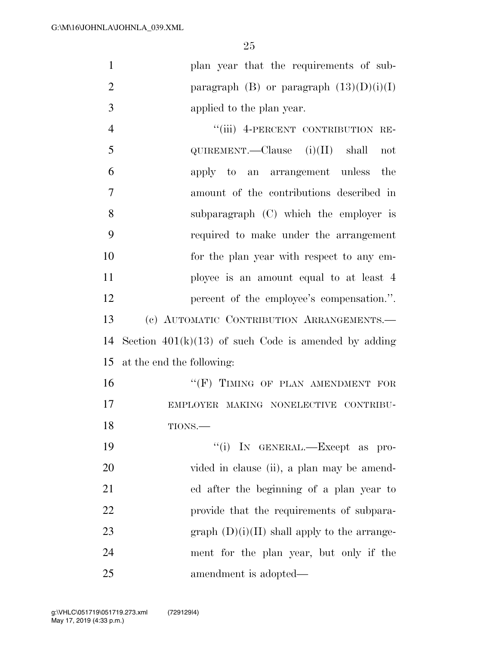| 1              | plan year that the requirements of sub-      |
|----------------|----------------------------------------------|
| 2              | paragraph $(B)$ or paragraph $(13)(D)(i)(I)$ |
| 3              | applied to the plan year.                    |
| $\overline{4}$ | "(iii) 4-PERCENT CONTRIBUTION RE-            |
| 5              | QUIREMENT.—Clause $(i)(II)$ shall<br>not     |
| 6              | apply to an arrangement unless the           |
| $\overline{7}$ | amount of the contributions described in     |
| 8              | subparagraph (C) which the employer is       |
| 9              | required to make under the arrangement       |
| 10             | for the plan year with respect to any em-    |
| 11             | ployee is an amount equal to at least 4      |

12 percent of the employee's compensation.". (c) AUTOMATIC CONTRIBUTION ARRANGEMENTS.— 14 Section  $401(k)(13)$  of such Code is amended by adding at the end the following:

16 "(F) TIMING OF PLAN AMENDMENT FOR EMPLOYER MAKING NONELECTIVE CONTRIBU-TIONS.—

 $"$ (i) IN GENERAL.—Except as pro-20 vided in clause (ii), a plan may be amend- ed after the beginning of a plan year to provide that the requirements of subpara-23 graph  $(D)(i)(II)$  shall apply to the arrange- ment for the plan year, but only if the amendment is adopted—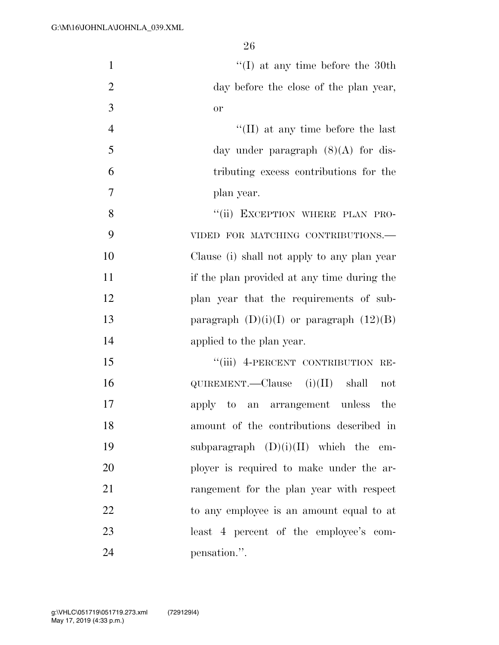| $\mathbf{1}$   | $\lq\lq$ (I) at any time before the 30th     |
|----------------|----------------------------------------------|
| $\overline{2}$ | day before the close of the plan year,       |
| 3              | or                                           |
| $\overline{4}$ | $\lq\lq$ (II) at any time before the last    |
| 5              | day under paragraph $(8)(A)$ for dis-        |
| 6              | tributing excess contributions for the       |
| $\overline{7}$ | plan year.                                   |
| 8              | "(ii) EXCEPTION WHERE PLAN PRO-              |
| 9              | VIDED FOR MATCHING CONTRIBUTIONS.-           |
| 10             | Clause (i) shall not apply to any plan year  |
| 11             | if the plan provided at any time during the  |
| 12             | plan year that the requirements of sub-      |
| 13             | paragraph $(D)(i)(I)$ or paragraph $(12)(B)$ |
| 14             | applied to the plan year.                    |
| 15             | "(iii) 4-PERCENT CONTRIBUTION RE-            |
| 16             | $QUIREMENT.$ Clause $(i)(II)$ shall<br>not   |
| 17             | apply to an arrangement unless<br>the        |
| 18             | amount of the contributions described in     |
| 19             | subparagraph $(D)(i)(II)$ which the em-      |
| 20             | ployer is required to make under the ar-     |
| 21             | rangement for the plan year with respect     |
| 22             | to any employee is an amount equal to at     |
| 23             | least 4 percent of the employee's com-       |
| 24             | pensation.".                                 |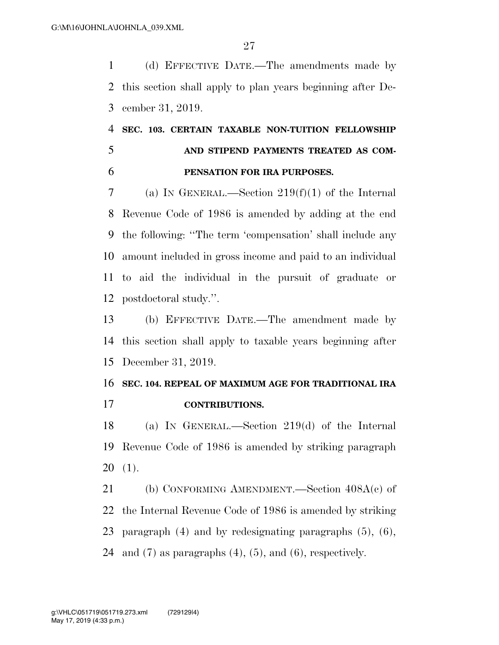(d) EFFECTIVE DATE.—The amendments made by this section shall apply to plan years beginning after De-cember 31, 2019.

# **SEC. 103. CERTAIN TAXABLE NON-TUITION FELLOWSHIP AND STIPEND PAYMENTS TREATED AS COM-PENSATION FOR IRA PURPOSES.**

 (a) IN GENERAL.—Section 219(f)(1) of the Internal Revenue Code of 1986 is amended by adding at the end the following: ''The term 'compensation' shall include any amount included in gross income and paid to an individual to aid the individual in the pursuit of graduate or postdoctoral study.''.

 (b) EFFECTIVE DATE.—The amendment made by this section shall apply to taxable years beginning after December 31, 2019.

### **SEC. 104. REPEAL OF MAXIMUM AGE FOR TRADITIONAL IRA CONTRIBUTIONS.**

 (a) IN GENERAL.—Section 219(d) of the Internal Revenue Code of 1986 is amended by striking paragraph (1).

 (b) CONFORMING AMENDMENT.—Section 408A(c) of the Internal Revenue Code of 1986 is amended by striking paragraph (4) and by redesignating paragraphs (5), (6), 24 and  $(7)$  as paragraphs  $(4)$ ,  $(5)$ , and  $(6)$ , respectively.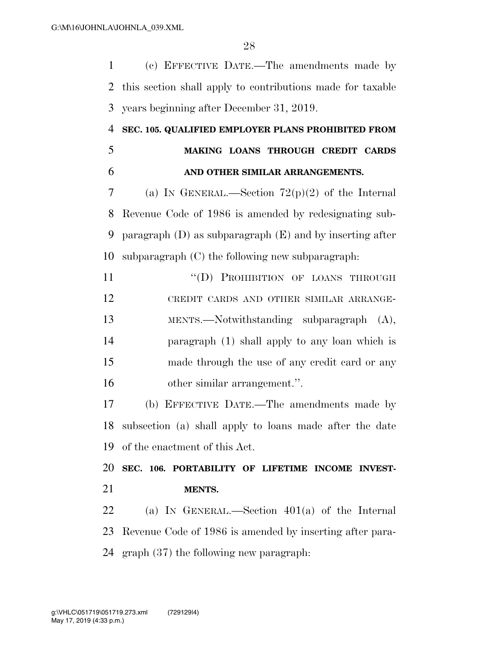(c) EFFECTIVE DATE.—The amendments made by this section shall apply to contributions made for taxable years beginning after December 31, 2019.

## **SEC. 105. QUALIFIED EMPLOYER PLANS PROHIBITED FROM MAKING LOANS THROUGH CREDIT CARDS AND OTHER SIMILAR ARRANGEMENTS.**

7 (a) IN GENERAL.—Section  $72(p)(2)$  of the Internal Revenue Code of 1986 is amended by redesignating sub- paragraph (D) as subparagraph (E) and by inserting after subparagraph (C) the following new subparagraph:

11 ""(D) PROHIBITION OF LOANS THROUGH CREDIT CARDS AND OTHER SIMILAR ARRANGE- MENTS.—Notwithstanding subparagraph (A), paragraph (1) shall apply to any loan which is made through the use of any credit card or any other similar arrangement.''.

 (b) EFFECTIVE DATE.—The amendments made by subsection (a) shall apply to loans made after the date of the enactment of this Act.

 **SEC. 106. PORTABILITY OF LIFETIME INCOME INVEST-MENTS.** 

 (a) IN GENERAL.—Section 401(a) of the Internal Revenue Code of 1986 is amended by inserting after para-graph (37) the following new paragraph: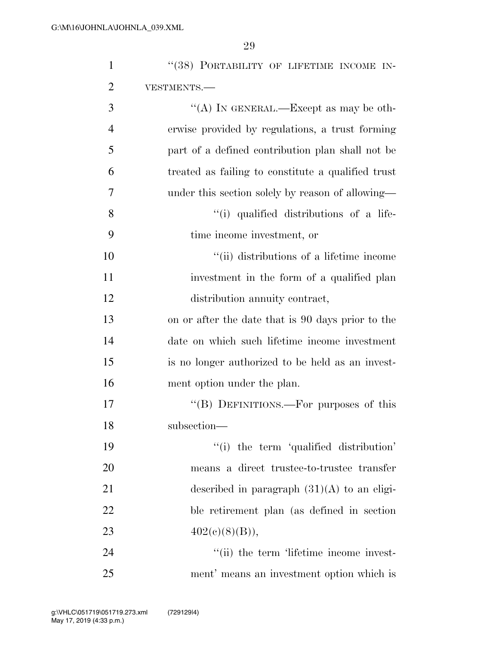| $\mathbf{1}$   | "(38) PORTABILITY OF LIFETIME INCOME IN-           |
|----------------|----------------------------------------------------|
| $\overline{2}$ | VESTMENTS.-                                        |
| 3              | "(A) IN GENERAL.—Except as may be oth-             |
| $\overline{4}$ | erwise provided by regulations, a trust forming    |
| 5              | part of a defined contribution plan shall not be   |
| 6              | treated as failing to constitute a qualified trust |
| 7              | under this section solely by reason of allowing—   |
| 8              | "(i) qualified distributions of a life-            |
| 9              | time income investment, or                         |
| 10             | "(ii) distributions of a lifetime income           |
| 11             | investment in the form of a qualified plan         |
| 12             | distribution annuity contract,                     |
| 13             | on or after the date that is 90 days prior to the  |
| 14             | date on which such lifetime income investment      |
| 15             | is no longer authorized to be held as an invest-   |
| 16             | ment option under the plan.                        |
| 17             | "(B) DEFINITIONS.—For purposes of this             |
| 18             | subsection-                                        |
| 19             | "(i) the term 'qualified distribution'             |
| 20             | means a direct trustee-to-trustee transfer         |
| 21             | described in paragraph $(31)(A)$ to an eligi-      |
| 22             | ble retirement plan (as defined in section)        |
| 23             | $402(c)(8)(B)$ ,                                   |
| 24             | "(ii) the term 'lifetime income invest-            |
| 25             | ment' means an investment option which is          |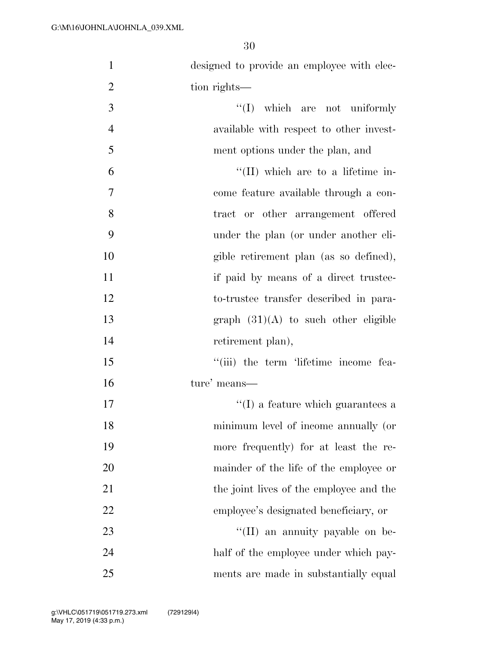| $\mathbf{1}$   | designed to provide an employee with elec- |
|----------------|--------------------------------------------|
| $\overline{2}$ | tion rights—                               |
| 3              | $\lq\lq$ (I) which are not uniformly       |
| $\overline{4}$ | available with respect to other invest-    |
| 5              | ment options under the plan, and           |
| 6              | $\lq\lq$ (II) which are to a lifetime in-  |
| 7              | come feature available through a con-      |
| 8              | tract or other arrangement offered         |
| 9              | under the plan (or under another eli-      |
| 10             | gible retirement plan (as so defined),     |
| 11             | if paid by means of a direct trustee-      |
| 12             | to-trustee transfer described in para-     |
| 13             | graph $(31)(A)$ to such other eligible     |
| 14             | retirement plan),                          |
| 15             | "(iii) the term 'lifetime income fea-      |
| 16             | ture' means—                               |
| 17             | $\lq\lq$ a feature which guarantees a      |
| 18             | minimum level of income annually (or       |
| 19             | more frequently) for at least the re-      |
| 20             | mainder of the life of the employee or     |
| 21             | the joint lives of the employee and the    |
| 22             | employee's designated beneficiary, or      |
| 23             | "(II) an annuity payable on be-            |
| 24             | half of the employee under which pay-      |
| 25             | ments are made in substantially equal      |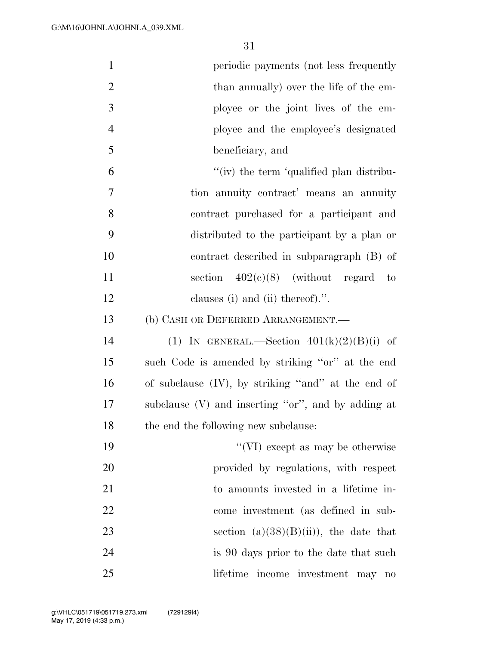| $\mathbf{1}$     | periodic payments (not less frequently                   |
|------------------|----------------------------------------------------------|
| $\overline{2}$   | than annually) over the life of the em-                  |
| 3                | ployee or the joint lives of the em-                     |
| $\overline{4}$   | ployee and the employee's designated                     |
| 5                | beneficiary, and                                         |
| 6                | "(iv) the term 'qualified plan distribu-                 |
| $\boldsymbol{7}$ | tion annuity contract' means an annuity                  |
| 8                | contract purchased for a participant and                 |
| 9                | distributed to the participant by a plan or              |
| 10               | contract described in subparagraph (B) of                |
| 11               | section $402(e)(8)$ (without regard to                   |
| 12               | clauses (i) and (ii) thereof).".                         |
| 13               | (b) CASH OR DEFERRED ARRANGEMENT.                        |
| 14               | (1) IN GENERAL.—Section $401(k)(2)(B)(i)$ of             |
| 15               | such Code is amended by striking "or" at the end         |
| 16               | of subclause (IV), by striking "and" at the end of       |
| $17\,$           | subclause $(V)$ and inserting "or", and by adding at     |
| 18               | the end the following new subclause:                     |
| 19               | "(VI) except as may be otherwise                         |
| 20               | provided by regulations, with respect                    |
| 21               | to amounts invested in a lifetime in-                    |
| 22               | come investment (as defined in sub-                      |
| 23               | section $(a)(38)(B)(ii)$ , the date that                 |
| 24               | is 90 days prior to the date that such                   |
| 25               | lifetime income investment may<br>$\mathbf{n}\mathbf{o}$ |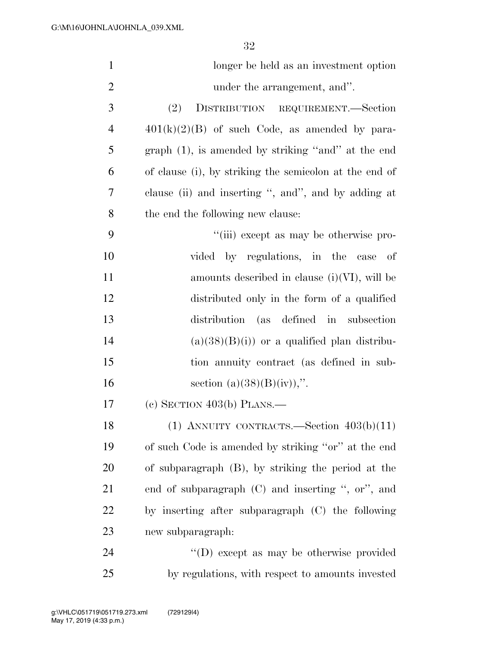| $\mathbf{1}$   | longer be held as an investment option                 |
|----------------|--------------------------------------------------------|
| $\mathbf{2}$   | under the arrangement, and".                           |
| 3              | (2)<br>DISTRIBUTION REQUIREMENT.—Section               |
| $\overline{4}$ | $401(k)(2)(B)$ of such Code, as amended by para-       |
| 5              | graph $(1)$ , is amended by striking "and" at the end  |
| 6              | of clause (i), by striking the semicolon at the end of |
| 7              | clause (ii) and inserting ", and", and by adding at    |
| 8              | the end the following new clause:                      |
| 9              | "(iii) except as may be otherwise pro-                 |
| 10             | by regulations, in the case of<br>vided                |
| 11             | amounts described in clause $(i)(VI)$ , will be        |
| 12             | distributed only in the form of a qualified            |
| 13             | distribution (as defined in subsection                 |
| 14             | $(a)(38)(B)(i)$ or a qualified plan distribu-          |
| 15             | tion annuity contract (as defined in sub-              |
| 16             | section $(a)(38)(B)(iv)$ ,".                           |
| 17             | (c) SECTION $403(b)$ PLANS.—                           |
| 18             | (1) ANNUITY CONTRACTS.—Section $403(b)(11)$            |
| 19             | of such Code is amended by striking "or" at the end    |
| 20             | of subparagraph (B), by striking the period at the     |
| 21             | end of subparagraph $(C)$ and inserting ", or", and    |
| 22             | by inserting after subparagraph (C) the following      |
| 23             | new subparagraph:                                      |
| 24             | "(D) except as may be otherwise provided               |
| 25             | by regulations, with respect to amounts invested       |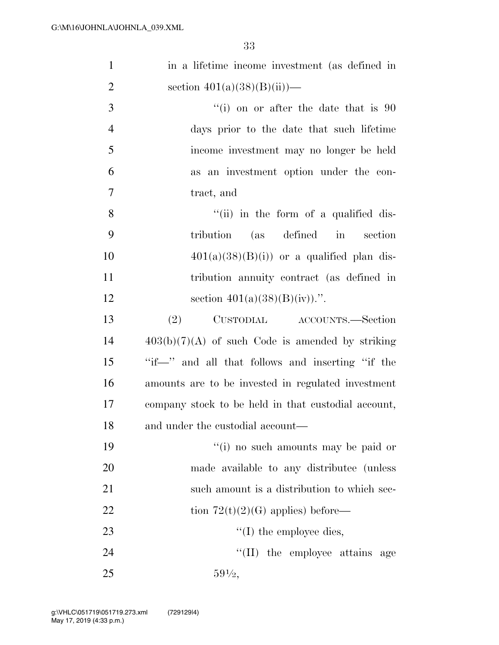| $\mathbf{1}$   | in a lifetime income investment (as defined in      |
|----------------|-----------------------------------------------------|
| $\overline{2}$ | section $401(a)(38)(B)(ii)$ —                       |
| 3              | $f'(i)$ on or after the date that is 90             |
| $\overline{4}$ | days prior to the date that such lifetime           |
| 5              | income investment may no longer be held             |
| 6              | as an investment option under the con-              |
| $\tau$         | tract, and                                          |
| 8              | "(ii) in the form of a qualified dis-               |
| 9              | (as defined in<br>tribution<br>section              |
| 10             | $401(a)(38)(B)(i)$ or a qualified plan dis-         |
| 11             | tribution annuity contract (as defined in           |
| 12             | section $401(a)(38)(B)(iv)$ .".                     |
| 13             | CUSTODIAL ACCOUNTS.—Section<br>(2)                  |
| 14             | $403(b)(7)(A)$ of such Code is amended by striking  |
| 15             | "if --" and all that follows and inserting "if the  |
| 16             | amounts are to be invested in regulated investment  |
| 17             | company stock to be held in that custodial account, |
| 18             | and under the custodial account—                    |
| 19             | "(i) no such amounts may be paid or                 |
| 20             | made available to any distribute (unless            |
| 21             | such amount is a distribution to which sec-         |
| 22             | tion $72(t)(2)(G)$ applies) before—                 |
| 23             | $\lq\lq$ (I) the employee dies,                     |
| 24             | "(II) the employee attains age                      |
| 25             | $59\frac{1}{2}$                                     |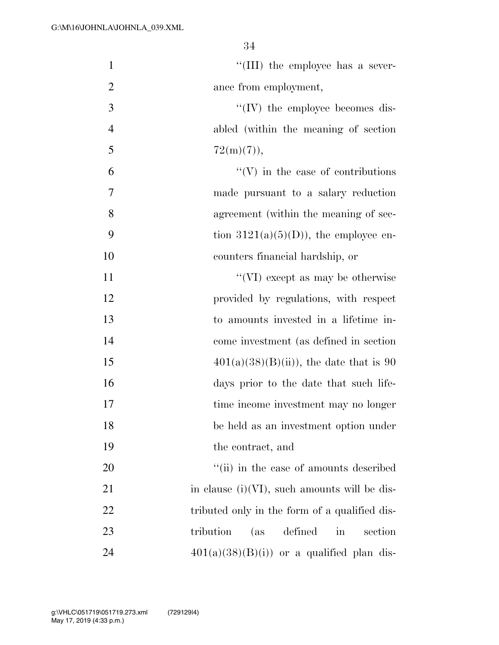| $\mathbf{1}$   | "(III) the employee has a sever-                               |
|----------------|----------------------------------------------------------------|
| $\overline{2}$ | ance from employment,                                          |
| 3              | $\lq\lq$ (IV) the employee becomes dis-                        |
| $\overline{4}$ | abled (within the meaning of section                           |
| 5              | $72(m)(7)$ ,                                                   |
| 6              | $\lq\lq(V)$ in the case of contributions                       |
| $\overline{7}$ | made pursuant to a salary reduction                            |
| 8              | agreement (within the meaning of sec-                          |
| 9              | tion $3121(a)(5)(D)$ , the employee en-                        |
| 10             | counters financial hardship, or                                |
| 11             | "(VI) except as may be otherwise                               |
| 12             | provided by regulations, with respect                          |
| 13             | to amounts invested in a lifetime in-                          |
| 14             | come investment (as defined in section                         |
| 15             | $401(a)(38)(B(ii))$ , the date that is 90                      |
| 16             | days prior to the date that such life-                         |
| 17             | time income investment may no longer                           |
| 18             | be held as an investment option under                          |
| 19             | the contract, and                                              |
| 20             | "(ii) in the case of amounts described                         |
| 21             | in clause $(i)(VI)$ , such amounts will be dis-                |
| 22             | tributed only in the form of a qualified dis-                  |
| 23             | defined<br>tribution<br>(as)<br>section<br>$\operatorname{in}$ |
| 24             | $401(a)(38)(B(i))$ or a qualified plan dis-                    |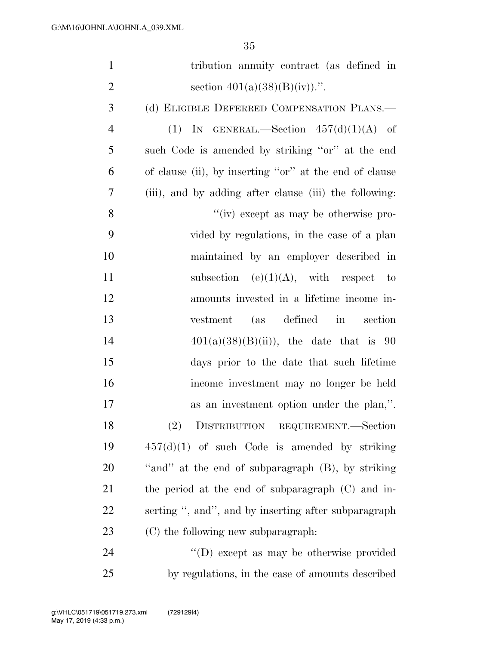| $\mathbf{1}$   | tribution annuity contract (as defined in              |
|----------------|--------------------------------------------------------|
| $\overline{2}$ | section $401(a)(38)(B)(iv)$ .".                        |
| 3              | (d) ELIGIBLE DEFERRED COMPENSATION PLANS.—             |
| $\overline{4}$ | (1) IN GENERAL.—Section $457(d)(1)(A)$ of              |
| 5              | such Code is amended by striking "or" at the end       |
| 6              | of clause (ii), by inserting "or" at the end of clause |
| 7              | (iii), and by adding after clause (iii) the following: |
| 8              | $\lq\lq$ (iv) except as may be otherwise pro-          |
| 9              | vided by regulations, in the case of a plan            |
| 10             | maintained by an employer described in                 |
| 11             | subsection (e)(1)(A), with respect to                  |
| 12             | amounts invested in a lifetime income in-              |
| 13             | (as defined in<br>vestment<br>section                  |
| 14             | $401(a)(38)(B(ii))$ , the date that is 90              |
| 15             | days prior to the date that such lifetime              |
| 16             | income investment may no longer be held                |
| 17             | as an investment option under the plan,".              |
| 18             | (2) DISTRIBUTION REQUIREMENT.-Section                  |
| 19             | $457(d)(1)$ of such Code is amended by striking        |
| 20             | "and" at the end of subparagraph (B), by striking      |
| 21             | the period at the end of subparagraph $(C)$ and in-    |
| 22             | serting ", and", and by inserting after subparagraph   |
| 23             | (C) the following new subparagraph:                    |
| 24             | "(D) except as may be otherwise provided               |
| 25             | by regulations, in the case of amounts described       |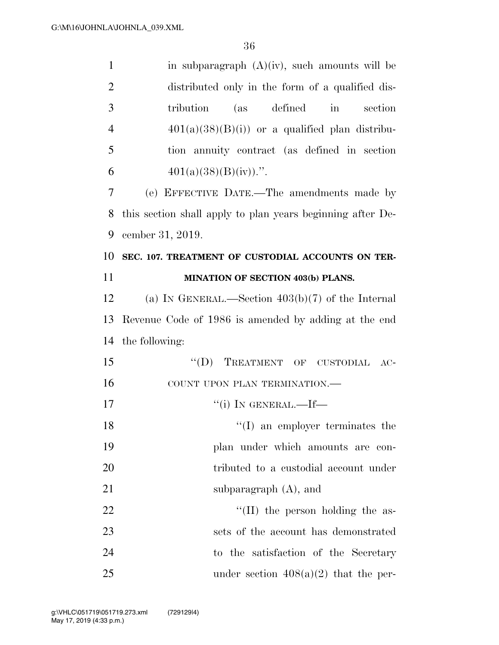| $\mathbf{1}$   | in subparagraph $(A)(iv)$ , such amounts will be           |
|----------------|------------------------------------------------------------|
| $\overline{2}$ | distributed only in the form of a qualified dis-           |
| 3              | tribution<br>(as defined<br>section<br>in                  |
| $\overline{4}$ | $401(a)(38)(B)(i)$ or a qualified plan distribu-           |
| 5              | tion annuity contract (as defined in section               |
| 6              | $401(a)(38)(B)(iv)$ .".                                    |
| 7              | (e) EFFECTIVE DATE.—The amendments made by                 |
| 8              | this section shall apply to plan years beginning after De- |
| 9              | cember 31, 2019.                                           |
| 10             | SEC. 107. TREATMENT OF CUSTODIAL ACCOUNTS ON TER-          |
| 11             | MINATION OF SECTION 403(b) PLANS.                          |
| 12             | (a) IN GENERAL.—Section $403(b)(7)$ of the Internal        |
| 13             | Revenue Code of 1986 is amended by adding at the end       |
| 14             | the following:                                             |
| 15             | $\lq\lq (D)$<br>TREATMENT OF CUSTODIAL<br>$AC-$            |
| 16             | COUNT UPON PLAN TERMINATION.-                              |
| 17             | "(i) IN GENERAL.—If—                                       |
| 18             | $\lq\lq$ (I) an employer terminates the                    |
| 19             | plan under which amounts are con-                          |
| 20             | tributed to a custodial account under                      |
| 21             | subparagraph $(A)$ , and                                   |
| 22             | "(II) the person holding the as-                           |
| 23             | sets of the account has demonstrated                       |
| 24             | to the satisfaction of the Secretary                       |
| 25             | under section $408(a)(2)$ that the per-                    |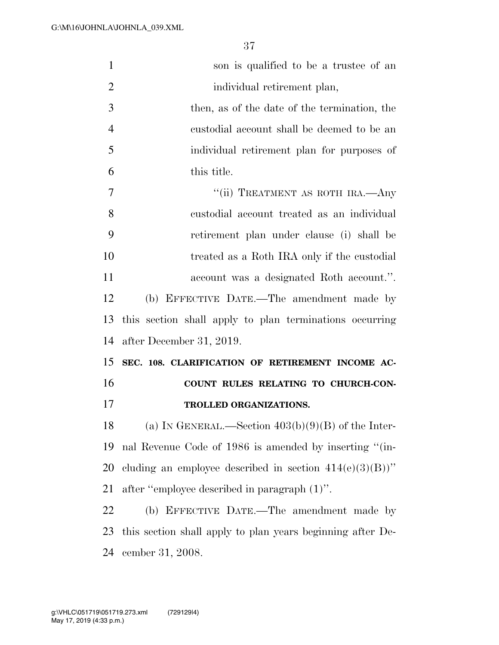| $\mathbf{1}$   | son is qualified to be a trustee of an                     |
|----------------|------------------------------------------------------------|
| $\overline{2}$ | individual retirement plan,                                |
| 3              | then, as of the date of the termination, the               |
| $\overline{4}$ | custodial account shall be deemed to be an                 |
| 5              | individual retirement plan for purposes of                 |
| 6              | this title.                                                |
| $\tau$         | "(ii) TREATMENT AS ROTH IRA. - Any                         |
| 8              | custodial account treated as an individual                 |
| 9              | retirement plan under clause (i) shall be                  |
| 10             | treated as a Roth IRA only if the custodial                |
| 11             | account was a designated Roth account.".                   |
| 12             | (b) EFFECTIVE DATE.—The amendment made by                  |
| 13             | this section shall apply to plan terminations occurring    |
| 14             | after December 31, 2019.                                   |
| 15             | SEC. 108. CLARIFICATION OF RETIREMENT INCOME AC-           |
| 16             | COUNT RULES RELATING TO CHURCH-CON-                        |
| 17             | TROLLED ORGANIZATIONS.                                     |
| 18             | (a) IN GENERAL.—Section $403(b)(9)(B)$ of the Inter-       |
| 19             | nal Revenue Code of 1986 is amended by inserting "(in-     |
| 20             | cluding an employee described in section $414(e)(3)(B)$ "  |
| 21             | after "employee described in paragraph (1)".               |
| 22             | (b) EFFECTIVE DATE.—The amendment made by                  |
| 23             | this section shall apply to plan years beginning after De- |
| 24             | cember 31, 2008.                                           |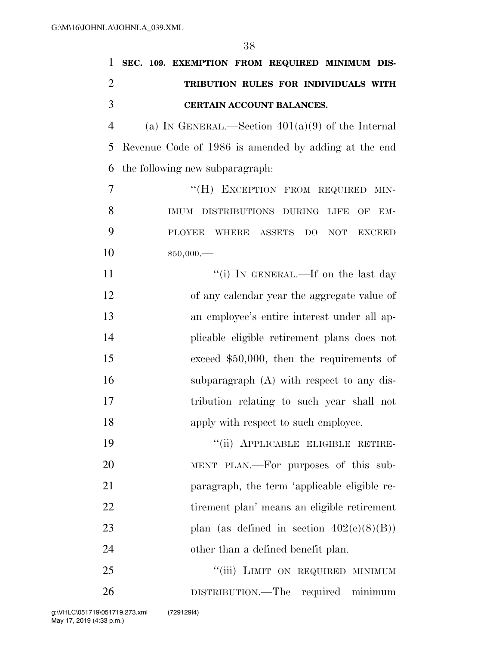| 1              | SEC. 109. EXEMPTION FROM REQUIRED MINIMUM DIS-                 |
|----------------|----------------------------------------------------------------|
| $\overline{2}$ | TRIBUTION RULES FOR INDIVIDUALS WITH                           |
| 3              | CERTAIN ACCOUNT BALANCES.                                      |
| $\overline{4}$ | (a) IN GENERAL.—Section $401(a)(9)$ of the Internal            |
| 5              | Revenue Code of 1986 is amended by adding at the end           |
| 6              | the following new subparagraph.                                |
| $\overline{7}$ | "(H) EXCEPTION FROM REQUIRED MIN-                              |
| 8              | DISTRIBUTIONS DURING<br>LIFE<br><b>IMUM</b><br>OF<br>EM-       |
| 9              | <b>PLOYEE</b><br>WHERE<br>DO<br>NOT<br>ASSETS<br><b>EXCEED</b> |
| 10             | \$50,000.                                                      |
| 11             | "(i) IN GENERAL.—If on the last day                            |
| 12             | of any calendar year the aggregate value of                    |
| 13             | an employee's entire interest under all ap-                    |
| 14             | plicable eligible retirement plans does not                    |
| 15             | exceed $$50,000$ , then the requirements of                    |
| 16             | subparagraph (A) with respect to any dis-                      |
| 17             | tribution relating to such year shall not                      |
| 18             | apply with respect to such employee.                           |
| 19             | "(ii) APPLICABLE ELIGIBLE RETIRE-                              |
| 20             | MENT PLAN.—For purposes of this sub-                           |
| 21             | paragraph, the term 'applicable eligible re-                   |
| 22             | tirement plan' means an eligible retirement                    |
| 23             | plan (as defined in section $402(e)(8)(B)$ )                   |
| 24             | other than a defined benefit plan.                             |
| 25             | "(iii) LIMIT ON REQUIRED MINIMUM                               |
| 26             | DISTRIBUTION.—The<br>required minimum                          |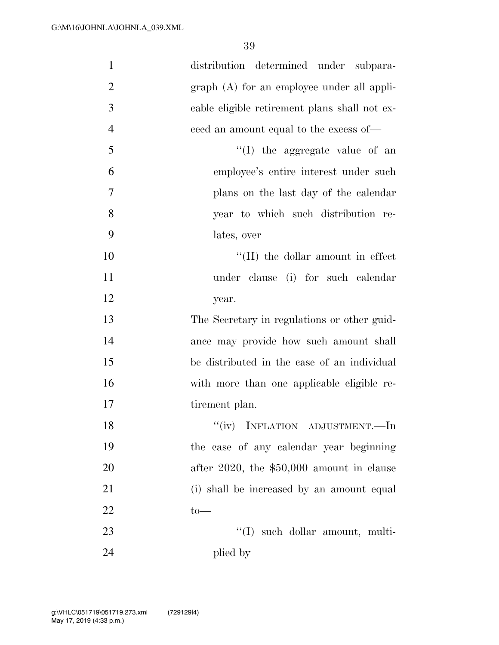| $\mathbf{1}$   | distribution determined under subpara-        |
|----------------|-----------------------------------------------|
| $\overline{2}$ | $graph(A)$ for an employee under all appli-   |
| 3              | cable eligible retirement plans shall not ex- |
| $\overline{4}$ | ceed an amount equal to the excess of—        |
| 5              | "(I) the aggregate value of an                |
| 6              | employee's entire interest under such         |
| 7              | plans on the last day of the calendar         |
| 8              | year to which such distribution re-           |
| 9              | lates, over                                   |
| 10             | $\lq\lq$ (II) the dollar amount in effect     |
| 11             | under clause (i) for such calendar            |
| 12             | year.                                         |
| 13             | The Secretary in regulations or other guid-   |
| 14             | ance may provide how such amount shall        |
| 15             | be distributed in the case of an individual   |
| 16             | with more than one applicable eligible re-    |
| 17             | tirement plan.                                |
| 18             | ``(iv)<br>INFLATION ADJUSTMENT.—In            |
| 19             | the case of any calendar year beginning       |
| 20             | after $2020$ , the $$50,000$ amount in clause |
| 21             | (i) shall be increased by an amount equal     |
| 22             | $to-$                                         |
| 23             | $\lq\lq$ such dollar amount, multi-           |
| 24             | plied by                                      |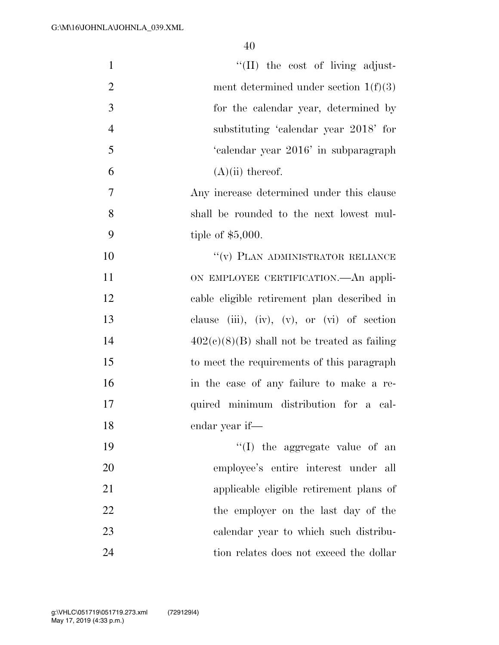| $\mathbf{1}$   | $\lq\lq$ (II) the cost of living adjust-       |
|----------------|------------------------------------------------|
| $\overline{2}$ | ment determined under section $1(f)(3)$        |
| 3              | for the calendar year, determined by           |
| $\overline{4}$ | substituting 'calendar year 2018' for          |
| 5              | 'calendar year 2016' in subparagraph           |
| 6              | $(A)(ii)$ thereof.                             |
| 7              | Any increase determined under this clause      |
| 8              | shall be rounded to the next lowest mul-       |
| 9              | tiple of $$5,000$ .                            |
| 10             | "(v) PLAN ADMINISTRATOR RELIANCE               |
| 11             | ON EMPLOYEE CERTIFICATION.—An appli-           |
| 12             | cable eligible retirement plan described in    |
| 13             | clause (iii), (iv), (v), or (vi) of section    |
| 14             | $402(c)(8)(B)$ shall not be treated as failing |
| 15             | to meet the requirements of this paragraph     |
| 16             | in the case of any failure to make a re-       |
| 17             | quired minimum distribution for a cal-         |
| 18             | endar year if—                                 |
| 19             | "(I) the aggregate value of an                 |
| 20             | employee's entire interest under all           |
| 21             | applicable eligible retirement plans of        |
| 22             | the employer on the last day of the            |
| 23             | calendar year to which such distribu-          |
| 24             | tion relates does not exceed the dollar        |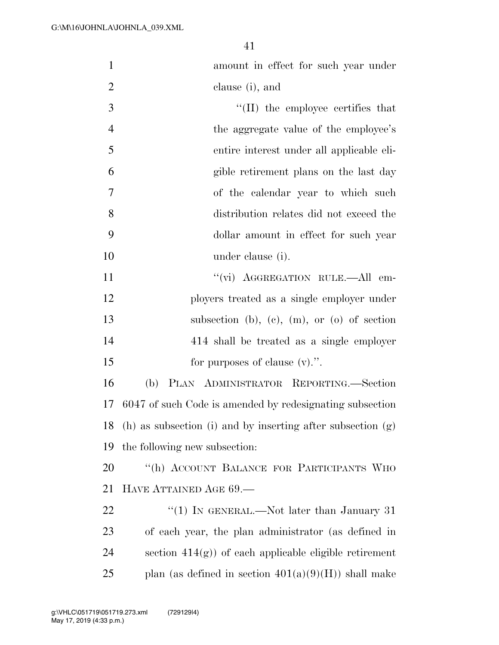amount in effect for such year under clause (i), and

 $\frac{1}{2}$  The employee certifies that 4 the aggregate value of the employee's entire interest under all applicable eli- gible retirement plans on the last day of the calendar year to which such distribution relates did not exceed the dollar amount in effect for such year under clause (i).

 $''(\vec{v})$  AGGREGATION RULE.—All em- ployers treated as a single employer under subsection (b), (c), (m), or (o) of section 414 shall be treated as a single employer 15 for purposes of clause (v).".

 (b) PLAN ADMINISTRATOR REPORTING.—Section 6047 of such Code is amended by redesignating subsection (h) as subsection (i) and by inserting after subsection (g) the following new subsection:

 ''(h) ACCOUNT BALANCE FOR PARTICIPANTS WHO HAVE ATTAINED AGE 69.—

22 "(1) IN GENERAL.—Not later than January 31 of each year, the plan administrator (as defined in 24 section  $414(g)$  of each applicable eligible retirement 25 plan (as defined in section  $401(a)(9)(H)$ ) shall make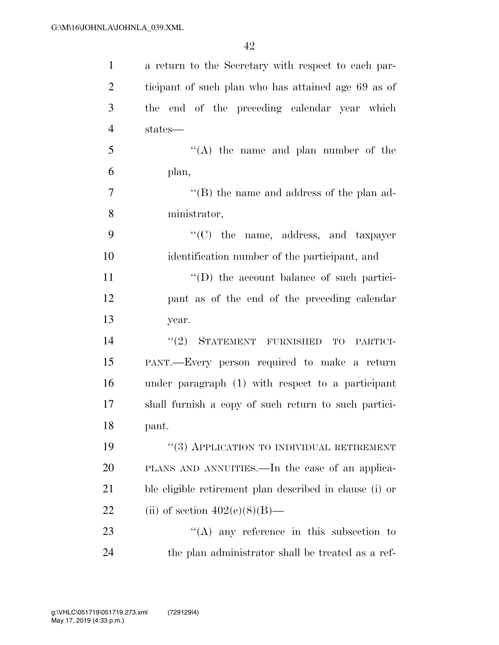| $\mathbf{1}$   | a return to the Secretary with respect to each par-     |
|----------------|---------------------------------------------------------|
| $\overline{2}$ | ticipant of such plan who has attained age 69 as of     |
| 3              | the end of the preceding calendar year which            |
| $\overline{4}$ | states—                                                 |
| 5              | $\lq\lq$ the name and plan number of the                |
| 6              | plan,                                                   |
| $\overline{7}$ | $\lq\lq$ the name and address of the plan ad-           |
| 8              | ministrator,                                            |
| 9              | "(C) the name, address, and taxpayer                    |
| 10             | identification number of the participant, and           |
| 11             | $\lq\lq$ the account balance of such partici-           |
| 12             | pant as of the end of the preceding calendar            |
| 13             | year.                                                   |
| 14             | STATEMENT FURNISHED<br>(2)<br>TO<br>PARTICI-            |
| 15             | PANT.—Every person required to make a return            |
| 16             | under paragraph (1) with respect to a participant       |
| 17             | shall furnish a copy of such return to such partici-    |
| 18             | pant.                                                   |
| 19             | $``(3)$ APPLICATION TO INDIVIDUAL RETIREMENT            |
| <b>20</b>      | PLANS AND ANNUITIES.—In the case of an applica-         |
| 21             | ble eligible retirement plan described in clause (i) or |
| 22             | (ii) of section $402(e)(8)(B)$ —                        |
| 23             | $\lq\lq$ any reference in this subsection to            |
| 24             | the plan administrator shall be treated as a ref-       |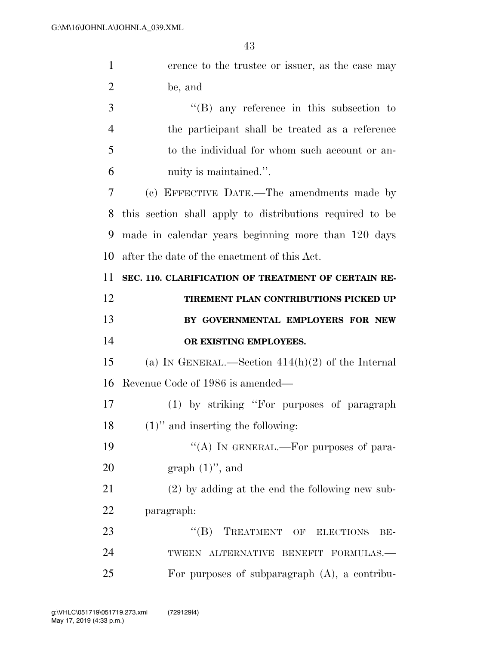| $\mathbf{1}$   | erence to the trustee or issuer, as the case may         |
|----------------|----------------------------------------------------------|
| $\overline{2}$ | be, and                                                  |
| 3              | $\lq\lq$ any reference in this subsection to             |
| $\overline{4}$ | the participant shall be treated as a reference          |
| 5              | to the individual for whom such account or an-           |
| 6              | nuity is maintained.".                                   |
| 7              | (c) EFFECTIVE DATE.—The amendments made by               |
| 8              | this section shall apply to distributions required to be |
| 9              | made in calendar years beginning more than 120 days      |
| 10             | after the date of the enactment of this Act.             |
| 11             | SEC. 110. CLARIFICATION OF TREATMENT OF CERTAIN RE-      |
| 12             | TIREMENT PLAN CONTRIBUTIONS PICKED UP                    |
|                |                                                          |
| 13             | BY GOVERNMENTAL EMPLOYERS FOR NEW                        |
| 14             | OR EXISTING EMPLOYEES.                                   |
| 15             | (a) IN GENERAL.—Section $414(h)(2)$ of the Internal      |
| 16             | Revenue Code of 1986 is amended—                         |
| 17             | (1) by striking "For purposes of paragraph               |
| 18             | $(1)$ " and inserting the following:                     |
| 19             | "(A) IN GENERAL.—For purposes of para-                   |
| 20             | graph $(1)$ ", and                                       |
| 21             | $(2)$ by adding at the end the following new sub-        |
| 22             | paragraph:                                               |
| 23             | "(B) TREATMENT OF ELECTIONS<br>BE-                       |
| 24             | TWEEN ALTERNATIVE BENEFIT FORMULAS.-                     |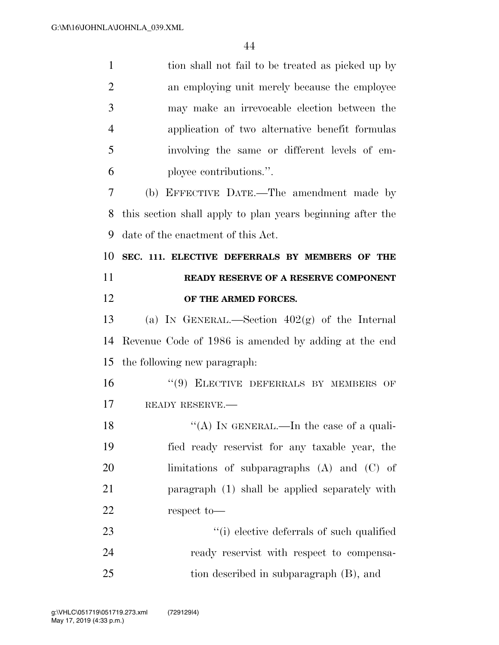| $\mathbf{1}$   | tion shall not fail to be treated as picked up by          |
|----------------|------------------------------------------------------------|
| $\overline{2}$ | an employing unit merely because the employee              |
| 3              | may make an irrevocable election between the               |
| $\overline{4}$ | application of two alternative benefit formulas            |
| 5              | involving the same or different levels of em-              |
| 6              | ployee contributions.".                                    |
| 7              | (b) EFFECTIVE DATE.—The amendment made by                  |
| 8              | this section shall apply to plan years beginning after the |
| 9              | date of the enactment of this Act.                         |
| 10             | SEC. 111. ELECTIVE DEFERRALS BY MEMBERS OF THE             |
| 11             | READY RESERVE OF A RESERVE COMPONENT                       |
| 12             | OF THE ARMED FORCES.                                       |
| 13             | (a) IN GENERAL.—Section $402(g)$ of the Internal           |
| 14             | Revenue Code of 1986 is amended by adding at the end       |
| 15             | the following new paragraph.                               |
| 16             | "(9) ELECTIVE DEFERRALS BY MEMBERS OF                      |
| 17             | READY RESERVE.                                             |
| 18             | "(A) IN GENERAL.—In the case of a quali-                   |
| 19             | fied ready reservist for any taxable year, the             |
| 20             | limitations of subparagraphs $(A)$ and $(C)$ of            |
| 21             | paragraph (1) shall be applied separately with             |
| 22             | respect to-                                                |
| 23             | "(i) elective deferrals of such qualified                  |
| 24             | ready reservist with respect to compensa-                  |
| 25             | tion described in subparagraph (B), and                    |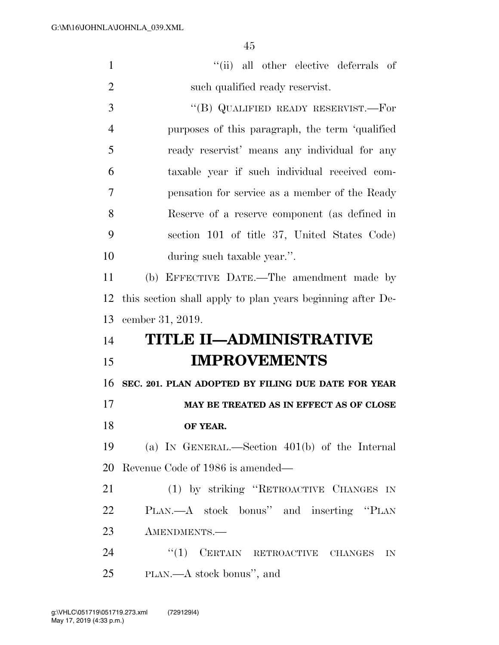| $\mathbf{1}$   | "(ii) all other elective deferrals of                      |
|----------------|------------------------------------------------------------|
| $\overline{2}$ | such qualified ready reservist.                            |
| 3              | "(B) QUALIFIED READY RESERVIST.—For                        |
| $\overline{4}$ | purposes of this paragraph, the term 'qualified            |
| 5              | ready reservist' means any individual for any              |
| 6              | taxable year if such individual received com-              |
| 7              | pensation for service as a member of the Ready             |
| 8              | Reserve of a reserve component (as defined in              |
| 9              | section 101 of title 37, United States Code)               |
| 10             | during such taxable year.".                                |
| 11             | (b) EFFECTIVE DATE.—The amendment made by                  |
| 12             | this section shall apply to plan years beginning after De- |
| 13             | cember 31, 2019.                                           |
| 14             | TITLE II-ADMINISTRATIVE                                    |
| 15             |                                                            |
|                | <b>IMPROVEMENTS</b>                                        |
| 16             | SEC. 201. PLAN ADOPTED BY FILING DUE DATE FOR YEAR         |
| 17             | MAY BE TREATED AS IN EFFECT AS OF CLOSE                    |
| 18             | OF YEAR.                                                   |
| 19             | (a) IN GENERAL.—Section $401(b)$ of the Internal           |
| 20             | Revenue Code of 1986 is amended—                           |
| 21             | (1) by striking "RETROACTIVE CHANGES IN                    |
| 22             | PLAN. A stock bonus" and inserting "PLAN                   |
| 23             | AMENDMENTS.-                                               |
| 24             | ``(1)<br>CERTAIN RETROACTIVE CHANGES<br>IN                 |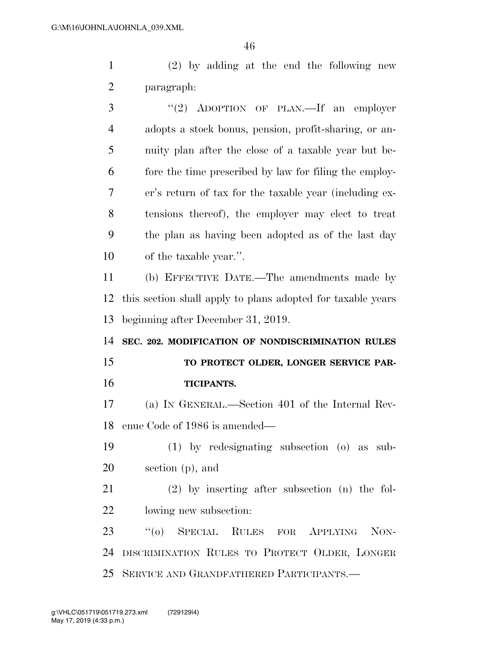(2) by adding at the end the following new paragraph:

3 "(2) ADOPTION OF PLAN.—If an employer adopts a stock bonus, pension, profit-sharing, or an- nuity plan after the close of a taxable year but be- fore the time prescribed by law for filing the employ- er's return of tax for the taxable year (including ex- tensions thereof), the employer may elect to treat the plan as having been adopted as of the last day of the taxable year.''. (b) EFFECTIVE DATE.—The amendments made by this section shall apply to plans adopted for taxable years beginning after December 31, 2019. **SEC. 202. MODIFICATION OF NONDISCRIMINATION RULES TO PROTECT OLDER, LONGER SERVICE PAR- TICIPANTS.**  (a) IN GENERAL.—Section 401 of the Internal Rev- enue Code of 1986 is amended— (1) by redesignating subsection (o) as sub- section (p), and (2) by inserting after subsection (n) the fol- lowing new subsection: ''(o) SPECIAL RULES FOR APPLYING NON-DISCRIMINATION RULES TO PROTECT OLDER, LONGER

SERVICE AND GRANDFATHERED PARTICIPANTS.—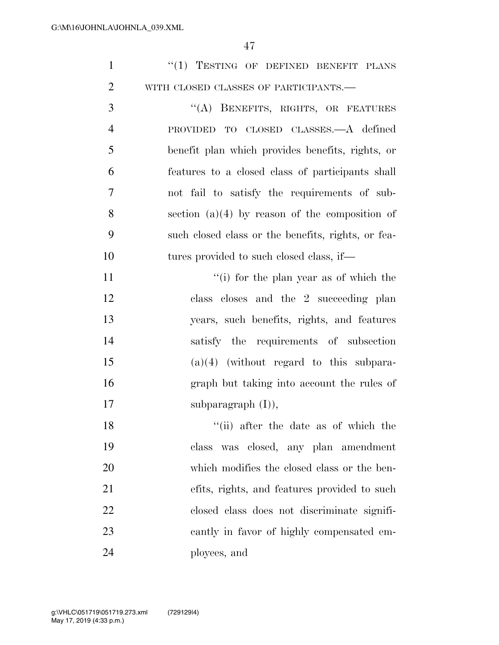|  | $\lq(1)$ TESTING OF DEFINED BENEFIT PLANS |  |  |
|--|-------------------------------------------|--|--|
|  | WITH CLOSED CLASSES OF PARTICIPANTS.—     |  |  |

3 "(A) BENEFITS, RIGHTS, OR FEATURES PROVIDED TO CLOSED CLASSES.—A defined benefit plan which provides benefits, rights, or features to a closed class of participants shall not fail to satisfy the requirements of sub- section (a)(4) by reason of the composition of such closed class or the benefits, rights, or fea-10 tures provided to such closed class, if—

11 ''(i) for the plan year as of which the class closes and the 2 succeeding plan years, such benefits, rights, and features satisfy the requirements of subsection (a)(4) (without regard to this subpara- graph but taking into account the rules of 17 subparagraph (I),

18 ''(ii) after the date as of which the class was closed, any plan amendment which modifies the closed class or the ben- efits, rights, and features provided to such closed class does not discriminate signifi- cantly in favor of highly compensated em-ployees, and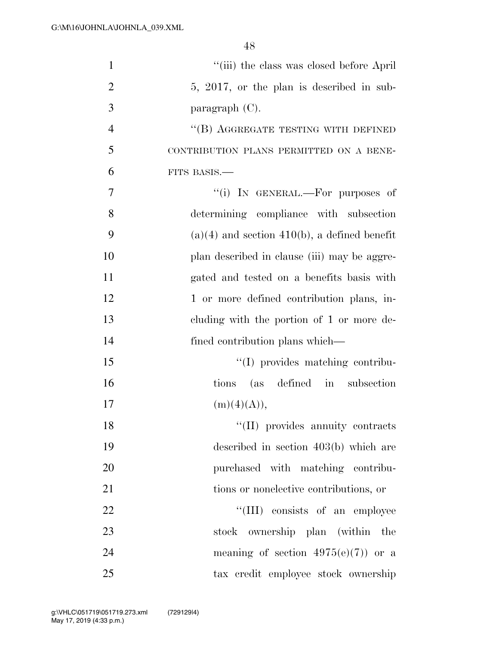| $\mathbf{1}$   | "(iii) the class was closed before April"      |
|----------------|------------------------------------------------|
| $\overline{2}$ | 5, 2017, or the plan is described in sub-      |
| 3              | paragraph $(C)$ .                              |
| $\overline{4}$ | "(B) AGGREGATE TESTING WITH DEFINED            |
| 5              | CONTRIBUTION PLANS PERMITTED ON A BENE-        |
| 6              | FITS BASIS.-                                   |
| 7              | "(i) IN GENERAL.—For purposes of               |
| 8              | determining compliance with subsection         |
| 9              | $(a)(4)$ and section 410(b), a defined benefit |
| 10             | plan described in clause (iii) may be aggre-   |
| 11             | gated and tested on a benefits basis with      |
| 12             | 1 or more defined contribution plans, in-      |
| 13             | cluding with the portion of 1 or more de-      |
| 14             | fined contribution plans which—                |
| 15             | "(I) provides matching contribu-               |
| 16             | (as defined in subsection<br>tions             |
| 17             | (m)(4)(A)),                                    |
| 18             | "(II) provides annuity contracts               |
| 19             | described in section $403(b)$ which are        |
| 20             | purchased with matching contribu-              |
| 21             | tions or nonelective contributions, or         |
| 22             | "(III) consists of an employee                 |
| 23             | ownership plan (within the<br>stock            |
| 24             | meaning of section $4975(e)(7)$ or a           |
| 25             | tax credit employee stock ownership            |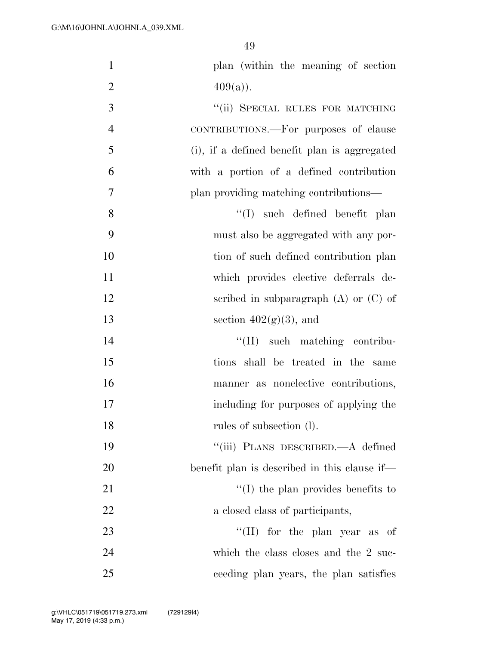| $\mathbf{1}$   | plan (within the meaning of section          |
|----------------|----------------------------------------------|
| $\overline{2}$ | $409(a)$ .                                   |
| 3              | "(ii) SPECIAL RULES FOR MATCHING             |
| $\overline{4}$ | CONTRIBUTIONS.—For purposes of clause        |
| 5              | (i), if a defined benefit plan is aggregated |
| 6              | with a portion of a defined contribution     |
| 7              | plan providing matching contributions—       |
| 8              | $''(I)$ such defined benefit plan            |
| 9              | must also be aggregated with any por-        |
| 10             | tion of such defined contribution plan       |
| 11             | which provides elective deferrals de-        |
| 12             | scribed in subparagraph $(A)$ or $(C)$ of    |
| 13             | section $402(g)(3)$ , and                    |
| 14             | "(II) such matching contribu-                |
| 15             | tions shall be treated in the same           |
| 16             | manner as nonelective contributions,         |
| 17             | including for purposes of applying the       |
| 18             | rules of subsection (1).                     |
| 19             | "(iii) PLANS DESCRIBED.—A defined            |
| 20             | benefit plan is described in this clause if— |
| 21             | $\lq\lq$ (I) the plan provides benefits to   |
| 22             | a closed class of participants,              |
| 23             | "(II) for the plan year as of                |
| 24             | which the class closes and the 2 suc-        |
| 25             | ceeding plan years, the plan satisfies       |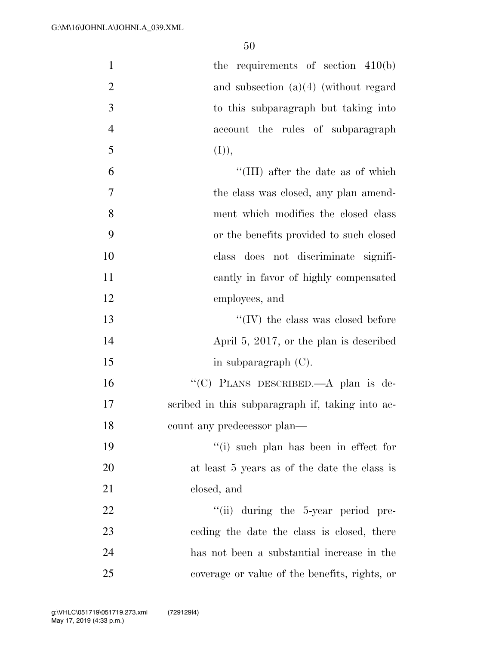| $\mathbf{1}$   | the requirements of section $410(b)$             |
|----------------|--------------------------------------------------|
| $\overline{2}$ | and subsection $(a)(4)$ (without regard          |
| 3              | to this subparagraph but taking into             |
| $\overline{4}$ | account the rules of subparagraph                |
| 5              | (I)),                                            |
| 6              | "(III) after the date as of which                |
| $\overline{7}$ | the class was closed, any plan amend-            |
| 8              | ment which modifies the closed class             |
| 9              | or the benefits provided to such closed          |
| 10             | class does not discriminate signifi-             |
| 11             | cantly in favor of highly compensated            |
| 12             | employees, and                                   |
| 13             | $\lq\lq$ (IV) the class was closed before        |
| 14             | April 5, 2017, or the plan is described          |
| 15             | in subparagraph $(C)$ .                          |
| 16             | "(C) PLANS DESCRIBED.—A plan is de-              |
| 17             | scribed in this subparagraph if, taking into ac- |
| 18             | count any predecessor plan—                      |
| 19             | "(i) such plan has been in effect for            |
| <b>20</b>      | at least 5 years as of the date the class is     |
| 21             | closed, and                                      |
| 22             | "(ii) during the 5-year period pre-              |
| 23             | ceding the date the class is closed, there       |
| 24             | has not been a substantial increase in the       |
| 25             | coverage or value of the benefits, rights, or    |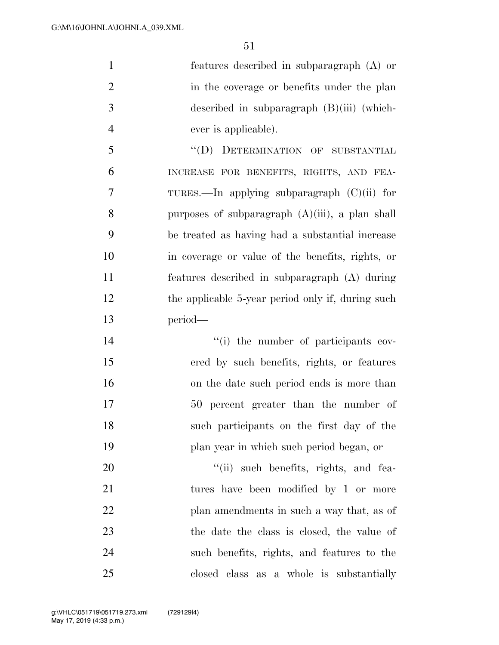features described in subparagraph (A) or 2 in the coverage or benefits under the plan described in subparagraph (B)(iii) (which- ever is applicable). ''(D) DETERMINATION OF SUBSTANTIAL INCREASE FOR BENEFITS, RIGHTS, AND FEA- TURES.—In applying subparagraph (C)(ii) for purposes of subparagraph (A)(iii), a plan shall

 be treated as having had a substantial increase in coverage or value of the benefits, rights, or features described in subparagraph (A) during 12 the applicable 5-year period only if, during such period—

 $\frac{1}{10}$  the number of participants cov- ered by such benefits, rights, or features on the date such period ends is more than 50 percent greater than the number of such participants on the first day of the plan year in which such period began, or

 $\frac{1}{1}$  such benefits, rights, and fea- tures have been modified by 1 or more plan amendments in such a way that, as of the date the class is closed, the value of such benefits, rights, and features to the closed class as a whole is substantially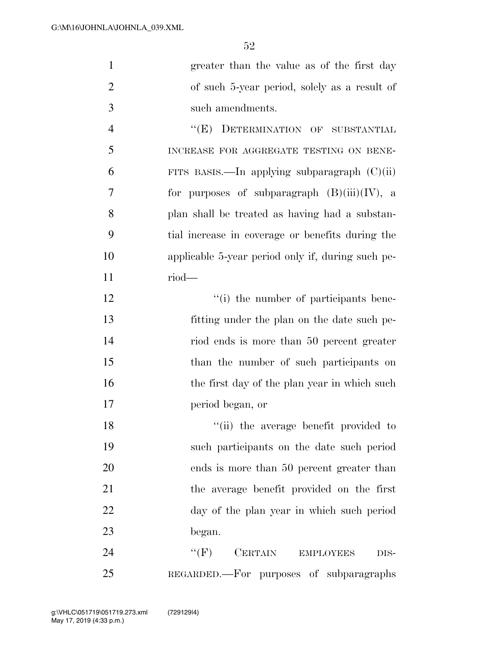| $\mathbf{1}$   | greater than the value as of the first day        |
|----------------|---------------------------------------------------|
| $\overline{2}$ | of such 5-year period, solely as a result of      |
| 3              | such amendments.                                  |
| $\overline{4}$ | "(E) DETERMINATION OF SUBSTANTIAL                 |
| 5              | INCREASE FOR AGGREGATE TESTING ON BENE-           |
| 6              | FITS BASIS.—In applying subparagraph $(C)(ii)$    |
| $\overline{7}$ | for purposes of subparagraph $(B)(iii)(IV)$ , a   |
| 8              | plan shall be treated as having had a substan-    |
| 9              | tial increase in coverage or benefits during the  |
| 10             | applicable 5-year period only if, during such pe- |
| 11             | $riod$ —                                          |
| 12             | "(i) the number of participants bene-             |
| 13             | fitting under the plan on the date such pe-       |
| 14             | riod ends is more than 50 percent greater         |
| 15             | than the number of such participants on           |
| 16             | the first day of the plan year in which such      |
| 17             | period began, or                                  |
| 18             | "(ii) the average benefit provided to             |
| 19             | such participants on the date such period         |
| 20             | ends is more than 50 percent greater than         |
| 21             | the average benefit provided on the first         |
| 22             | day of the plan year in which such period         |
| 23             | began.                                            |
| 24             | $``$ (F)<br>CERTAIN EMPLOYEES<br>DIS-             |
| 25             | REGARDED.—For purposes of subparagraphs           |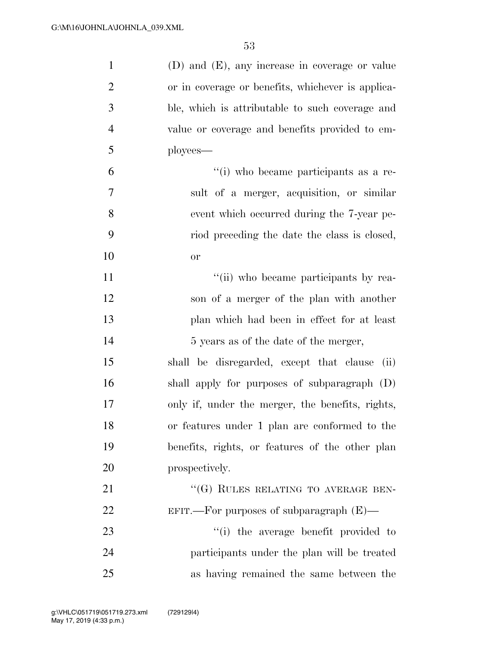| $\mathbf{1}$   | $(D)$ and $(E)$ , any increase in coverage or value |
|----------------|-----------------------------------------------------|
| $\overline{2}$ | or in coverage or benefits, whichever is applica-   |
| 3              | ble, which is attributable to such coverage and     |
| $\overline{4}$ | value or coverage and benefits provided to em-      |
| 5              | ployees-                                            |
| 6              | "(i) who became participants as a re-               |
| 7              | sult of a merger, acquisition, or similar           |
| 8              | event which occurred during the 7-year pe-          |
| 9              | riod preceding the date the class is closed,        |
| 10             | or                                                  |
| 11             | "(ii) who became participants by rea-               |
| 12             | son of a merger of the plan with another            |
| 13             | plan which had been in effect for at least          |
| 14             | 5 years as of the date of the merger,               |
| 15             | shall be disregarded, except that clause<br>(ii)    |
| 16             | shall apply for purposes of subparagraph (D)        |
| 17             | only if, under the merger, the benefits, rights,    |
| 18             | or features under 1 plan are conformed to the       |
| 19             | benefits, rights, or features of the other plan     |
| 20             | prospectively.                                      |
| 21             | "(G) RULES RELATING TO AVERAGE BEN-                 |
| 22             | EFIT.—For purposes of subparagraph $(E)$ —          |
| 23             | "(i) the average benefit provided to                |
| 24             | participants under the plan will be treated         |
| 25             | as having remained the same between the             |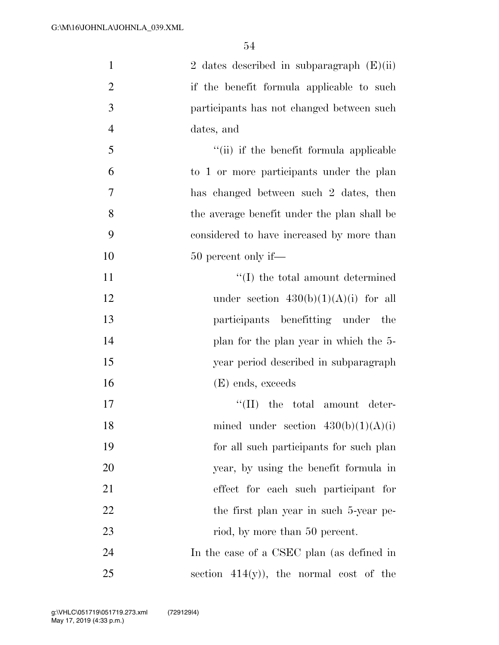| $\mathbf{1}$   | 2 dates described in subparagraph $(E)(ii)$    |
|----------------|------------------------------------------------|
| $\overline{2}$ | if the benefit formula applicable to such      |
| 3              | participants has not changed between such      |
| $\overline{4}$ | dates, and                                     |
| 5              | "(ii) if the benefit formula applicable        |
| 6              | to 1 or more participants under the plan       |
| 7              | has changed between such 2 dates, then         |
| 8              | the average benefit under the plan shall be    |
| 9              | considered to have increased by more than      |
| 10             | 50 percent only if—                            |
| 11             | $\lq\lq(\text{I})$ the total amount determined |
| 12             | under section $430(b)(1)(A)(i)$ for all        |
| 13             | participants benefitting under<br>the          |
| 14             | plan for the plan year in which the 5-         |
| 15             | year period described in subparagraph          |
| 16             | (E) ends, exceeds                              |
| 17             | $``(II)$ the total amount deter-               |
| 18             | mined under section $430(b)(1)(A)(i)$          |
| 19             | for all such participants for such plan        |
| 20             | year, by using the benefit formula in          |
| 21             | effect for each such participant for           |
| 22             | the first plan year in such 5-year pe-         |
| 23             | riod, by more than 50 percent.                 |
| 24             | In the case of a CSEC plan (as defined in      |
| 25             | section $414(y)$ , the normal cost of the      |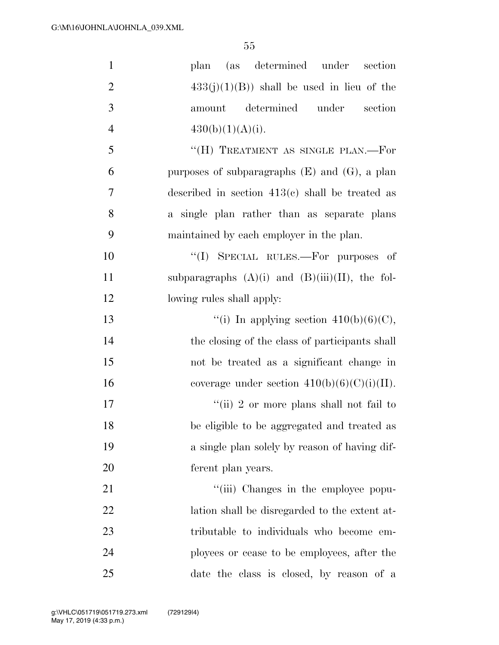| $\mathbf{1}$   | plan (as determined under<br>section                 |
|----------------|------------------------------------------------------|
| $\overline{2}$ | $433(j)(1)(B)$ shall be used in lieu of the          |
| 3              | determined under<br>section<br>amount                |
| $\overline{4}$ | 430(b)(1)(A)(i).                                     |
| 5              | "(H) TREATMENT AS SINGLE PLAN.—For                   |
| 6              | purposes of subparagraphs $(E)$ and $(G)$ , a plan   |
| 7              | described in section $413(e)$ shall be treated as    |
| 8              | a single plan rather than as separate plans          |
| 9              | maintained by each employer in the plan.             |
| 10             | "(I) SPECIAL RULES.—For purposes of                  |
| 11             | subparagraphs $(A)(i)$ and $(B)(iii)(II)$ , the fol- |
| 12             | lowing rules shall apply:                            |
| 13             | "(i) In applying section $410(b)(6)(C)$ ,            |
| 14             | the closing of the class of participants shall       |
| 15             | not be treated as a significant change in            |
| 16             | coverage under section $410(b)(6)(C)(i)(II)$ .       |
| 17             | "(ii) 2 or more plans shall not fail to              |
| 18             | be eligible to be aggregated and treated as          |
| 19             | a single plan solely by reason of having dif-        |
| 20             | ferent plan years.                                   |
| 21             | "(iii) Changes in the employee popu-                 |
| 22             | lation shall be disregarded to the extent at-        |
| 23             | tributable to individuals who become em-             |
| 24             | ployees or cease to be employees, after the          |
| 25             | date the class is closed, by reason of a             |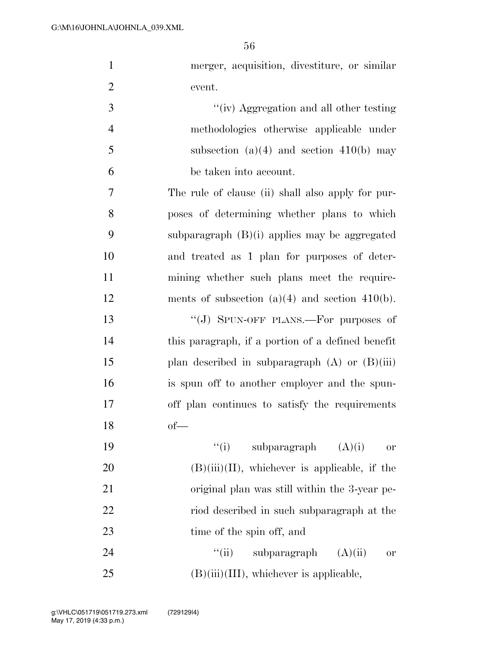| $\mathbf{1}$   | merger, acquisition, divestiture, or similar        |
|----------------|-----------------------------------------------------|
| $\overline{2}$ | event.                                              |
| 3              | "(iv) Aggregation and all other testing             |
| $\overline{4}$ | methodologies otherwise applicable under            |
| 5              | subsection $(a)(4)$ and section $410(b)$ may        |
| 6              | be taken into account.                              |
| 7              | The rule of clause (ii) shall also apply for pur-   |
| 8              | poses of determining whether plans to which         |
| 9              | subparagraph $(B)(i)$ applies may be aggregated     |
| 10             | and treated as 1 plan for purposes of deter-        |
| 11             | mining whether such plans meet the require-         |
| 12             | ments of subsection $(a)(4)$ and section $410(b)$ . |
| 13             | "(J) SPUN-OFF PLANS.—For purposes of                |
| 14             | this paragraph, if a portion of a defined benefit   |
| 15             | plan described in subparagraph $(A)$ or $(B)(iii)$  |
| 16             | is spun off to another employer and the spun-       |
| 17             | off plan continues to satisfy the requirements      |
| 18             | $of$ —                                              |
| 19             | ``(i)<br>subparagraph<br>(A)(i)<br>or               |
| 20             | $(B)(iii)(II)$ , whichever is applicable, if the    |
| 21             | original plan was still within the 3-year pe-       |
| 22             | riod described in such subparagraph at the          |
| 23             | time of the spin off, and                           |
| 24             | ``(ii)<br>subparagraph<br>(A)(ii)<br><b>or</b>      |

(B)(iii)(III), whichever is applicable,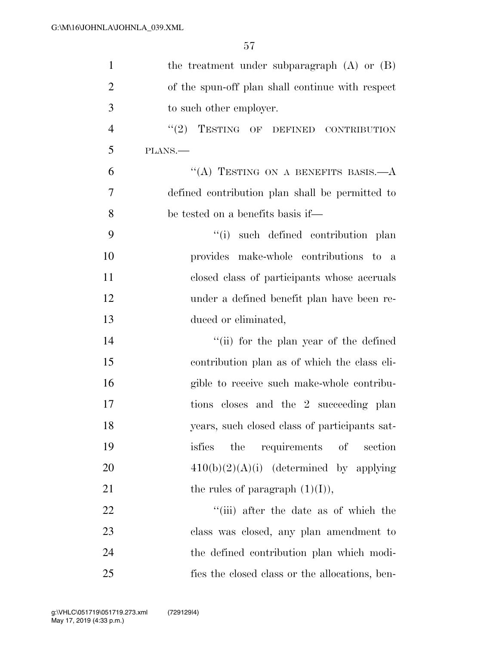| $\mathbf{1}$   | the treatment under subparagraph $(A)$ or $(B)$  |
|----------------|--------------------------------------------------|
| $\overline{2}$ | of the spun-off plan shall continue with respect |
| 3              | to such other employer.                          |
| $\overline{4}$ | "(2) TESTING OF DEFINED CONTRIBUTION             |
| 5              | PLANS.                                           |
| 6              | "(A) TESTING ON A BENEFITS BASIS. $-A$           |
| 7              | defined contribution plan shall be permitted to  |
| 8              | be tested on a benefits basis if—                |
| 9              | "(i) such defined contribution plan              |
| 10             | provides make-whole contributions to a           |
| 11             | closed class of participants whose accruals      |
| 12             | under a defined benefit plan have been re-       |
| 13             | duced or eliminated,                             |
| 14             | "(ii) for the plan year of the defined           |
| 15             | contribution plan as of which the class eli-     |
| 16             | gible to receive such make-whole contribu-       |
| 17             | tions closes and the 2 succeeding plan           |
| 18             | years, such closed class of participants sat-    |
| 19             | requirements<br>the<br>isfies<br>of<br>section   |
| 20             | $410(b)(2)(A)(i)$ (determined by applying        |
| 21             | the rules of paragraph $(1)(I)$ ,                |
| 22             | "(iii) after the date as of which the            |
| 23             | class was closed, any plan amendment to          |
| 24             | the defined contribution plan which modi-        |
| 25             | fies the closed class or the allocations, ben-   |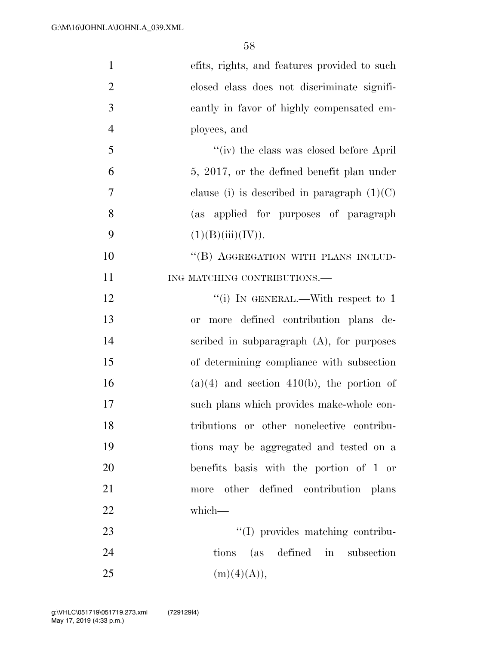| $\mathbf{1}$   | efits, rights, and features provided to such         |
|----------------|------------------------------------------------------|
| $\overline{2}$ | closed class does not discriminate signifi-          |
| 3              | cantly in favor of highly compensated em-            |
| $\overline{4}$ | ployees, and                                         |
| 5              | "(iv) the class was closed before April"             |
| 6              | 5, 2017, or the defined benefit plan under           |
| 7              | clause (i) is described in paragraph $(1)(C)$        |
| 8              | (as applied for purposes of paragraph                |
| 9              | (1)(B)(iii)(IV)).                                    |
| 10             | "(B) AGGREGATION WITH PLANS INCLUD-                  |
| 11             | ING MATCHING CONTRIBUTIONS.                          |
| 12             | "(i) IN GENERAL.—With respect to 1                   |
| 13             | more defined contribution plans de-<br><sub>or</sub> |
| 14             | scribed in subparagraph $(A)$ , for purposes         |
| 15             | of determining compliance with subsection            |
| 16             | $(a)(4)$ and section 410(b), the portion of          |
| 17             | such plans which provides make-whole con-            |
| 18             | tributions or other nonelective contribu-            |
| 19             | tions may be aggregated and tested on a              |
| 20             | benefits basis with the portion of 1 or              |
| 21             | more other defined contribution plans                |
| 22             | which-                                               |
| 23             | "(I) provides matching contribu-                     |
| 24             | tions (as defined in subsection                      |
| 25             | (m)(4)(A)),                                          |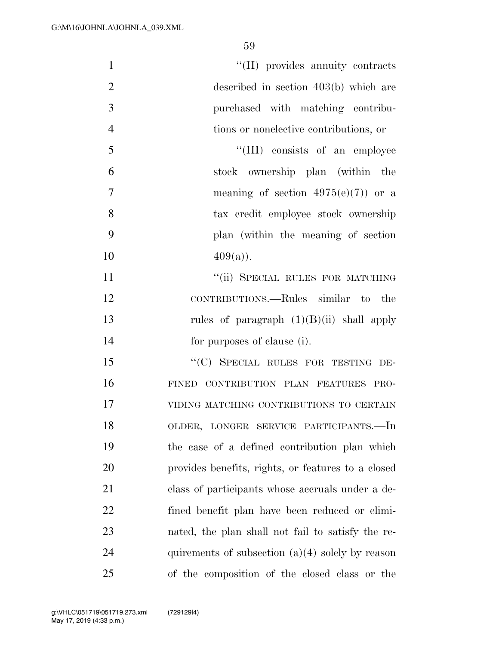| $\mathbf{1}$   | "(II) provides annuity contracts                   |
|----------------|----------------------------------------------------|
| $\overline{2}$ | described in section $403(b)$ which are            |
| 3              | purchased with matching contribu-                  |
| $\overline{4}$ | tions or nonelective contributions, or             |
| 5              | "(III) consists of an employee                     |
| 6              | stock ownership plan (within the                   |
| $\overline{7}$ | meaning of section $4975(e)(7)$ or a               |
| 8              | tax credit employee stock ownership                |
| 9              | plan (within the meaning of section)               |
| 10             | $409(a)$ .                                         |
| 11             | "(ii) SPECIAL RULES FOR MATCHING                   |
| 12             | CONTRIBUTIONS.—Rules similar to the                |
| 13             | rules of paragraph $(1)(B)(ii)$ shall apply        |
| 14             | for purposes of clause (i).                        |
| 15             | "(C) SPECIAL RULES FOR TESTING DE-                 |
| 16             | FINED CONTRIBUTION PLAN FEATURES PRO-              |
| 17             | VIDING MATCHING CONTRIBUTIONS TO CERTAIN           |
| 18             | OLDER, LONGER SERVICE PARTICIPANTS.-In             |
| 19             | the case of a defined contribution plan which      |
| 20             | provides benefits, rights, or features to a closed |
| 21             | class of participants whose accruals under a de-   |
| 22             | fined benefit plan have been reduced or elimi-     |
| 23             | nated, the plan shall not fail to satisfy the re-  |
| 24             | quirements of subsection $(a)(4)$ solely by reason |
| 25             | of the composition of the closed class or the      |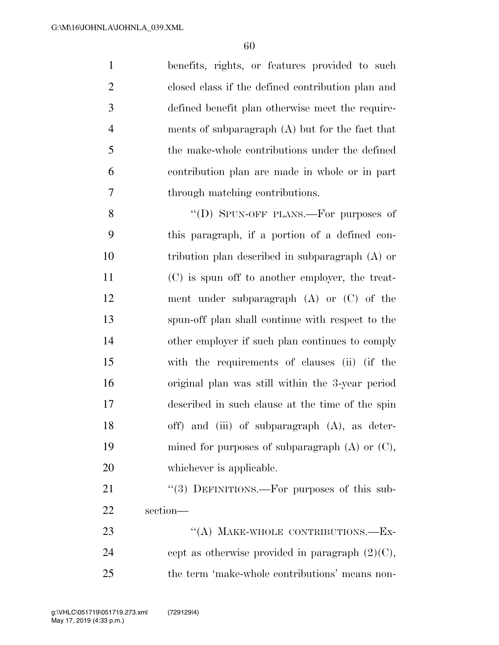benefits, rights, or features provided to such closed class if the defined contribution plan and defined benefit plan otherwise meet the require- ments of subparagraph (A) but for the fact that the make-whole contributions under the defined contribution plan are made in whole or in part through matching contributions.

8 "(D) SPUN-OFF PLANS.—For purposes of this paragraph, if a portion of a defined con- tribution plan described in subparagraph (A) or (C) is spun off to another employer, the treat- ment under subparagraph (A) or (C) of the spun-off plan shall continue with respect to the other employer if such plan continues to comply with the requirements of clauses (ii) (if the original plan was still within the 3-year period described in such clause at the time of the spin off) and (iii) of subparagraph (A), as deter-19 mined for purposes of subparagraph (A) or (C), 20 whichever is applicable.

21 "(3) DEFINITIONS.—For purposes of this sub-section—

23 "(A) MAKE-WHOLE CONTRIBUTIONS.—EX-24 cept as otherwise provided in paragraph  $(2)(C)$ , the term 'make-whole contributions' means non-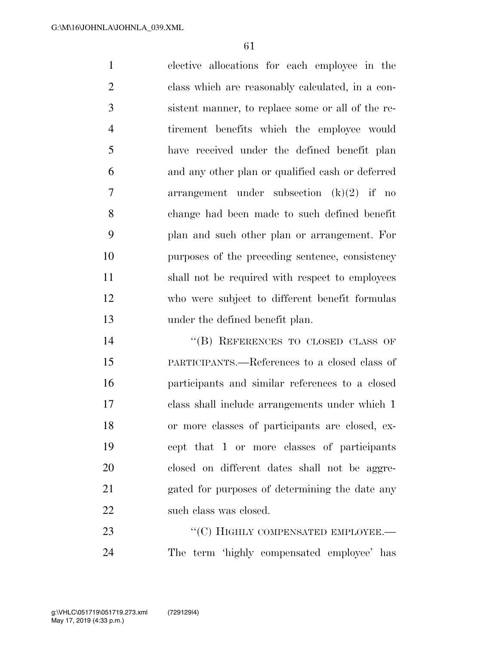elective allocations for each employee in the class which are reasonably calculated, in a con- sistent manner, to replace some or all of the re- tirement benefits which the employee would have received under the defined benefit plan and any other plan or qualified cash or deferred arrangement under subsection (k)(2) if no change had been made to such defined benefit plan and such other plan or arrangement. For purposes of the preceding sentence, consistency shall not be required with respect to employees who were subject to different benefit formulas under the defined benefit plan.

14 "(B) REFERENCES TO CLOSED CLASS OF PARTICIPANTS.—References to a closed class of participants and similar references to a closed class shall include arrangements under which 1 or more classes of participants are closed, ex- cept that 1 or more classes of participants closed on different dates shall not be aggre- gated for purposes of determining the date any 22 such class was closed.

23 "
(C) HIGHLY COMPENSATED EMPLOYEE. The term 'highly compensated employee' has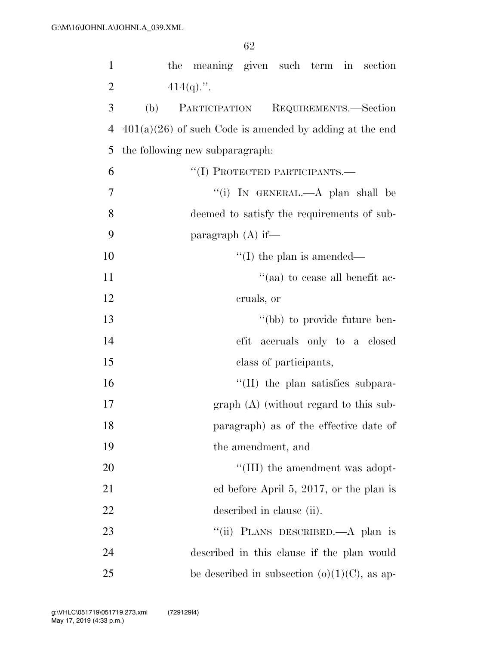| $\mathbf{1}$   | the meaning given such term in section                    |
|----------------|-----------------------------------------------------------|
| $\overline{2}$ | $414(q)$ .".                                              |
| 3              | PARTICIPATION<br>REQUIREMENTS.-Section<br>(b)             |
| 4              | $401(a)(26)$ of such Code is amended by adding at the end |
| 5              | the following new subparagraph.                           |
| 6              | "(I) PROTECTED PARTICIPANTS.—                             |
| 7              | "(i) IN GENERAL.—A plan shall be                          |
| 8              | deemed to satisfy the requirements of sub-                |
| 9              | paragraph $(A)$ if—                                       |
| 10             | $\lq\lq$ (I) the plan is amended—                         |
| 11             | "(aa) to cease all benefit ac-                            |
| 12             | cruals, or                                                |
| 13             | "(bb) to provide future ben-                              |
| 14             | efit accruals only to a closed                            |
| 15             | class of participants,                                    |
| 16             | $\lq$ (II) the plan satisfies subpara-                    |
| 17             | $graph(A)$ (without regard to this sub-                   |
| 18             | paragraph) as of the effective date of                    |
| 19             | the amendment, and                                        |
| 20             | "(III) the amendment was adopt-                           |
| 21             | ed before April 5, 2017, or the plan is                   |
| 22             | described in clause (ii).                                 |
| 23             | "(ii) PLANS DESCRIBED.—A plan is                          |
| 24             | described in this clause if the plan would                |
| 25             | be described in subsection $(o)(1)(C)$ , as ap-           |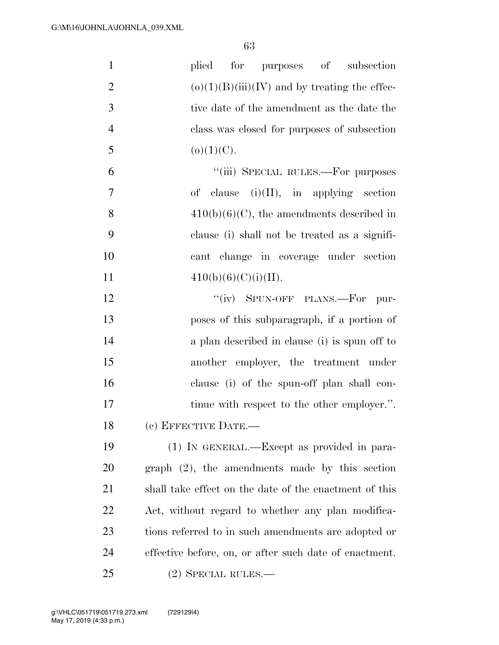| $\mathbf{1}$   | for purposes of subsection<br>plied                    |
|----------------|--------------------------------------------------------|
| $\overline{2}$ | $(o)(1)(B)(iii)(IV)$ and by treating the effec-        |
| 3              | tive date of the amendment as the date the             |
| $\overline{4}$ | class was closed for purposes of subsection            |
| 5              | $(o)(1)(C)$ .                                          |
| 6              | "(iii) SPECIAL RULES.—For purposes                     |
| $\tau$         | of clause $(i)(II)$ , in applying section              |
| 8              | $410(b)(6)(C)$ , the amendments described in           |
| 9              | clause (i) shall not be treated as a signifi-          |
| 10             | cant change in coverage under section                  |
| 11             | 410(b)(6)(C)(i)(II).                                   |
| 12             | "(iv) SPUN-OFF PLANS.—For<br>pur-                      |
| 13             | poses of this subparagraph, if a portion of            |
| 14             | a plan described in clause (i) is spun off to          |
| 15             | another employer, the treatment under                  |
| 16             | clause (i) of the spun-off plan shall con-             |
| $17\,$         | tinue with respect to the other employer.".            |
| 18             | (c) EFFECTIVE DATE.-                                   |
| 19             | (1) IN GENERAL.—Except as provided in para-            |
| 20             | $graph (2)$ , the amendments made by this section      |
| 21             | shall take effect on the date of the enactment of this |
| 22             | Act, without regard to whether any plan modifica-      |
| 23             | tions referred to in such amendments are adopted or    |
| 24             | effective before, on, or after such date of enactment. |
| 25             | $(2)$ SPECIAL RULES.—                                  |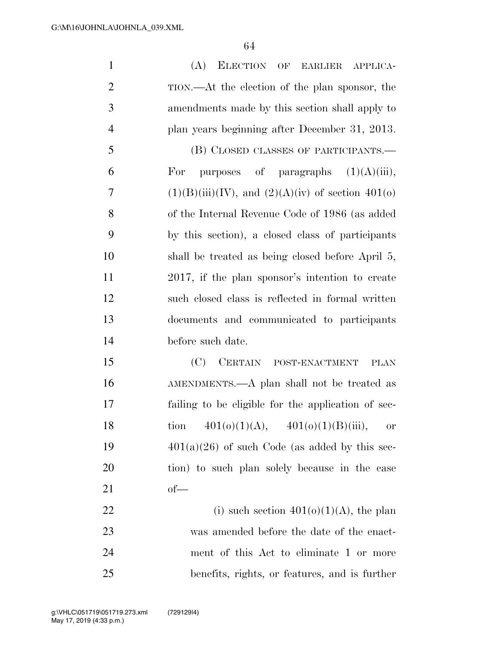| $\mathbf{1}$   | (A)<br>ELECTION OF EARLIER APPLICA-                    |
|----------------|--------------------------------------------------------|
| $\overline{2}$ | TION.—At the election of the plan sponsor, the         |
| 3              | amendments made by this section shall apply to         |
| $\overline{4}$ | plan years beginning after December 31, 2013.          |
| 5              | (B) CLOSED CLASSES OF PARTICIPANTS.—                   |
| 6              | purposes of paragraphs $(1)(A)(iii)$ ,<br>For          |
| 7              | $(1)(B)(iii)(IV)$ , and $(2)(A)(iv)$ of section 401(o) |
| 8              | of the Internal Revenue Code of 1986 (as added         |
| 9              | by this section), a closed class of participants       |
| 10             | shall be treated as being closed before April 5,       |
| 11             | 2017, if the plan sponsor's intention to create        |
| 12             | such closed class is reflected in formal written       |
| 13             | documents and communicated to participants             |
| 14             | before such date.                                      |
| 15             | (C)<br>CERTAIN POST-ENACTMENT<br><b>PLAN</b>           |
| 16             | AMENDMENTS.—A plan shall not be treated as             |
| 17             | failing to be eligible for the application of sec-     |
| 18             | $401(0)(1)(A), \quad 401(0)(1)(B)(iii),$<br>tion<br>0r |
| 19             | $401(a)(26)$ of such Code (as added by this sec-       |
| 20             | tion) to such plan solely because in the case          |
| 21             | $of$ —                                                 |
| 22             | (i) such section $401(0)(1)(A)$ , the plan             |
| 23             | was amended before the date of the enact-              |
| 24             | ment of this Act to eliminate 1 or more                |
| 25             | benefits, rights, or features, and is further          |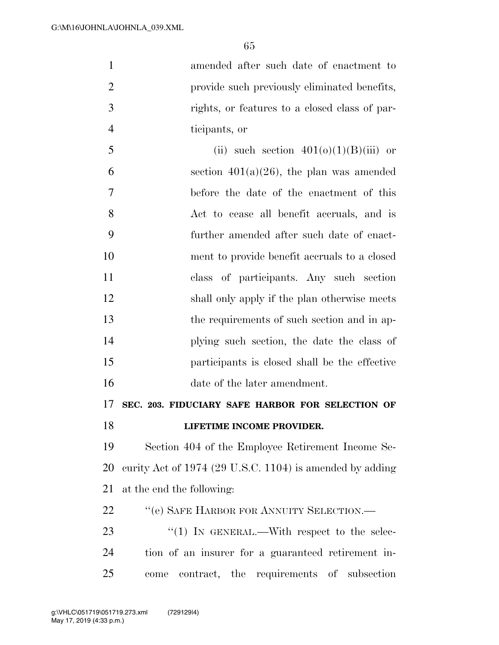amended after such date of enactment to 2 provide such previously eliminated benefits, rights, or features to a closed class of par- ticipants, or 5 (ii) such section  $401(0)(1)(B)(iii)$  or 6 section  $401(a)(26)$ , the plan was amended

 before the date of the enactment of this Act to cease all benefit accruals, and is further amended after such date of enact- ment to provide benefit accruals to a closed class of participants. Any such section 12 shall only apply if the plan otherwise meets the requirements of such section and in ap- plying such section, the date the class of participants is closed shall be the effective date of the later amendment.

**SEC. 203. FIDUCIARY SAFE HARBOR FOR SELECTION OF** 

**LIFETIME INCOME PROVIDER.** 

 Section 404 of the Employee Retirement Income Se- curity Act of 1974 (29 U.S.C. 1104) is amended by adding at the end the following:

22 "(e) SAFE HARBOR FOR ANNUITY SELECTION.—

23 "(1) IN GENERAL.—With respect to the selec- tion of an insurer for a guaranteed retirement in-come contract, the requirements of subsection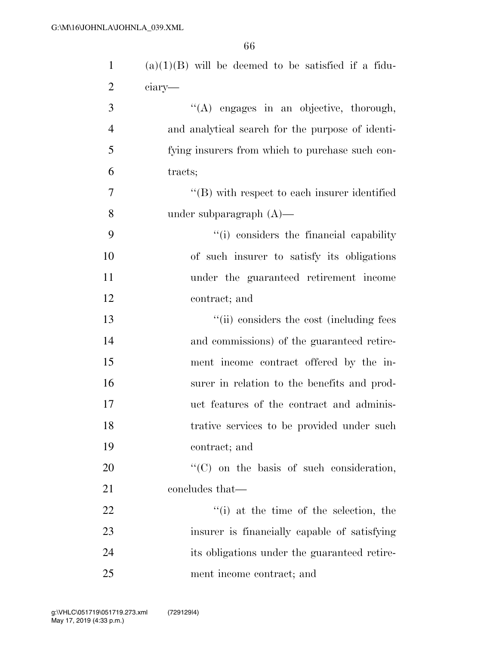| $\mathbf{1}$   | $(a)(1)(B)$ will be deemed to be satisfied if a fidu- |
|----------------|-------------------------------------------------------|
| $\overline{2}$ | ciary—                                                |
| 3              | "(A) engages in an objective, thorough,               |
| $\overline{4}$ | and analytical search for the purpose of identi-      |
| 5              | fying insurers from which to purchase such con-       |
| 6              | tracts;                                               |
| $\overline{7}$ | $\lq\lq$ with respect to each insurer identified      |
| 8              | under subparagraph $(A)$ —                            |
| 9              | "(i) considers the financial capability               |
| 10             | of such insurer to satisfy its obligations            |
| 11             | under the guaranteed retirement income                |
| 12             | contract; and                                         |
| 13             | "(ii) considers the cost (including fees              |
| 14             | and commissions) of the guaranteed retire-            |
| 15             | ment income contract offered by the in-               |
| 16             | surer in relation to the benefits and prod-           |
| 17             | uct features of the contract and adminis-             |
| 18             | trative services to be provided under such            |
| 19             | contract; and                                         |
| 20             | "(C) on the basis of such consideration,              |
| 21             | concludes that—                                       |
| 22             | $f'(i)$ at the time of the selection, the             |
| 23             | insurer is financially capable of satisfying          |
| 24             | its obligations under the guaranteed retire-          |
| 25             | ment income contract; and                             |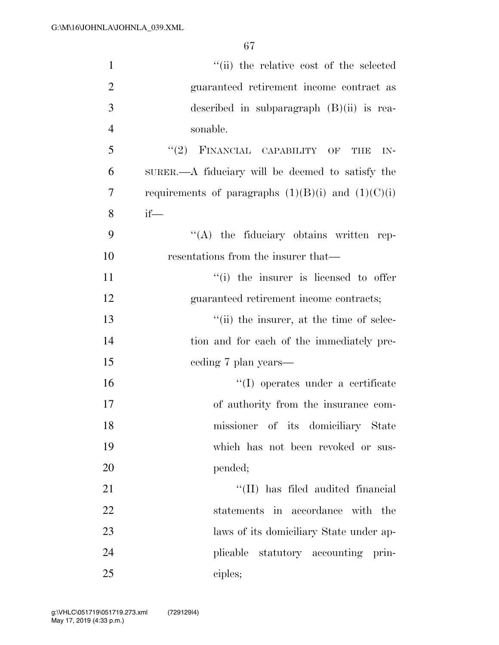| $\mathbf{1}$   | "(ii) the relative cost of the selected                |
|----------------|--------------------------------------------------------|
| $\overline{2}$ | guaranteed retirement income contract as               |
| 3              | described in subparagraph $(B)(ii)$ is rea-            |
| $\overline{4}$ | sonable.                                               |
| 5              | $``(2)$ FINANCIAL CAPABILITY OF THE<br>IN-             |
| 6              | SURER.—A fiduciary will be deemed to satisfy the       |
| 7              | requirements of paragraphs $(1)(B)(i)$ and $(1)(C)(i)$ |
| 8              | $if$ —                                                 |
| 9              | "(A) the fiduciary obtains written rep-                |
| 10             | resentations from the insurer that—                    |
| 11             | "(i) the insurer is licensed to offer                  |
| 12             | guaranteed retirement income contracts;                |
| 13             | "(ii) the insurer, at the time of selec-               |
| 14             | tion and for each of the immediately pre-              |
| 15             | ceding 7 plan years—                                   |
| 16             | "(I) operates under a certificate                      |
| 17             | of authority from the insurance com-                   |
| 18             | missioner of its domiciliary State                     |
| 19             | which has not been revoked or sus-                     |
| 20             | pended;                                                |
| 21             | "(II) has filed audited financial                      |
| 22             | statements in accordance with the                      |
| 23             | laws of its domiciliary State under ap-                |
| 24             | plicable statutory accounting prin-                    |
| 25             | ciples;                                                |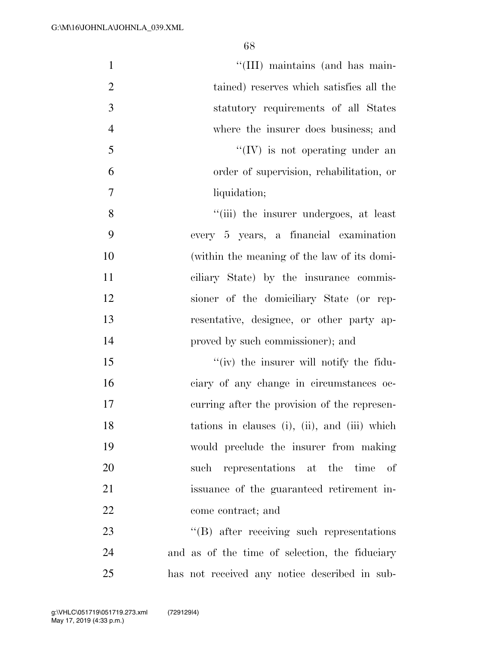| $\mathbf{1}$   | "(III) maintains (and has main-                  |
|----------------|--------------------------------------------------|
| $\overline{2}$ | tained) reserves which satisfies all the         |
| 3              | statutory requirements of all States             |
| $\overline{4}$ | where the insurer does business; and             |
| 5              | $\lq\lq (IV)$ is not operating under an          |
| 6              | order of supervision, rehabilitation, or         |
| $\tau$         | liquidation;                                     |
| 8              | "(iii) the insurer undergoes, at least           |
| 9              | every 5 years, a financial examination           |
| 10             | (within the meaning of the law of its domi-      |
| 11             | ciliary State) by the insurance commis-          |
| 12             | sioner of the domiciliary State (or rep-         |
| 13             | resentative, designee, or other party ap-        |
| 14             | proved by such commissioner); and                |
| 15             | "(iv) the insurer will notify the fidu-          |
| 16             | ciary of any change in circumstances oc-         |
| 17             | curring after the provision of the represen-     |
| 18             | tations in clauses (i), (ii), and (iii) which    |
| 19             | would preclude the insurer from making           |
| 20             | such representations at the time of              |
| 21             | issuance of the guaranteed retirement in-        |
| 22             | come contract; and                               |
| 23             | $\lq\lq(B)$ after receiving such representations |
| 24             | and as of the time of selection, the fiduciary   |
| 25             | has not received any notice described in sub-    |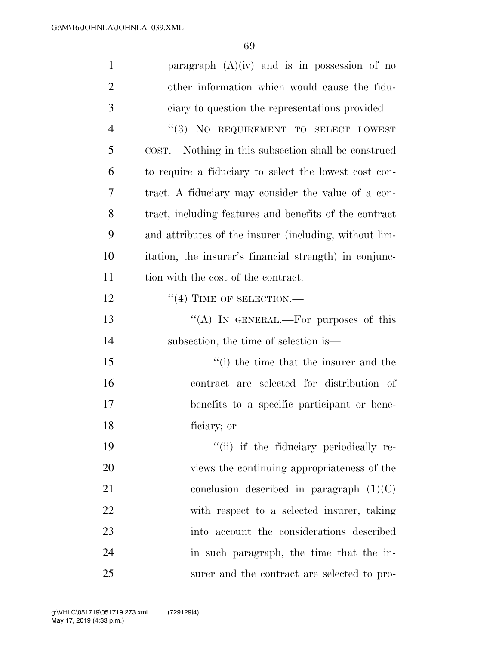| $\mathbf{1}$   | paragraph $(A)(iv)$ and is in possession of no         |
|----------------|--------------------------------------------------------|
| $\overline{2}$ | other information which would cause the fidu-          |
| 3              | ciary to question the representations provided.        |
| $\overline{4}$ | "(3) NO REQUIREMENT TO SELECT LOWEST                   |
| 5              | COST.—Nothing in this subsection shall be construed    |
| 6              | to require a fiduciary to select the lowest cost con-  |
| 7              | tract. A fiduciary may consider the value of a con-    |
| 8              | tract, including features and benefits of the contract |
| 9              | and attributes of the insurer (including, without lim- |
| 10             | itation, the insurer's financial strength) in conjunc- |
| 11             | tion with the cost of the contract.                    |
| 12             | $``(4)$ TIME OF SELECTION.—                            |
| 13             | "(A) IN GENERAL.—For purposes of this                  |
| 14             | subsection, the time of selection is—                  |
| 15             | "(i) the time that the insurer and the                 |
| 16             | contract are selected for distribution of              |
| 17             | benefits to a specific participant or bene-            |
| 18             | ficiary; or                                            |
| 19             | "(ii) if the fiduciary periodically re-                |
| 20             | views the continuing appropriateness of the            |
| 21             | conclusion described in paragraph $(1)(C)$             |
| 22             | with respect to a selected insurer, taking             |
| 23             | into account the considerations described              |
| 24             | in such paragraph, the time that the in-               |
| 25             | surer and the contract are selected to pro-            |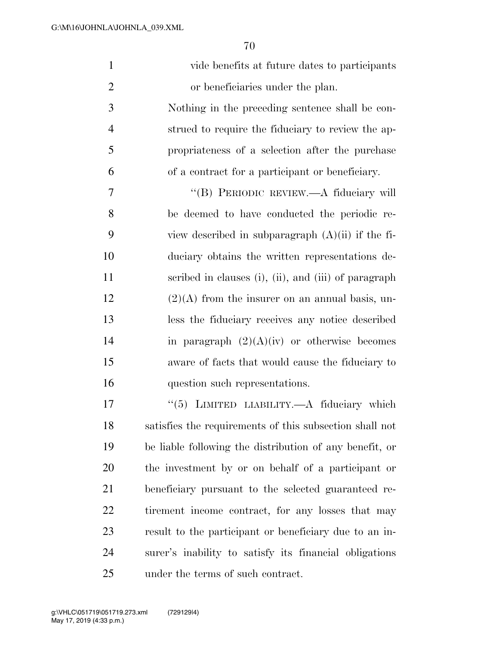| $\mathbf{1}$   | vide benefits at future dates to participants           |
|----------------|---------------------------------------------------------|
| $\overline{2}$ | or beneficiaries under the plan.                        |
| 3              | Nothing in the preceding sentence shall be con-         |
| $\overline{4}$ | strued to require the fiduciary to review the ap-       |
| 5              | propriateness of a selection after the purchase         |
| 6              | of a contract for a participant or beneficiary.         |
| 7              | "(B) PERIODIC REVIEW.—A fiduciary will                  |
| 8              | be deemed to have conducted the periodic re-            |
| 9              | view described in subparagraph $(A)(ii)$ if the fi-     |
| 10             | duciary obtains the written representations de-         |
| 11             | scribed in clauses (i), (ii), and (iii) of paragraph    |
| 12             | $(2)(A)$ from the insurer on an annual basis, un-       |
| 13             | less the fiduciary receives any notice described        |
| 14             | in paragraph $(2)(A)(iv)$ or otherwise becomes          |
| 15             | aware of facts that would cause the fiduciary to        |
| 16             | question such representations.                          |
| 17             | "(5) LIMITED LIABILITY.—A fiduciary which               |
| 18             | satisfies the requirements of this subsection shall not |
| 19             | be liable following the distribution of any benefit, or |
| 20             | the investment by or on behalf of a participant or      |
| 21             | beneficiary pursuant to the selected guaranteed re-     |
| 22             | tirement income contract, for any losses that may       |
| 23             | result to the participant or beneficiary due to an in-  |
| 24             | surer's inability to satisfy its financial obligations  |
| 25             | under the terms of such contract.                       |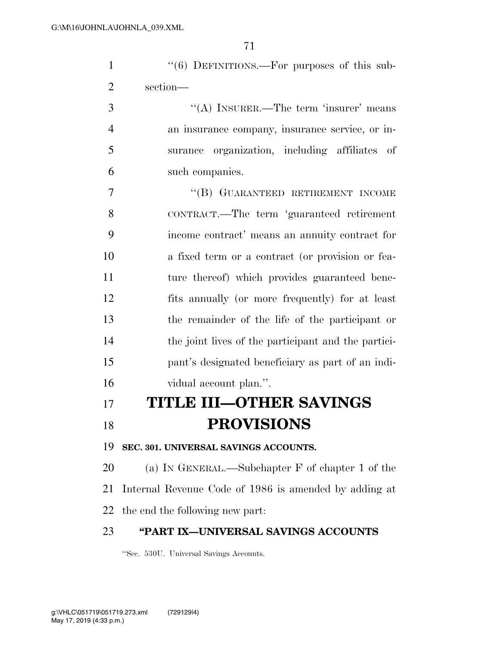| $\mathbf{1}$   | $\cdot\cdot\cdot(6)$ DEFINITIONS.—For purposes of this sub- |
|----------------|-------------------------------------------------------------|
| $\overline{2}$ | section-                                                    |
| 3              | $\lq\lq$ (A) INSURER.—The term 'insurer' means              |
| $\overline{4}$ | an insurance company, insurance service, or in-             |
| 5              | organization, including affiliates of<br>surance            |
| 6              | such companies.                                             |
| 7              | "(B) GUARANTEED RETIREMENT INCOME                           |
| 8              | CONTRACT.—The term 'guaranteed retirement                   |
| 9              | income contract' means an annuity contract for              |
| 10             | a fixed term or a contract (or provision or fea-            |
| 11             | ture thereof) which provides guaranteed bene-               |
| 12             | fits annually (or more frequently) for at least             |
| 13             | the remainder of the life of the participant or             |
| 14             | the joint lives of the participant and the partici-         |
| 15             | pant's designated beneficiary as part of an indi-           |
| 16             | vidual account plan.".                                      |
| 17             | <b>TITLE III-OTHER SAVINGS</b>                              |
| 18             | <b>PROVISIONS</b>                                           |
| 19             | SEC. 301. UNIVERSAL SAVINGS ACCOUNTS.                       |
| 20             | (a) IN GENERAL.—Subchapter $F$ of chapter 1 of the          |
| 21             | Internal Revenue Code of 1986 is amended by adding at       |
| 22             | the end the following new part:                             |
| 23             | "PART IX-UNIVERSAL SAVINGS ACCOUNTS                         |
|                |                                                             |

''Sec. 530U. Universal Savings Accounts.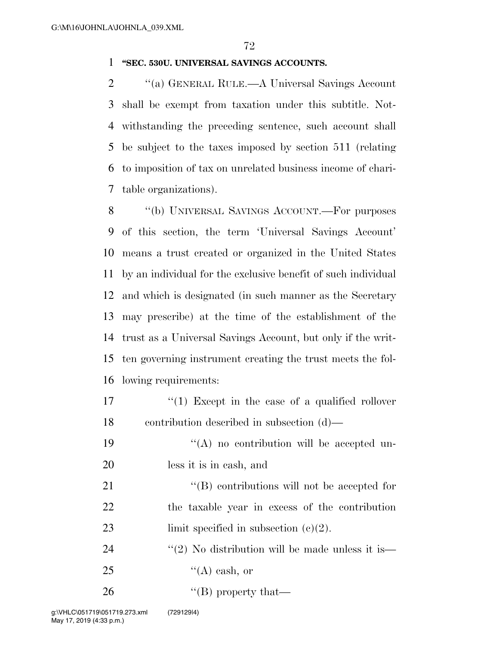## **''SEC. 530U. UNIVERSAL SAVINGS ACCOUNTS.**

 ''(a) GENERAL RULE.—A Universal Savings Account shall be exempt from taxation under this subtitle. Not- withstanding the preceding sentence, such account shall be subject to the taxes imposed by section 511 (relating to imposition of tax on unrelated business income of chari-table organizations).

 ''(b) UNIVERSAL SAVINGS ACCOUNT.—For purposes of this section, the term 'Universal Savings Account' means a trust created or organized in the United States by an individual for the exclusive benefit of such individual and which is designated (in such manner as the Secretary may prescribe) at the time of the establishment of the trust as a Universal Savings Account, but only if the writ- ten governing instrument creating the trust meets the fol-lowing requirements:

17 ''(1) Except in the case of a qualified rollover contribution described in subsection (d)—

19  $((A)$  no contribution will be accepted un-less it is in cash, and

21 ''(B) contributions will not be accepted for the taxable year in excess of the contribution 23 limit specified in subsection  $(c)(2)$ .

24  $\frac{1}{2}$  No distribution will be made unless it is— 25  $\text{``(A) cash, or}$ 

''(B) property that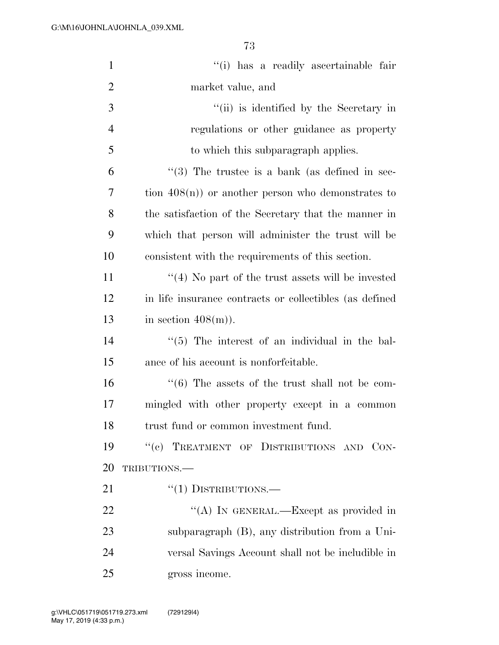| $\mathbf{1}$   | "(i) has a readily ascertainable fair                      |
|----------------|------------------------------------------------------------|
| $\overline{2}$ | market value, and                                          |
| 3              | "(ii) is identified by the Secretary in                    |
| $\overline{4}$ | regulations or other guidance as property                  |
| 5              | to which this subparagraph applies.                        |
| 6              | $(3)$ The trustee is a bank (as defined in sec-            |
| 7              | tion $408(n)$ or another person who demonstrates to        |
| 8              | the satisfaction of the Secretary that the manner in       |
| 9              | which that person will administer the trust will be        |
| 10             | consistent with the requirements of this section.          |
| 11             | $\cdot$ (4) No part of the trust assets will be invested   |
| 12             | in life insurance contracts or collectibles (as defined    |
| 13             | in section $408(m)$ ).                                     |
| 14             | $\lq(5)$ The interest of an individual in the bal-         |
| 15             | ance of his account is nonforfeitable.                     |
| 16             | $\cdot\cdot$ (6) The assets of the trust shall not be com- |
| 17             | mingled with other property except in a common             |
| 18             | trust fund or common investment fund.                      |
| 19             | "(c) TREATMENT OF DISTRIBUTIONS AND CON-                   |
| 20             | TRIBUTIONS.-                                               |
| 21             | $``(1)$ DISTRIBUTIONS.—                                    |
| 22             | "(A) IN GENERAL.—Except as provided in                     |
| 23             | subparagraph (B), any distribution from a Uni-             |
| 24             | versal Savings Account shall not be includible in          |
| 25             | gross income.                                              |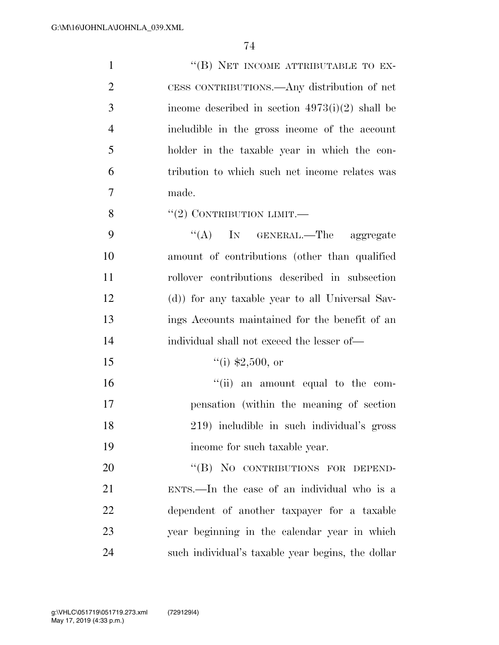| $\mathbf{1}$   | "(B) NET INCOME ATTRIBUTABLE TO EX-                 |
|----------------|-----------------------------------------------------|
| $\overline{2}$ | CESS CONTRIBUTIONS.—Any distribution of net         |
| 3              | income described in section $4973(i)(2)$ shall be   |
| $\overline{4}$ | includible in the gross income of the account       |
| 5              | holder in the taxable year in which the con-        |
| 6              | tribution to which such net income relates was      |
| 7              | made.                                               |
| 8              | $``(2)$ CONTRIBUTION LIMIT.—                        |
| 9              | "(A) IN GENERAL.—The aggregate                      |
| 10             | amount of contributions (other than qualified       |
| 11             | rollover contributions described in subsection      |
| 12             | (d)) for any taxable year to all Universal Sav-     |
| 13             | ings Accounts maintained for the benefit of an      |
| 14             | individual shall not exceed the lesser of—          |
| 15             | $``(i)$ \$2,500, or                                 |
| 16             | $\lq$ <sup>"</sup> (ii) an amount equal to the com- |
| 17             | pensation (within the meaning of section            |
| 18             | 219) includible in such individual's gross          |
| 19             | income for such taxable year.                       |
| 20             | "(B) NO CONTRIBUTIONS FOR DEPEND-                   |
| 21             | ENTS.—In the case of an individual who is a         |
| 22             | dependent of another taxpayer for a taxable         |
| 23             | year beginning in the calendar year in which        |
| 24             | such individual's taxable year begins, the dollar   |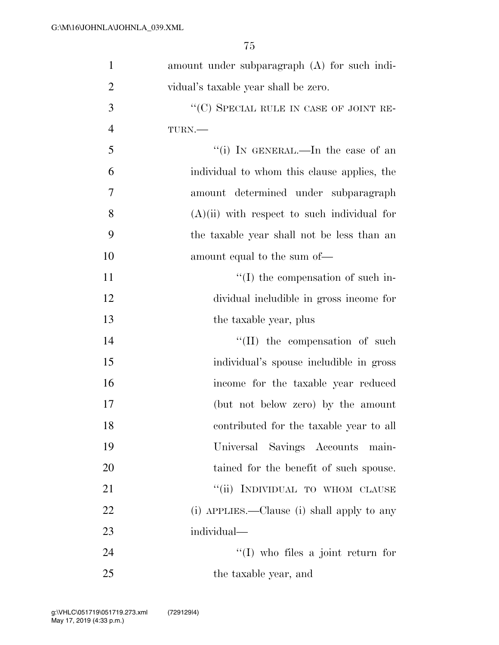| $\mathbf{1}$   | amount under subparagraph (A) for such indi-  |
|----------------|-----------------------------------------------|
| $\overline{2}$ | vidual's taxable year shall be zero.          |
| 3              | "(C) SPECIAL RULE IN CASE OF JOINT RE-        |
| $\overline{4}$ | TURN.                                         |
| 5              | "(i) IN GENERAL.—In the case of an            |
| 6              | individual to whom this clause applies, the   |
| 7              | amount determined under subparagraph          |
| 8              | $(A)(ii)$ with respect to such individual for |
| 9              | the taxable year shall not be less than an    |
| 10             | amount equal to the sum of—                   |
| 11             | $\lq\lq$ (I) the compensation of such in-     |
| 12             | dividual includible in gross income for       |
| 13             | the taxable year, plus                        |
| 14             | $\lq\lq$ (II) the compensation of such        |
| 15             | individual's spouse includible in gross       |
| 16             | income for the taxable year reduced           |
| 17             | (but not below zero) by the amount            |
| 18             | contributed for the taxable year to all       |
| 19             | Universal Savings Accounts<br>main-           |
| 20             | tained for the benefit of such spouse.        |
| 21             | "(ii) INDIVIDUAL TO WHOM CLAUSE               |
| 22             | (i) APPLIES.—Clause (i) shall apply to any    |
| 23             | individual—                                   |
| 24             | $\lq (I)$ who files a joint return for        |
| 25             | the taxable year, and                         |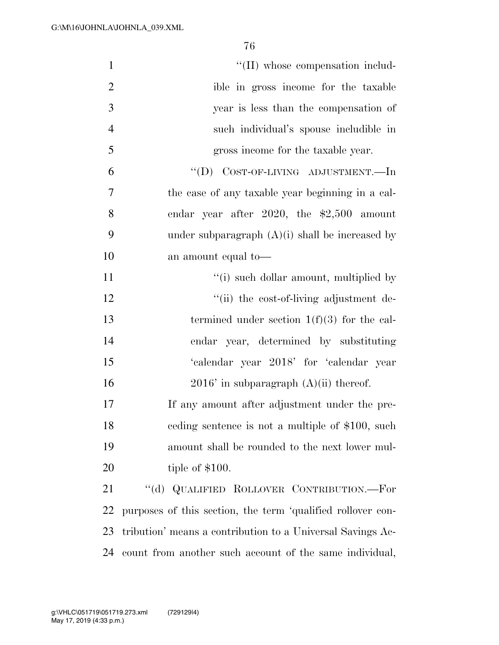| $\mathbf{1}$   | "(II) whose compensation includ-                            |
|----------------|-------------------------------------------------------------|
| $\overline{2}$ | ible in gross income for the taxable                        |
| 3              | year is less than the compensation of                       |
| $\overline{4}$ | such individual's spouse includible in                      |
| 5              | gross income for the taxable year.                          |
| 6              | "(D) COST-OF-LIVING ADJUSTMENT.—In                          |
| $\overline{7}$ | the case of any taxable year beginning in a cal-            |
| 8              | endar year after 2020, the $$2,500$ amount                  |
| 9              | under subparagraph $(A)(i)$ shall be increased by           |
| 10             | an amount equal to-                                         |
| 11             | "(i) such dollar amount, multiplied by                      |
| 12             | "(ii) the cost-of-living adjustment de-                     |
| 13             | termined under section $1(f)(3)$ for the cal-               |
| 14             | endar year, determined by substituting                      |
| 15             | 'calendar year 2018' for 'calendar year                     |
| 16             | $2016'$ in subparagraph $(A)(ii)$ thereof.                  |
| 17             | If any amount after adjustment under the pre-               |
| 18             | eeding sentence is not a multiple of \$100, such            |
| 19             | amount shall be rounded to the next lower mul-              |
| 20             | tiple of $$100.$                                            |
| 21             | "(d) QUALIFIED ROLLOVER CONTRIBUTION.—For                   |
| 22             | purposes of this section, the term 'qualified rollover con- |
| 23             | tribution' means a contribution to a Universal Savings Ac-  |
| 24             | count from another such account of the same individual,     |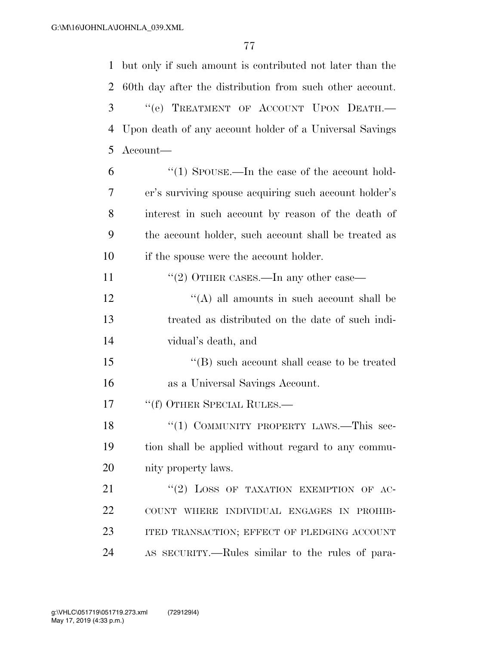but only if such amount is contributed not later than the 60th day after the distribution from such other account. ''(e) TREATMENT OF ACCOUNT UPON DEATH.— Upon death of any account holder of a Universal Savings Account—

 ''(1) SPOUSE.—In the case of the account hold- er's surviving spouse acquiring such account holder's interest in such account by reason of the death of the account holder, such account shall be treated as if the spouse were the account holder.

11 "(2) OTHER CASES.—In any other case—

 $\mathcal{L}^{\prime\prime}(A)$  all amounts in such account shall be treated as distributed on the date of such indi-vidual's death, and

15 "(B) such account shall cease to be treated as a Universal Savings Account.

17 <sup>"</sup>(f) OTHER SPECIAL RULES.—

18 "(1) COMMUNITY PROPERTY LAWS.—This sec- tion shall be applied without regard to any commu-nity property laws.

21 "(2) LOSS OF TAXATION EXEMPTION OF AC- COUNT WHERE INDIVIDUAL ENGAGES IN PROHIB- ITED TRANSACTION; EFFECT OF PLEDGING ACCOUNT AS SECURITY.—Rules similar to the rules of para-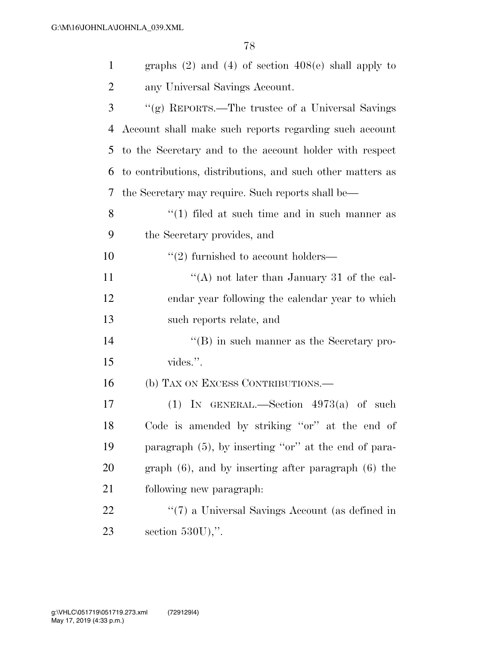| $\mathbf{1}$   | graphs $(2)$ and $(4)$ of section $408(e)$ shall apply to  |
|----------------|------------------------------------------------------------|
| $\overline{c}$ | any Universal Savings Account.                             |
| 3              | "(g) REPORTS.—The trustee of a Universal Savings           |
| 4              | Account shall make such reports regarding such account     |
| 5              | to the Secretary and to the account holder with respect    |
| 6              | to contributions, distributions, and such other matters as |
| 7              | the Secretary may require. Such reports shall be—          |
| 8              | $\lq(1)$ filed at such time and in such manner as          |
| 9              | the Secretary provides, and                                |
| 10             | $\cdot\cdot$ (2) furnished to account holders—             |
| 11             | "(A) not later than January 31 of the cal-                 |
| 12             | endar year following the calendar year to which            |
| 13             | such reports relate, and                                   |
| 14             | $\cdot$ (B) in such manner as the Secretary pro-           |
| 15             | vides.".                                                   |
| 16             | (b) TAX ON EXCESS CONTRIBUTIONS.—                          |
| 17             | (1) IN GENERAL.—Section $4973(a)$ of such                  |
| 18             | Code is amended by striking "or" at the end of             |
| 19             | paragraph $(5)$ , by inserting "or" at the end of para-    |
| 20             | graph $(6)$ , and by inserting after paragraph $(6)$ the   |
| 21             | following new paragraph:                                   |
| 22             | $\lq(7)$ a Universal Savings Account (as defined in        |
| 23             | section $530U$ ,".                                         |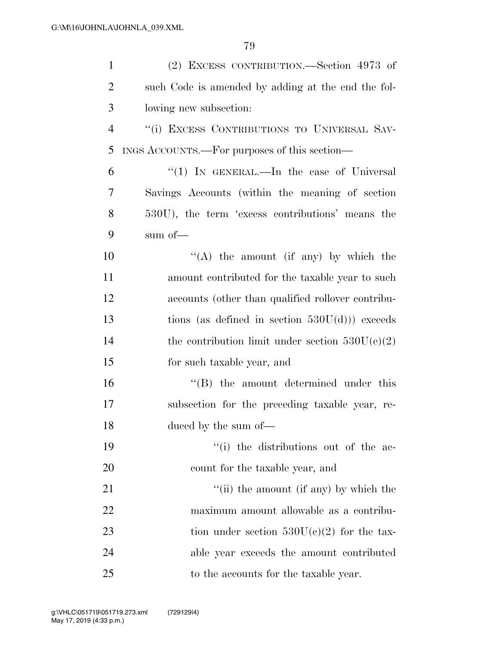| $\mathbf{1}$   | (2) EXCESS CONTRIBUTION.—Section 4973 of                 |
|----------------|----------------------------------------------------------|
| $\overline{2}$ | such Code is amended by adding at the end the fol-       |
| 3              | lowing new subsection:                                   |
| $\overline{4}$ | "(i) EXCESS CONTRIBUTIONS TO UNIVERSAL SAV-              |
| 5              | INGS ACCOUNTS.—For purposes of this section—             |
| 6              | "(1) IN GENERAL.—In the case of Universal                |
| $\overline{7}$ | Savings Accounts (within the meaning of section          |
| 8              | 530U), the term 'excess contributions' means the         |
| 9              | sum of—                                                  |
| 10             | "(A) the amount (if any) by which the                    |
| 11             | amount contributed for the taxable year to such          |
| 12             | accounts (other than qualified rollover contribu-        |
| 13             | tions (as defined in section $530U(d)$ ) exceeds         |
| 14             | the contribution limit under section $530U(c)(2)$        |
| 15             | for such taxable year, and                               |
| 16             | $\lq\lq$ the amount determined under this                |
| 17             | subsection for the preceding taxable year, re-           |
| 18             | duced by the sum of-                                     |
| 19             | "(i) the distributions out of the ac-                    |
| <b>20</b>      | count for the taxable year, and                          |
| 21             | $\lq$ <sup>"</sup> (ii) the amount (if any) by which the |
| 22             | maximum amount allowable as a contribu-                  |
| 23             | tion under section $530U(c)(2)$ for the tax-             |
| 24             | able year exceeds the amount contributed                 |
| 25             | to the accounts for the taxable year.                    |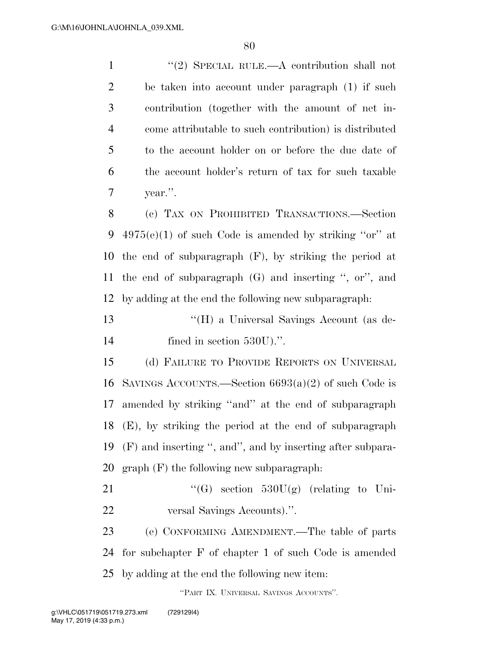1 ''(2) SPECIAL RULE.—A contribution shall not be taken into account under paragraph (1) if such contribution (together with the amount of net in- come attributable to such contribution) is distributed to the account holder on or before the due date of the account holder's return of tax for such taxable year.''. (c) TAX ON PROHIBITED TRANSACTIONS.—Section  $4975(e)(1)$  of such Code is amended by striking "or" at the end of subparagraph (F), by striking the period at the end of subparagraph (G) and inserting '', or'', and

by adding at the end the following new subparagraph:

 ''(H) a Universal Savings Account (as de-14 fined in section 530U).".

 (d) FAILURE TO PROVIDE REPORTS ON UNIVERSAL 16 SAVINGS ACCOUNTS.—Section  $6693(a)(2)$  of such Code is amended by striking ''and'' at the end of subparagraph (E), by striking the period at the end of subparagraph (F) and inserting '', and'', and by inserting after subpara-graph (F) the following new subparagraph:

21  $\text{``(G)} \text{ section } 530U(g) \text{ (relating to Uni-}$ versal Savings Accounts).''.

 (e) CONFORMING AMENDMENT.—The table of parts for subchapter F of chapter 1 of such Code is amended by adding at the end the following new item:

''PART IX. UNIVERSAL SAVINGS ACCOUNTS''.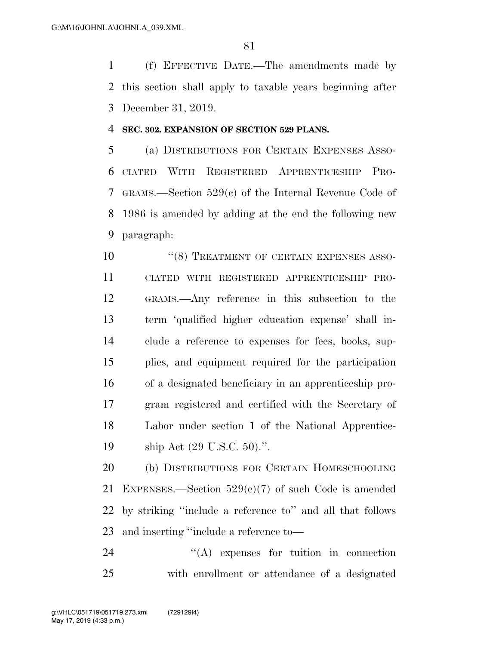(f) EFFECTIVE DATE.—The amendments made by this section shall apply to taxable years beginning after December 31, 2019.

## **SEC. 302. EXPANSION OF SECTION 529 PLANS.**

 (a) DISTRIBUTIONS FOR CERTAIN EXPENSES ASSO- CIATED WITH REGISTERED APPRENTICESHIP PRO- GRAMS.—Section 529(c) of the Internal Revenue Code of 1986 is amended by adding at the end the following new paragraph:

10 <sup>''</sup>(8) TREATMENT OF CERTAIN EXPENSES ASSO- CIATED WITH REGISTERED APPRENTICESHIP PRO- GRAMS.—Any reference in this subsection to the term 'qualified higher education expense' shall in- clude a reference to expenses for fees, books, sup- plies, and equipment required for the participation of a designated beneficiary in an apprenticeship pro- gram registered and certified with the Secretary of Labor under section 1 of the National Apprentice-ship Act (29 U.S.C. 50).''.

 (b) DISTRIBUTIONS FOR CERTAIN HOMESCHOOLING 21 EXPENSES.—Section  $529(c)(7)$  of such Code is amended by striking ''include a reference to'' and all that follows and inserting ''include a reference to—

24  $\langle A \rangle$  expenses for tuition in connection with enrollment or attendance of a designated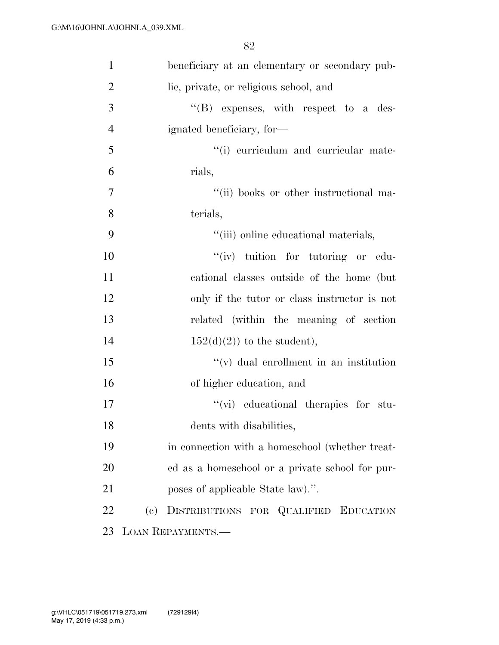| $\mathbf{1}$   |     | beneficiary at an elementary or secondary pub-  |
|----------------|-----|-------------------------------------------------|
| $\overline{2}$ |     | lic, private, or religious school, and          |
| 3              |     | $\lq\lq$ expenses, with respect to a des-       |
| $\overline{4}$ |     | ignated beneficiary, for-                       |
| 5              |     | "(i) curriculum and curricular mate-            |
| 6              |     | rials,                                          |
| $\overline{7}$ |     | "(ii) books or other instructional ma-          |
| 8              |     | terials,                                        |
| 9              |     | "(iii) online educational materials,            |
| 10             |     | "(iv) tuition for tutoring or edu-              |
| 11             |     | cational classes outside of the home (but       |
| 12             |     | only if the tutor or class instructor is not    |
| 13             |     | related (within the meaning of section          |
| 14             |     | $152(d)(2)$ to the student),                    |
| 15             |     | $f'(v)$ dual enrollment in an institution       |
| 16             |     | of higher education, and                        |
| 17             |     | "(vi) educational therapies for stu-            |
| 18             |     | dents with disabilities,                        |
| 19             |     | in connection with a homeschool (whether treat- |
| 20             |     | ed as a homeschool or a private school for pur- |
| 21             |     | poses of applicable State law).".               |
| 22             | (e) | DISTRIBUTIONS FOR QUALIFIED EDUCATION           |
| 23             |     | <b>LOAN REPAYMENTS.—</b>                        |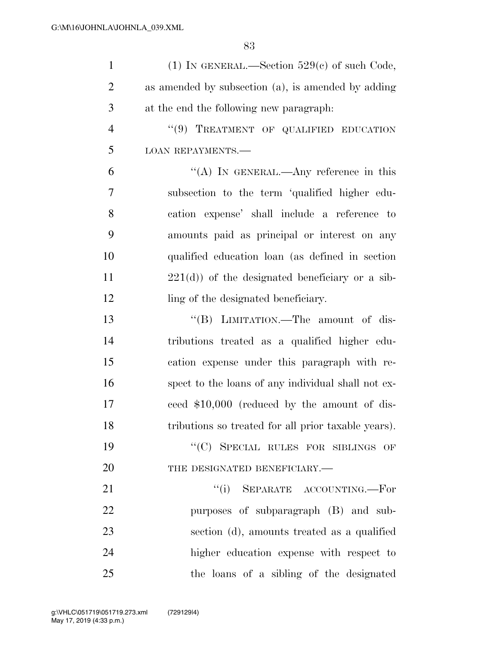| $\mathbf{1}$   | (1) IN GENERAL.—Section $529(e)$ of such Code,      |
|----------------|-----------------------------------------------------|
| $\overline{2}$ | as amended by subsection (a), is amended by adding  |
| 3              | at the end the following new paragraph:             |
| $\overline{4}$ | "(9) TREATMENT OF QUALIFIED EDUCATION               |
| 5              | <b>LOAN REPAYMENTS.—</b>                            |
| 6              | "(A) IN GENERAL.—Any reference in this              |
| 7              | subsection to the term 'qualified higher edu-       |
| 8              | cation expense' shall include a reference to        |
| 9              | amounts paid as principal or interest on any        |
| 10             | qualified education loan (as defined in section     |
| 11             | $221(d)$ of the designated beneficiary or a sib-    |
| 12             | ling of the designated beneficiary.                 |
| 13             | "(B) LIMITATION.—The amount of dis-                 |
| 14             | tributions treated as a qualified higher edu-       |
| 15             | cation expense under this paragraph with re-        |
| 16             | spect to the loans of any individual shall not ex-  |
| 17             | ceed \$10,000 (reduced by the amount of dis-        |
| 18             | tributions so treated for all prior taxable years). |
| 19             | "(C) SPECIAL RULES FOR SIBLINGS OF                  |
| 20             | THE DESIGNATED BENEFICIARY.-                        |
| 21             | "(i) SEPARATE ACCOUNTING.—For                       |
| 22             | purposes of subparagraph (B) and sub-               |
| 23             | section (d), amounts treated as a qualified         |
| 24             | higher education expense with respect to            |
| 25             | the loans of a sibling of the designated            |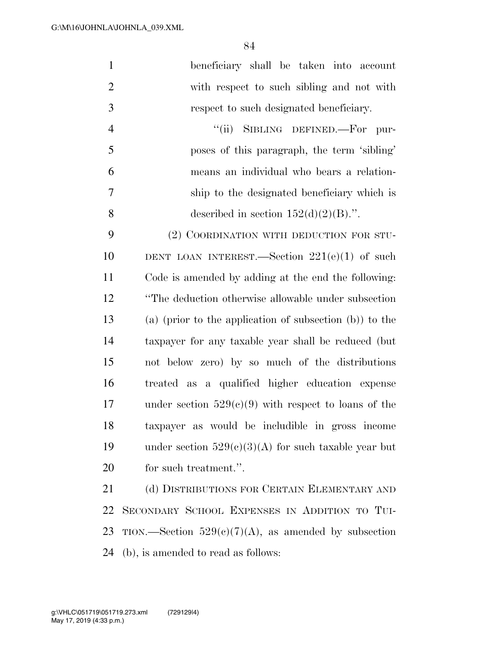| $\mathbf{1}$   | beneficiary shall be taken into account                    |
|----------------|------------------------------------------------------------|
| $\mathfrak{2}$ | with respect to such sibling and not with                  |
| 3              | respect to such designated beneficiary.                    |
| $\overline{4}$ | "(ii) SIBLING DEFINED.—For pur-                            |
| 5              | poses of this paragraph, the term 'sibling'                |
| 6              | means an individual who bears a relation-                  |
| 7              | ship to the designated beneficiary which is                |
| 8              | described in section $152(d)(2)(B)$ .".                    |
| 9              | (2) COORDINATION WITH DEDUCTION FOR STU-                   |
| 10             | DENT LOAN INTEREST.—Section $221(e)(1)$ of such            |
| 11             | Code is amended by adding at the end the following:        |
| 12             | "The deduction otherwise allowable under subsection        |
| 13             | (a) (prior to the application of subsection $(b)$ ) to the |
| 14             | taxpayer for any taxable year shall be reduced (but        |
| 15             | not below zero) by so much of the distributions            |
| 16             | treated as a qualified higher education expense            |
| 17             | under section $529(c)(9)$ with respect to loans of the     |
| 18             | taxpayer as would be includible in gross income            |
| 19             | under section $529(e)(3)(A)$ for such taxable year but     |
| 20             | for such treatment.".                                      |
| 21             | (d) DISTRIBUTIONS FOR CERTAIN ELEMENTARY AND               |
| 22             | SECONDARY SCHOOL EXPENSES IN ADDITION TO TUI-              |

23 TION.—Section  $529(e)(7)(A)$ , as amended by subsection (b), is amended to read as follows: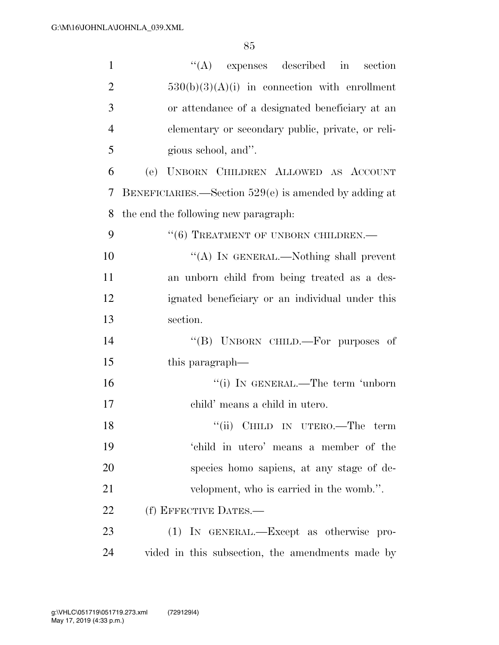| $\mathbf{1}$   | $\lq\lq$ expenses described in                          | section |
|----------------|---------------------------------------------------------|---------|
| $\overline{2}$ | $530(b)(3)(A)(i)$ in connection with enrollment         |         |
| 3              | or attendance of a designated beneficiary at an         |         |
| $\overline{4}$ | elementary or secondary public, private, or reli-       |         |
| 5              | gious school, and".                                     |         |
| 6              | (e) UNBORN CHILDREN ALLOWED AS ACCOUNT                  |         |
| 7              | BENEFICIARIES.—Section $529(e)$ is amended by adding at |         |
| 8              | the end the following new paragraph:                    |         |
| 9              | "(6) TREATMENT OF UNBORN CHILDREN.-                     |         |
| 10             | "(A) IN GENERAL.—Nothing shall prevent                  |         |
| 11             | an unborn child from being treated as a des-            |         |
| 12             | ignated beneficiary or an individual under this         |         |
| 13             | section.                                                |         |
| 14             | "(B) UNBORN CHILD.—For purposes of                      |         |
| 15             | this paragraph—                                         |         |
| 16             | "(i) IN GENERAL.—The term 'unborn                       |         |
| 17             | child' means a child in utero.                          |         |
| 18             | "(ii) CHILD IN UTERO.—The term                          |         |
| 19             | 'child in utero' means a member of the                  |         |
| 20             | species homo sapiens, at any stage of de-               |         |
| 21             | velopment, who is carried in the womb.".                |         |
| 22             | (f) EFFECTIVE DATES.—                                   |         |
| 23             | (1) IN GENERAL.—Except as otherwise pro-                |         |
| 24             | vided in this subsection, the amendments made by        |         |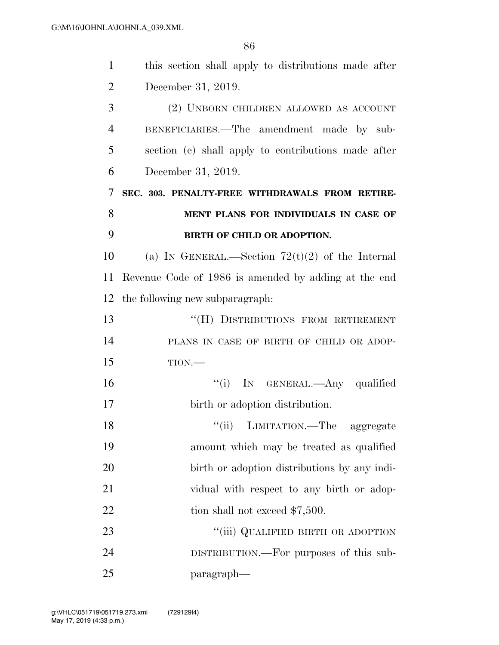| $\mathbf{1}$   | this section shall apply to distributions made after |
|----------------|------------------------------------------------------|
| $\overline{2}$ | December 31, 2019.                                   |
| 3              | (2) UNBORN CHILDREN ALLOWED AS ACCOUNT               |
| $\overline{4}$ | BENEFICIARIES.—The amendment made by sub-            |
| 5              | section (e) shall apply to contributions made after  |
| 6              | December 31, 2019.                                   |
| 7              | SEC. 303. PENALTY-FREE WITHDRAWALS FROM RETIRE-      |
| 8              | MENT PLANS FOR INDIVIDUALS IN CASE OF                |
| 9              | BIRTH OF CHILD OR ADOPTION.                          |
| 10             | (a) IN GENERAL.—Section $72(t)(2)$ of the Internal   |
| 11             | Revenue Code of 1986 is amended by adding at the end |
| 12             | the following new subparagraph.                      |
| 13             | "(H) DISTRIBUTIONS FROM RETIREMENT                   |
| 14             | PLANS IN CASE OF BIRTH OF CHILD OR ADOP-             |
| 15             | $TION$ .                                             |
| 16             | "(i) IN GENERAL.—Any qualified                       |
| 17             | birth or adoption distribution.                      |
| 18             | ``(ii)<br>LIMITATION.—The aggregate                  |
| 19             | amount which may be treated as qualified             |
| 20             | birth or adoption distributions by any indi-         |
| 21             | vidual with respect to any birth or adop-            |
| 22             | tion shall not exceed $$7,500$ .                     |
| 23             | "(iii) QUALIFIED BIRTH OR ADOPTION                   |
| 24             | DISTRIBUTION.—For purposes of this sub-              |
| 25             | paragraph—                                           |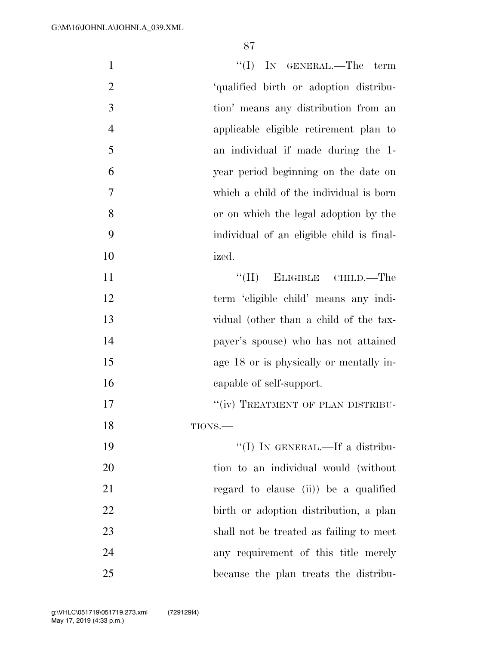| $\mathbf{1}$   | $``(I)$ IN GENERAL.—The term              |
|----------------|-------------------------------------------|
| $\overline{2}$ | 'qualified birth or adoption distribu-    |
| 3              | tion' means any distribution from an      |
| $\overline{4}$ | applicable eligible retirement plan to    |
| 5              | an individual if made during the 1-       |
| 6              | year period beginning on the date on      |
| $\tau$         | which a child of the individual is born   |
| 8              | or on which the legal adoption by the     |
| 9              | individual of an eligible child is final- |
| 10             | ized.                                     |
| 11             | ELIGIBLE CHILD.—The<br>``(II)             |
| 12             | term 'eligible child' means any indi-     |
| 13             | vidual (other than a child of the tax-    |
| 14             | payer's spouse) who has not attained      |
| 15             | age 18 or is physically or mentally in-   |
| 16             | capable of self-support.                  |
| 17             | "(iv) TREATMENT OF PLAN DISTRIBU-         |
| 18             | TIONS.-                                   |
| 19             | "(I) IN GENERAL.—If a distribu-           |
| 20             | tion to an individual would (without      |
| 21             | regard to clause (ii) be a qualified      |
| 22             | birth or adoption distribution, a plan    |
| 23             | shall not be treated as failing to meet   |
| 24             | any requirement of this title merely      |
| 25             | because the plan treats the distribu-     |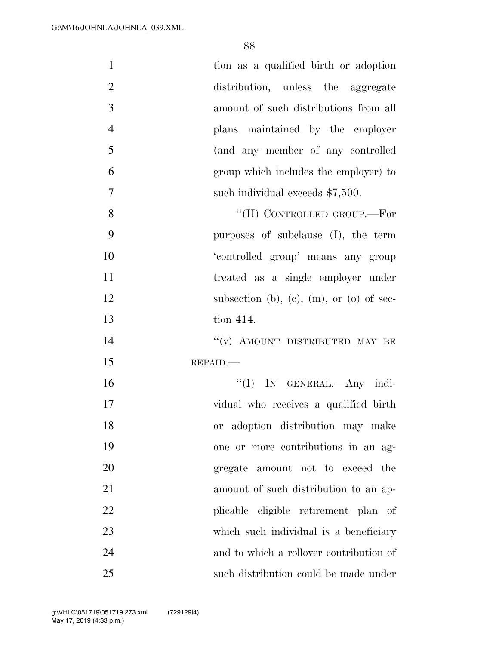| $\mathbf{1}$   | tion as a qualified birth or adoption    |
|----------------|------------------------------------------|
| $\overline{2}$ | distribution, unless the aggregate       |
| 3              | amount of such distributions from all    |
| $\overline{4}$ | plans maintained by the employer         |
| 5              | (and any member of any controlled        |
| 6              | group which includes the employer) to    |
| $\tau$         | such individual exceeds \$7,500.         |
| $8\,$          | "(II) CONTROLLED GROUP.-For              |
| 9              | purposes of subclause (I), the term      |
| 10             | 'controlled group' means any group       |
| 11             | treated as a single employer under       |
| 12             | subsection (b), (c), (m), or (o) of sec- |
| 13             | tion 414.                                |
| 14             | "(v) AMOUNT DISTRIBUTED MAY BE           |
| 15             | REPAID.                                  |
| 16             | "(I) IN GENERAL.- Any indi-              |
| 17             | vidual who receives a qualified birth    |
| 18             | or adoption distribution may make        |
| 19             | one or more contributions in an ag-      |
| 20             | gregate amount not to exceed the         |
| 21             | amount of such distribution to an ap-    |
| 22             | plicable eligible retirement plan of     |
| 23             | which such individual is a beneficiary   |
| 24             | and to which a rollover contribution of  |
| 25             | such distribution could be made under    |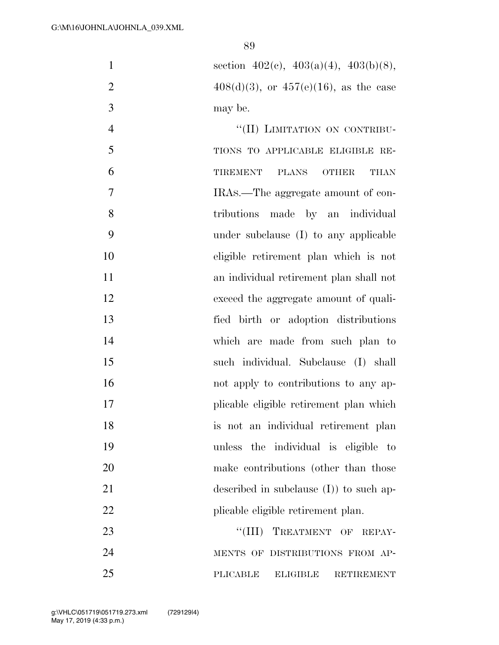| $\mathbf{1}$   | section $402(c)$ , $403(a)(4)$ , $403(b)(8)$ ,   |
|----------------|--------------------------------------------------|
| $\overline{2}$ | $408(d)(3)$ , or $457(e)(16)$ , as the case      |
| 3              | may be.                                          |
| $\overline{4}$ | "(II) LIMITATION ON CONTRIBU-                    |
| 5              | TIONS TO APPLICABLE ELIGIBLE RE-                 |
| 6              | TIREMENT PLANS<br><b>OTHER</b><br><b>THAN</b>    |
| 7              | IRAS.—The aggregate amount of con-               |
| 8              | tributions made by an individual                 |
| 9              | under subclause (I) to any applicable            |
| 10             | eligible retirement plan which is not            |
| 11             | an individual retirement plan shall not          |
| 12             | exceed the aggregate amount of quali-            |
| 13             | fied birth or adoption distributions             |
| 14             | which are made from such plan to                 |
| 15             | such individual. Subclause (I) shall             |
| 16             | not apply to contributions to any ap-            |
| 17             | plicable eligible retirement plan which          |
| 18             | is not an individual retirement plan             |
| 19             | unless the individual is eligible<br>$-$ to      |
| 20             | make contributions (other than those             |
| 21             | described in subclause $(I)$ ) to such ap-       |
| 22             | plicable eligible retirement plan.               |
| 23             | "(III) TREATMENT OF REPAY-                       |
| 24             | MENTS OF DISTRIBUTIONS FROM AP-                  |
| 25             | PLICABLE<br><b>ELIGIBLE</b><br><b>RETIREMENT</b> |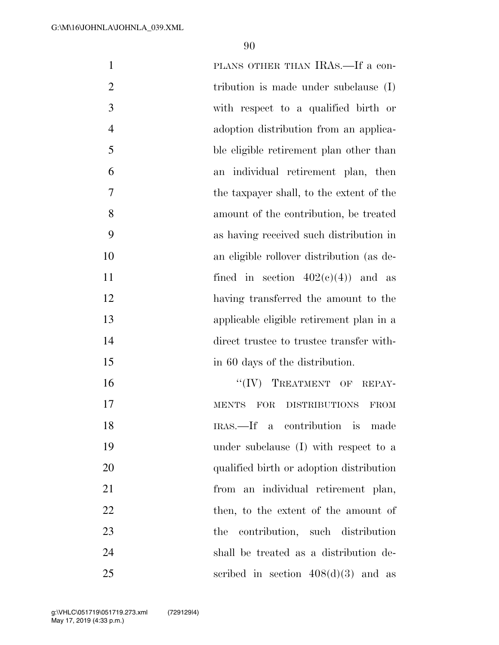| $\mathbf{1}$   | PLANS OTHER THAN IRAS.—If a con-             |
|----------------|----------------------------------------------|
| $\overline{2}$ | tribution is made under subclause $(I)$      |
| 3              | with respect to a qualified birth or         |
| $\overline{4}$ | adoption distribution from an applica-       |
| 5              | ble eligible retirement plan other than      |
| 6              | an individual retirement plan, then          |
| $\overline{7}$ | the taxpayer shall, to the extent of the     |
| 8              | amount of the contribution, be treated       |
| 9              | as having received such distribution in      |
| 10             | an eligible rollover distribution (as de-    |
| 11             | fined in section $402(c)(4)$ and as          |
| 12             | having transferred the amount to the         |
| 13             | applicable eligible retirement plan in a     |
| 14             | direct trustee to trustee transfer with-     |
| 15             | in 60 days of the distribution.              |
| 16             | "(IV) TREATMENT OF REPAY-                    |
| 17             | FOR<br>DISTRIBUTIONS<br><b>MENTS</b><br>FROM |
| 18             | IRAS.—If a contribution is<br>made           |
| 19             | under subclause (I) with respect to a        |
| 20             | qualified birth or adoption distribution     |
| 21             | from an individual retirement plan,          |
| 22             | then, to the extent of the amount of         |
| 23             | contribution, such distribution<br>the       |
| 24             | shall be treated as a distribution de-       |
| 25             | scribed in section $408(d)(3)$ and as        |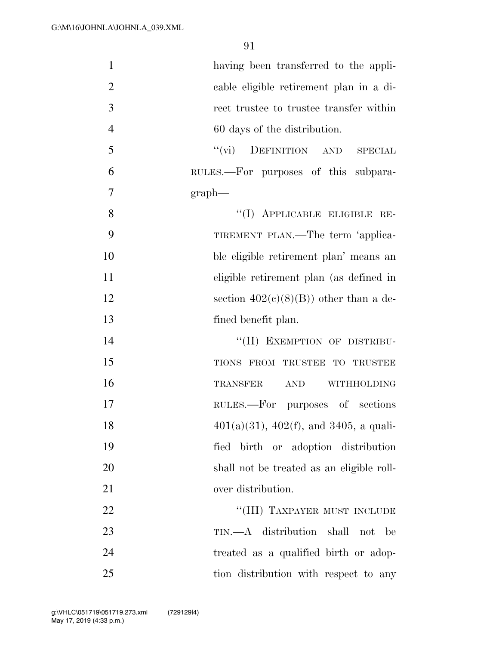| $\mathbf{1}$   | having been transferred to the appli-                     |
|----------------|-----------------------------------------------------------|
| $\overline{2}$ | cable eligible retirement plan in a di-                   |
| 3              | rect trustee to trustee transfer within                   |
| $\overline{4}$ | 60 days of the distribution.                              |
| 5              | $``(\text{vi})$<br>DEFINITION AND<br>SPECIAL              |
| 6              | RULES.—For purposes of this subpara-                      |
| $\overline{7}$ | $graph$ —                                                 |
| 8              | "(I) APPLICABLE ELIGIBLE RE-                              |
| 9              | TIREMENT PLAN.—The term 'applica-                         |
| 10             | ble eligible retirement plan' means an                    |
| 11             | eligible retirement plan (as defined in                   |
| 12             | section $402(c)(8)(B)$ other than a de-                   |
| 13             | fined benefit plan.                                       |
| 14             | "(II) EXEMPTION OF DISTRIBU-                              |
| 15             | TIONS FROM TRUSTEE TO TRUSTEE                             |
| 16             | TRANSFER<br><b>AND</b><br>WITHHOLDING                     |
| 17             | RULES.—For purposes of sections                           |
| 18             | $401(a)(31)$ , $402(f)$ , and $3405$ , a quali-           |
| 19             | fied birth or adoption distribution                       |
| 20             | shall not be treated as an eligible roll-                 |
| 21             | over distribution.                                        |
| 22             | "(III) TAXPAYER MUST INCLUDE                              |
| 23             | TIN.—A distribution shall<br>$\operatorname{not}$<br>- be |
| 24             | treated as a qualified birth or adop-                     |
| 25             | tion distribution with respect to any                     |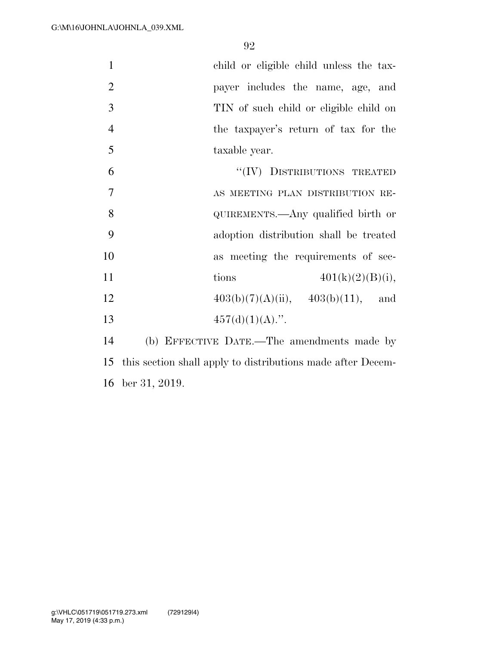child or eligible child unless the tax- payer includes the name, age, and TIN of such child or eligible child on the taxpayer's return of tax for the taxable year. 6 "(IV) DISTRIBUTIONS TREATED

 AS MEETING PLAN DISTRIBUTION RE- QUIREMENTS.—Any qualified birth or adoption distribution shall be treated as meeting the requirements of sec-11 tions  $401(k)(2)(B)(i)$ ,  $403(b)(7)(A)(ii)$ ,  $403(b)(11)$ , and  $457(d)(1)(A)$ .".

 (b) EFFECTIVE DATE.—The amendments made by this section shall apply to distributions made after Decem-ber 31, 2019.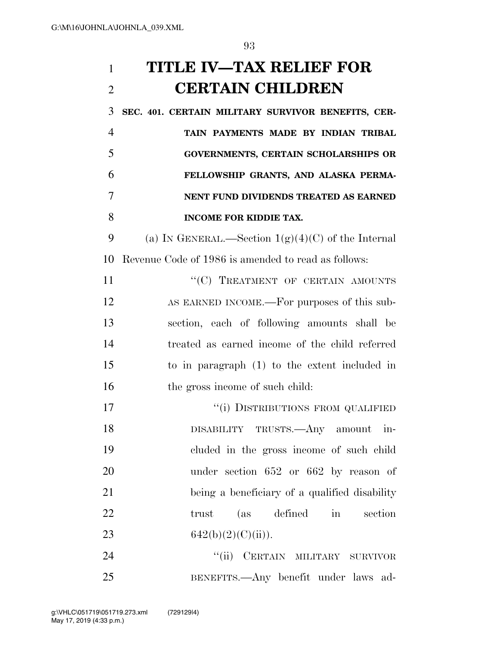**TITLE IV—TAX RELIEF FOR CERTAIN CHILDREN** 

 **SEC. 401. CERTAIN MILITARY SURVIVOR BENEFITS, CER- TAIN PAYMENTS MADE BY INDIAN TRIBAL GOVERNMENTS, CERTAIN SCHOLARSHIPS OR FELLOWSHIP GRANTS, AND ALASKA PERMA- NENT FUND DIVIDENDS TREATED AS EARNED INCOME FOR KIDDIE TAX.** 

9 (a) IN GENERAL.—Section  $1(g)(4)(C)$  of the Internal Revenue Code of 1986 is amended to read as follows:

11 ""(C) TREATMENT OF CERTAIN AMOUNTS AS EARNED INCOME.—For purposes of this sub- section, each of following amounts shall be treated as earned income of the child referred to in paragraph (1) to the extent included in 16 the gross income of such child:

17 <sup>''</sup>(i) DISTRIBUTIONS FROM QUALIFIED DISABILITY TRUSTS.—Any amount in- cluded in the gross income of such child under section 652 or 662 by reason of being a beneficiary of a qualified disability 22 trust (as defined in section 23 642(b)(2)(C)(ii)).

24 "'(ii) CERTAIN MILITARY SURVIVOR BENEFITS.—Any benefit under laws ad-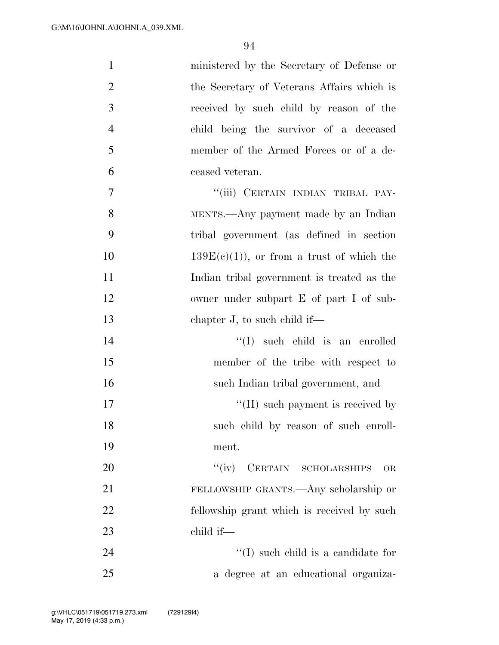| $\mathbf{1}$   | ministered by the Secretary of Defense or   |
|----------------|---------------------------------------------|
| $\overline{2}$ | the Secretary of Veterans Affairs which is  |
| 3              | received by such child by reason of the     |
| $\overline{4}$ | child being the survivor of a deceased      |
| 5              | member of the Armed Forces or of a de-      |
| 6              | ceased veteran.                             |
| $\overline{7}$ | "(iii) CERTAIN INDIAN TRIBAL PAY-           |
| 8              | MENTS.—Any payment made by an Indian        |
| 9              | tribal government (as defined in section    |
| 10             | $139E(c)(1)$ , or from a trust of which the |
| 11             | Indian tribal government is treated as the  |
| 12             | owner under subpart E of part I of sub-     |
| 13             | chapter $J$ , to such child if—             |
| 14             | $\lq\lq$ such child is an enrolled          |
| 15             | member of the tribe with respect to         |
| 16             | such Indian tribal government, and          |
| 17             | $\lq$ (II) such payment is received by      |
| 18             | such child by reason of such enroll-        |
| 19             | ment.                                       |
| 20             | CERTAIN SCHOLARSHIPS<br>``(iv)<br><b>OR</b> |
| 21             | FELLOWSHIP GRANTS.—Any scholarship or       |
| 22             | fellowship grant which is received by such  |
| 23             | child if-                                   |
| 24             | $\lq\lq$ such child is a candidate for      |
| 25             | a degree at an educational organiza-        |